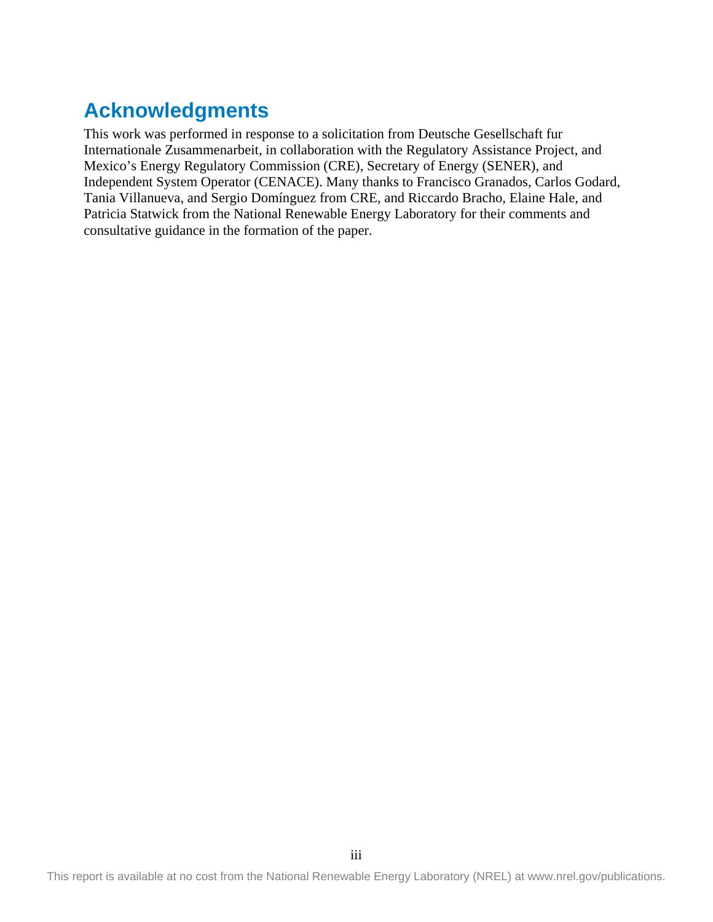# **Acknowledgments**

This work was performed in response to a solicitation from Deutsche Gesellschaft fur Internationale Zusammenarbeit, in collaboration with the Regulatory Assistance Project, and Mexico's Energy Regulatory Commission (CRE), Secretary of Energy (SENER), and Independent System Operator (CENACE). Many thanks to Francisco Granados, Carlos Godard, Tania Villanueva, and Sergio Domínguez from CRE, and Riccardo Bracho, Elaine Hale, and Patricia Statwick from the National Renewable Energy Laboratory for their comments and consultative guidance in the formation of the paper.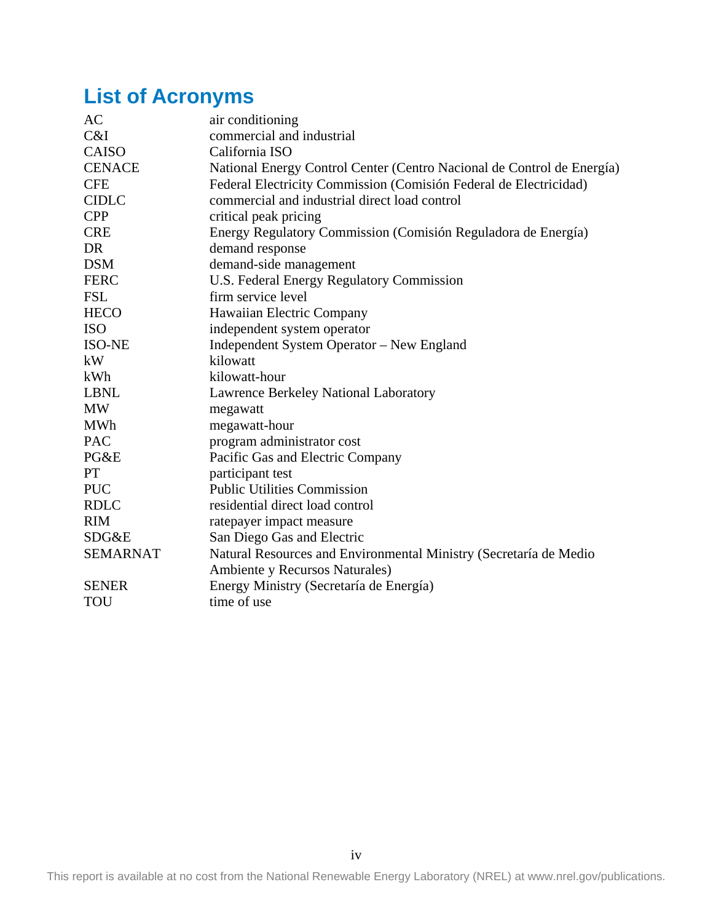# <span id="page-1-0"></span>**List of Acronyms**

| AC              | air conditioning                                                       |
|-----------------|------------------------------------------------------------------------|
| C&I             | commercial and industrial                                              |
| CAISO           | California ISO                                                         |
| <b>CENACE</b>   | National Energy Control Center (Centro Nacional de Control de Energía) |
| <b>CFE</b>      | Federal Electricity Commission (Comisión Federal de Electricidad)      |
| <b>CIDLC</b>    | commercial and industrial direct load control                          |
| <b>CPP</b>      | critical peak pricing                                                  |
| <b>CRE</b>      | Energy Regulatory Commission (Comisión Reguladora de Energía)          |
| DR              | demand response                                                        |
| <b>DSM</b>      | demand-side management                                                 |
| <b>FERC</b>     | U.S. Federal Energy Regulatory Commission                              |
| <b>FSL</b>      | firm service level                                                     |
| <b>HECO</b>     | Hawaiian Electric Company                                              |
| <b>ISO</b>      | independent system operator                                            |
| <b>ISO-NE</b>   | Independent System Operator - New England                              |
| kW              | kilowatt                                                               |
| kWh             | kilowatt-hour                                                          |
| <b>LBNL</b>     | Lawrence Berkeley National Laboratory                                  |
| <b>MW</b>       | megawatt                                                               |
| <b>MWh</b>      | megawatt-hour                                                          |
| <b>PAC</b>      | program administrator cost                                             |
| PG&E            | Pacific Gas and Electric Company                                       |
| PT              | participant test                                                       |
| <b>PUC</b>      | <b>Public Utilities Commission</b>                                     |
| <b>RDLC</b>     | residential direct load control                                        |
| <b>RIM</b>      | ratepayer impact measure                                               |
| SDG&E           | San Diego Gas and Electric                                             |
| <b>SEMARNAT</b> | Natural Resources and Environmental Ministry (Secretaría de Medio      |
|                 | Ambiente y Recursos Naturales)                                         |
| <b>SENER</b>    | Energy Ministry (Secretaría de Energía)                                |
| <b>TOU</b>      | time of use                                                            |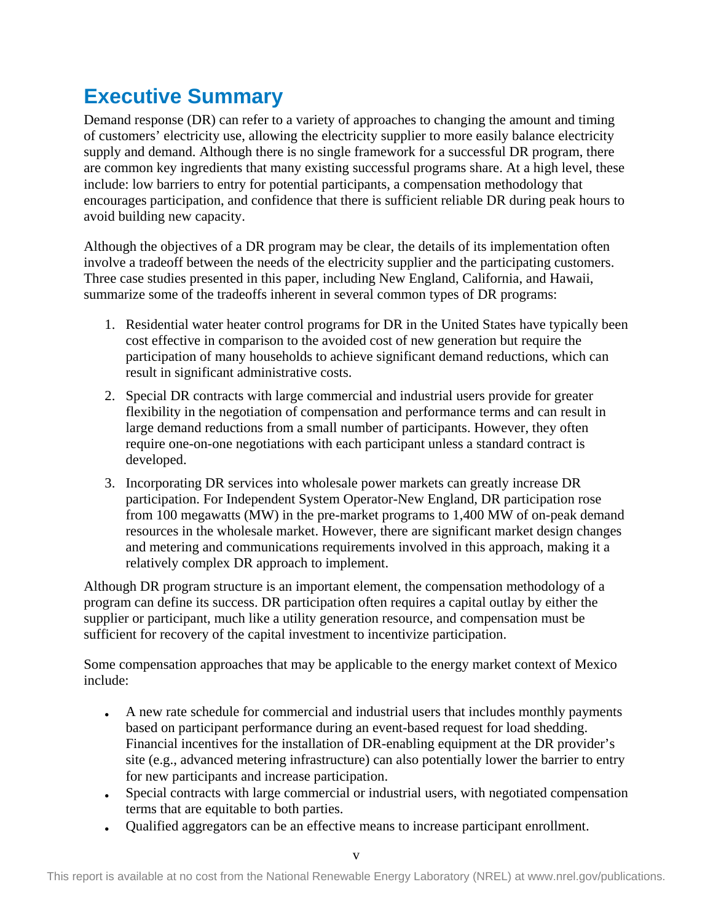# <span id="page-2-0"></span>**Executive Summary**

Demand response (DR) can refer to a variety of approaches to changing the amount and timing of customers' electricity use, allowing the electricity supplier to more easily balance electricity supply and demand. Although there is no single framework for a successful DR program, there are common key ingredients that many existing successful programs share. At a high level, these include: low barriers to entry for potential participants, a compensation methodology that encourages participation, and confidence that there is sufficient reliable DR during peak hours to avoid building new capacity.

Although the objectives of a DR program may be clear, the details of its implementation often involve a tradeoff between the needs of the electricity supplier and the participating customers. Three case studies presented in this paper, including New England, California, and Hawaii, summarize some of the tradeoffs inherent in several common types of DR programs:

- 1. Residential water heater control programs for DR in the United States have typically been cost effective in comparison to the avoided cost of new generation but require the participation of many households to achieve significant demand reductions, which can result in significant administrative costs.
- 2. Special DR contracts with large commercial and industrial users provide for greater flexibility in the negotiation of compensation and performance terms and can result in large demand reductions from a small number of participants. However, they often require one-on-one negotiations with each participant unless a standard contract is developed.
- 3. Incorporating DR services into wholesale power markets can greatly increase DR participation. For Independent System Operator-New England, DR participation rose from 100 megawatts (MW) in the pre-market programs to 1,400 MW of on-peak demand resources in the wholesale market. However, there are significant market design changes and metering and communications requirements involved in this approach, making it a relatively complex DR approach to implement.

Although DR program structure is an important element, the compensation methodology of a program can define its success. DR participation often requires a capital outlay by either the supplier or participant, much like a utility generation resource, and compensation must be sufficient for recovery of the capital investment to incentivize participation.

Some compensation approaches that may be applicable to the energy market context of Mexico include:

- A new rate schedule for commercial and industrial users that includes monthly payments based on participant performance during an event-based request for load shedding. Financial incentives for the installation of DR-enabling equipment at the DR provider's site (e.g., advanced metering infrastructure) can also potentially lower the barrier to entry for new participants and increase participation.
- Special contracts with large commercial or industrial users, with negotiated compensation terms that are equitable to both parties.
- Qualified aggregators can be an effective means to increase participant enrollment.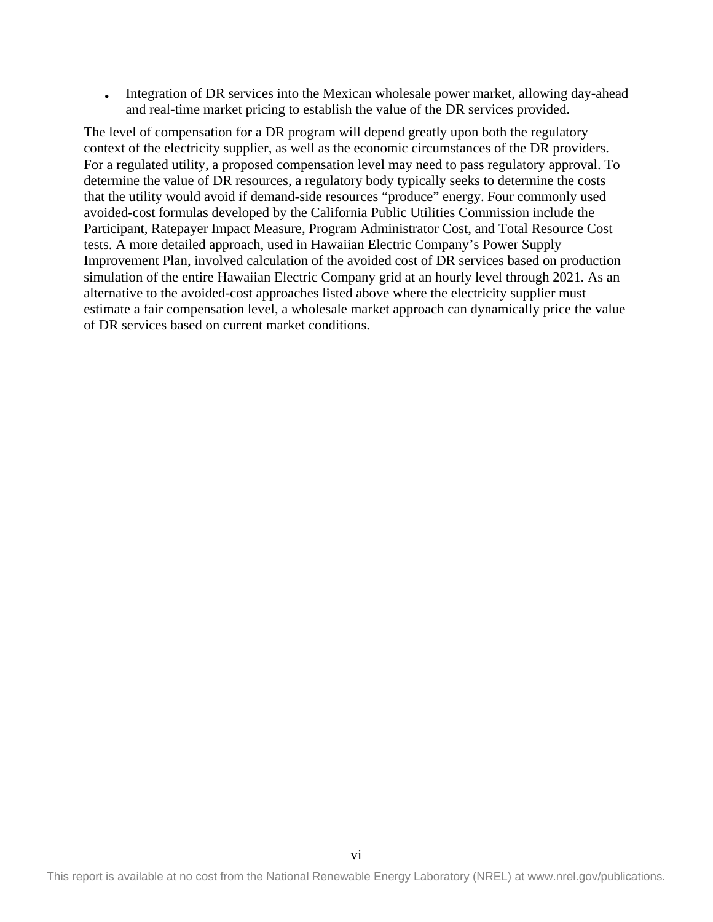• Integration of DR services into the Mexican wholesale power market, allowing day-ahead and real-time market pricing to establish the value of the DR services provided.

The level of compensation for a DR program will depend greatly upon both the regulatory context of the electricity supplier, as well as the economic circumstances of the DR providers. For a regulated utility, a proposed compensation level may need to pass regulatory approval. To determine the value of DR resources, a regulatory body typically seeks to determine the costs that the utility would avoid if demand-side resources "produce" energy. Four commonly used avoided-cost formulas developed by the California Public Utilities Commission include the Participant, Ratepayer Impact Measure, Program Administrator Cost, and Total Resource Cost tests. A more detailed approach, used in Hawaiian Electric Company's Power Supply Improvement Plan, involved calculation of the avoided cost of DR services based on production simulation of the entire Hawaiian Electric Company grid at an hourly level through 2021. As an alternative to the avoided-cost approaches listed above where the electricity supplier must estimate a fair compensation level, a wholesale market approach can dynamically price the value of DR services based on current market conditions.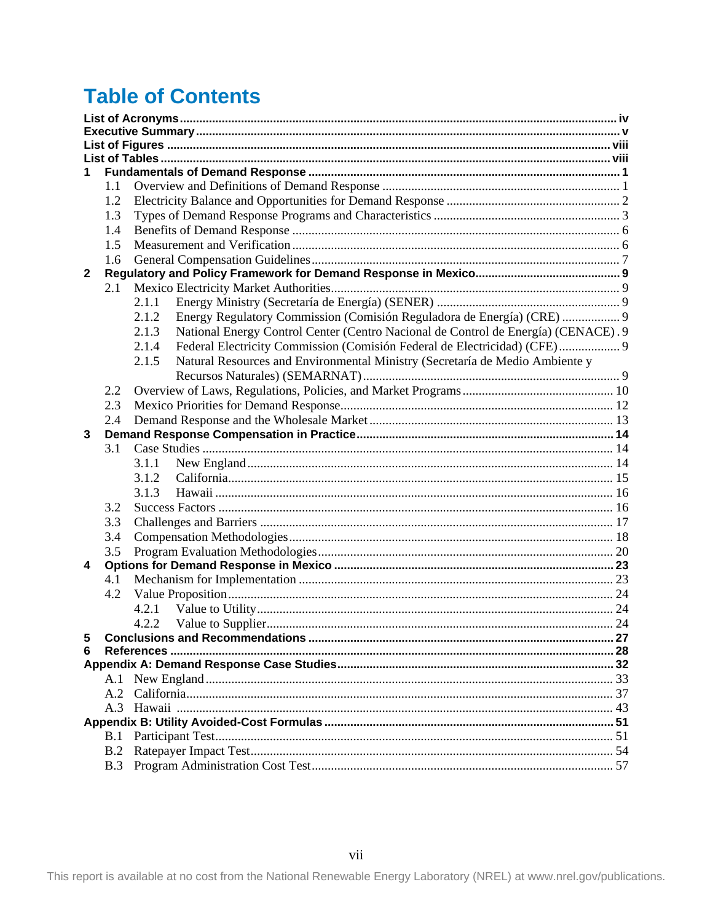# **Table of Contents**

| 1.                      |     |                                                                                             |  |  |  |  |  |  |  |  |
|-------------------------|-----|---------------------------------------------------------------------------------------------|--|--|--|--|--|--|--|--|
|                         | 1.1 |                                                                                             |  |  |  |  |  |  |  |  |
|                         | 1.2 |                                                                                             |  |  |  |  |  |  |  |  |
|                         | 1.3 |                                                                                             |  |  |  |  |  |  |  |  |
|                         | 1.4 |                                                                                             |  |  |  |  |  |  |  |  |
|                         | 1.5 |                                                                                             |  |  |  |  |  |  |  |  |
|                         | 1.6 |                                                                                             |  |  |  |  |  |  |  |  |
| $\mathbf{2}$            |     |                                                                                             |  |  |  |  |  |  |  |  |
|                         | 2.1 |                                                                                             |  |  |  |  |  |  |  |  |
|                         |     | 2.1.1                                                                                       |  |  |  |  |  |  |  |  |
|                         |     | Energy Regulatory Commission (Comisión Reguladora de Energía) (CRE)  9<br>2.1.2             |  |  |  |  |  |  |  |  |
|                         |     | National Energy Control Center (Centro Nacional de Control de Energía) (CENACE). 9<br>2.1.3 |  |  |  |  |  |  |  |  |
|                         |     | Federal Electricity Commission (Comisión Federal de Electricidad) (CFE) 9<br>2.1.4          |  |  |  |  |  |  |  |  |
|                         |     | 2.1.5<br>Natural Resources and Environmental Ministry (Secretaría de Medio Ambiente y       |  |  |  |  |  |  |  |  |
|                         |     |                                                                                             |  |  |  |  |  |  |  |  |
|                         | 2.2 |                                                                                             |  |  |  |  |  |  |  |  |
|                         | 2.3 |                                                                                             |  |  |  |  |  |  |  |  |
|                         | 2.4 |                                                                                             |  |  |  |  |  |  |  |  |
| 3                       |     |                                                                                             |  |  |  |  |  |  |  |  |
|                         | 3.1 |                                                                                             |  |  |  |  |  |  |  |  |
|                         |     | 3.1.1                                                                                       |  |  |  |  |  |  |  |  |
|                         |     | 3.1.2                                                                                       |  |  |  |  |  |  |  |  |
|                         |     | 3.1.3                                                                                       |  |  |  |  |  |  |  |  |
|                         | 3.2 |                                                                                             |  |  |  |  |  |  |  |  |
|                         |     |                                                                                             |  |  |  |  |  |  |  |  |
|                         | 3.3 |                                                                                             |  |  |  |  |  |  |  |  |
|                         | 3.4 |                                                                                             |  |  |  |  |  |  |  |  |
|                         | 3.5 |                                                                                             |  |  |  |  |  |  |  |  |
| $\overline{\mathbf{4}}$ |     |                                                                                             |  |  |  |  |  |  |  |  |
|                         | 4.1 |                                                                                             |  |  |  |  |  |  |  |  |
|                         | 4.2 |                                                                                             |  |  |  |  |  |  |  |  |
|                         |     | 4.2.1                                                                                       |  |  |  |  |  |  |  |  |
|                         |     | 4.2.2                                                                                       |  |  |  |  |  |  |  |  |
| 5                       |     |                                                                                             |  |  |  |  |  |  |  |  |
| 6                       |     |                                                                                             |  |  |  |  |  |  |  |  |
|                         |     |                                                                                             |  |  |  |  |  |  |  |  |
|                         | A.1 |                                                                                             |  |  |  |  |  |  |  |  |
|                         | A.2 |                                                                                             |  |  |  |  |  |  |  |  |
|                         |     |                                                                                             |  |  |  |  |  |  |  |  |
|                         |     |                                                                                             |  |  |  |  |  |  |  |  |
|                         | B.1 |                                                                                             |  |  |  |  |  |  |  |  |
|                         | B.2 |                                                                                             |  |  |  |  |  |  |  |  |
|                         |     |                                                                                             |  |  |  |  |  |  |  |  |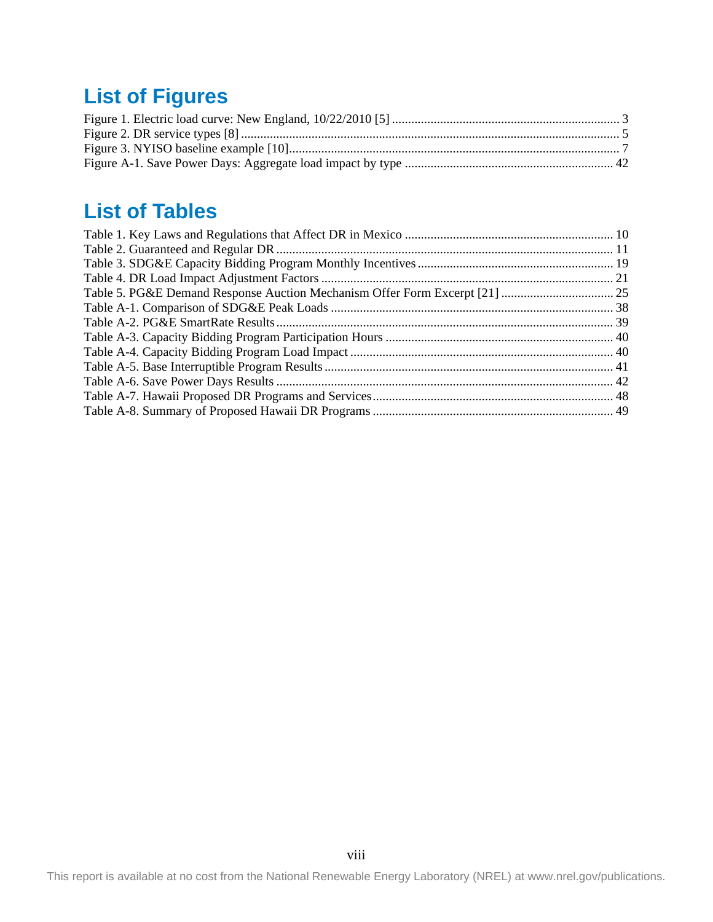# <span id="page-5-0"></span>**List of Figures**

# <span id="page-5-1"></span>**List of Tables**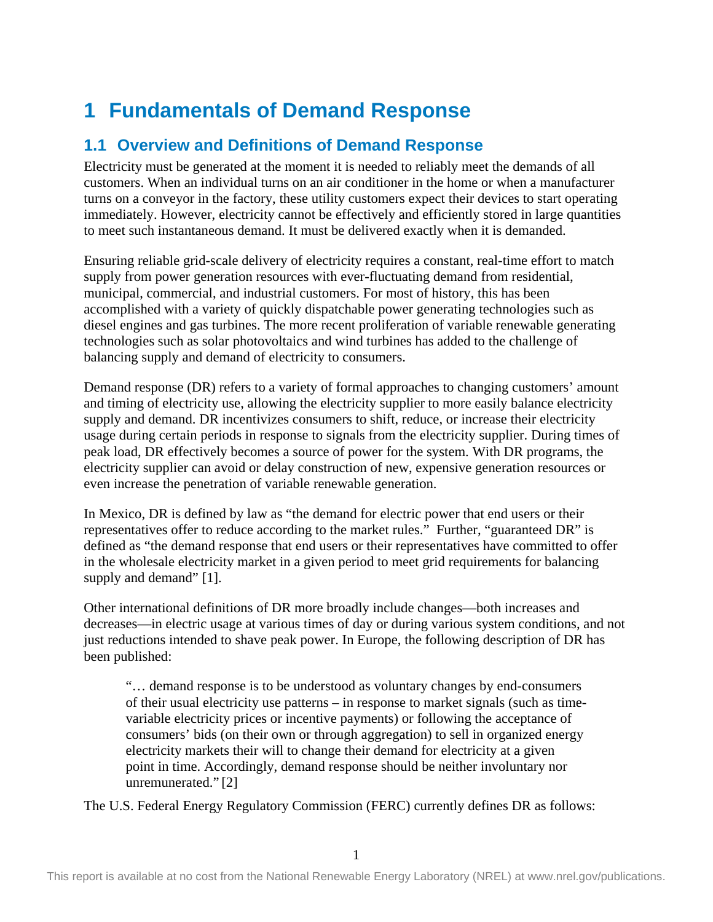# <span id="page-6-0"></span>**1 Fundamentals of Demand Response**

# <span id="page-6-1"></span>**1.1 Overview and Definitions of Demand Response**

Electricity must be generated at the moment it is needed to reliably meet the demands of all customers. When an individual turns on an air conditioner in the home or when a manufacturer turns on a conveyor in the factory, these utility customers expect their devices to start operating immediately. However, electricity cannot be effectively and efficiently stored in large quantities to meet such instantaneous demand. It must be delivered exactly when it is demanded.

Ensuring reliable grid-scale delivery of electricity requires a constant, real-time effort to match supply from power generation resources with ever-fluctuating demand from residential, municipal, commercial, and industrial customers. For most of history, this has been accomplished with a variety of quickly dispatchable power generating technologies such as diesel engines and gas turbines. The more recent proliferation of variable renewable generating technologies such as solar photovoltaics and wind turbines has added to the challenge of balancing supply and demand of electricity to consumers.

Demand response (DR) refers to a variety of formal approaches to changing customers' amount and timing of electricity use, allowing the electricity supplier to more easily balance electricity supply and demand. DR incentivizes consumers to shift, reduce, or increase their electricity usage during certain periods in response to signals from the electricity supplier. During times of peak load, DR effectively becomes a source of power for the system. With DR programs, the electricity supplier can avoid or delay construction of new, expensive generation resources or even increase the penetration of variable renewable generation.

In Mexico, DR is defined by law as "the demand for electric power that end users or their representatives offer to reduce according to the market rules." Further, "guaranteed DR" is defined as "the demand response that end users or their representatives have committed to offer in the wholesale electricity market in a given period to meet grid requirements for balancing supply and demand" [1].

Other international definitions of DR more broadly include changes—both increases and decreases—in electric usage at various times of day or during various system conditions, and not just reductions intended to shave peak power. In Europe, the following description of DR has been published:

"… demand response is to be understood as voluntary changes by end-consumers of their usual electricity use patterns – in response to market signals (such as timevariable electricity prices or incentive payments) or following the acceptance of consumers' bids (on their own or through aggregation) to sell in organized energy electricity markets their will to change their demand for electricity at a given point in time. Accordingly, demand response should be neither involuntary nor unremunerated." [2]

The U.S. Federal Energy Regulatory Commission (FERC) currently defines DR as follows: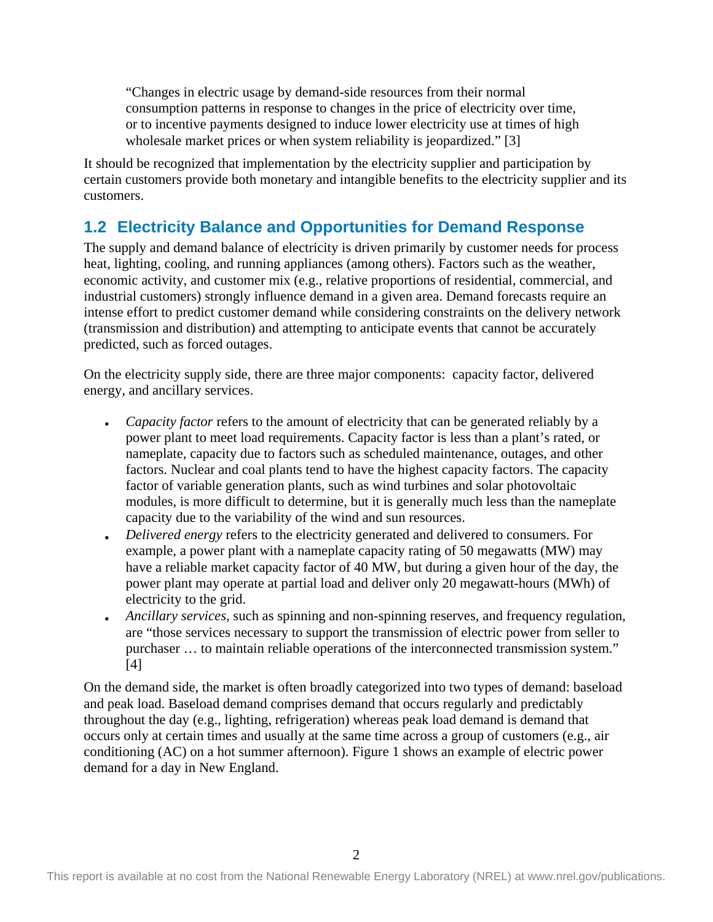"Changes in electric usage by demand-side resources from their normal consumption patterns in response to changes in the price of electricity over time, or to incentive payments designed to induce lower electricity use at times of high wholesale market prices or when system reliability is jeopardized." [3]

It should be recognized that implementation by the electricity supplier and participation by certain customers provide both monetary and intangible benefits to the electricity supplier and its customers.

## <span id="page-7-0"></span>**1.2 Electricity Balance and Opportunities for Demand Response**

The supply and demand balance of electricity is driven primarily by customer needs for process heat, lighting, cooling, and running appliances (among others). Factors such as the weather, economic activity, and customer mix (e.g., relative proportions of residential, commercial, and industrial customers) strongly influence demand in a given area. Demand forecasts require an intense effort to predict customer demand while considering constraints on the delivery network (transmission and distribution) and attempting to anticipate events that cannot be accurately predicted, such as forced outages.

On the electricity supply side, there are three major components: capacity factor, delivered energy, and ancillary services.

- *Capacity factor* refers to the amount of electricity that can be generated reliably by a power plant to meet load requirements. Capacity factor is less than a plant's rated, or nameplate, capacity due to factors such as scheduled maintenance, outages, and other factors. Nuclear and coal plants tend to have the highest capacity factors. The capacity factor of variable generation plants, such as wind turbines and solar photovoltaic modules, is more difficult to determine, but it is generally much less than the nameplate capacity due to the variability of the wind and sun resources.
- *Delivered energy* refers to the electricity generated and delivered to consumers. For example, a power plant with a nameplate capacity rating of 50 megawatts (MW) may have a reliable market capacity factor of 40 MW, but during a given hour of the day, the power plant may operate at partial load and deliver only 20 megawatt-hours (MWh) of electricity to the grid.
- *Ancillary services*, such as spinning and non-spinning reserves, and frequency regulation, are "those services necessary to support the transmission of electric power from seller to purchaser … to maintain reliable operations of the interconnected transmission system." [4]

On the demand side, the market is often broadly categorized into two types of demand: baseload and peak load. Baseload demand comprises demand that occurs regularly and predictably throughout the day (e.g., lighting, refrigeration) whereas peak load demand is demand that occurs only at certain times and usually at the same time across a group of customers (e.g., air conditioning (AC) on a hot summer afternoon). Figure 1 shows an example of electric power demand for a day in New England.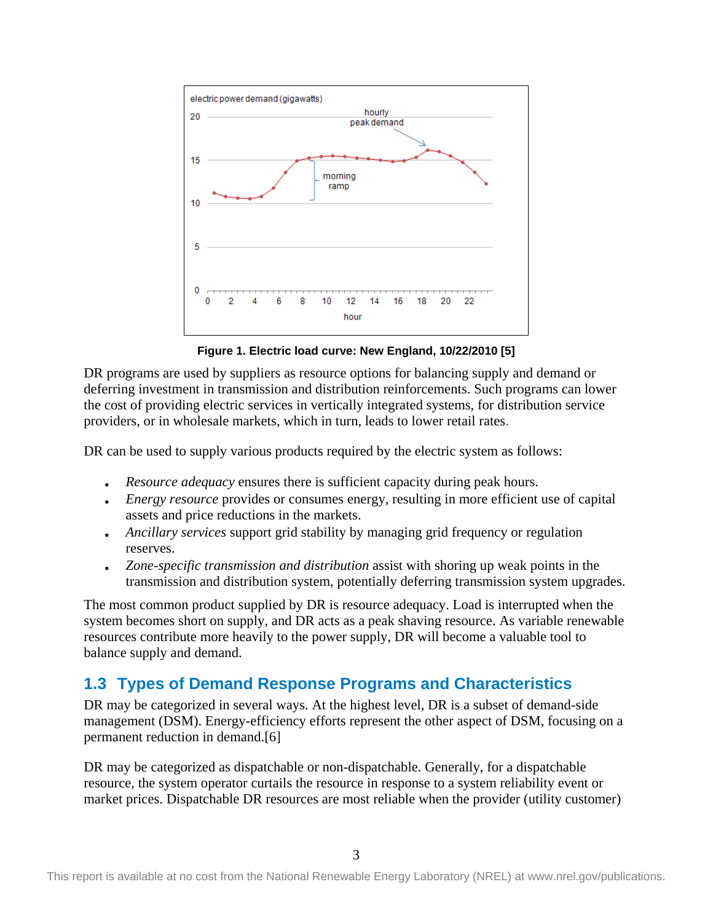

**Figure 1. Electric load curve: New England, 10/22/2010 [5]**

<span id="page-8-1"></span>DR programs are used by suppliers as resource options for balancing supply and demand or deferring investment in transmission and distribution reinforcements. Such programs can lower the cost of providing electric services in vertically integrated systems, for distribution service providers, or in wholesale markets, which in turn, leads to lower retail rates.

DR can be used to supply various products required by the electric system as follows:

- *Resource adequacy* ensures there is sufficient capacity during peak hours.
- *Energy resource* provides or consumes energy, resulting in more efficient use of capital assets and price reductions in the markets.
- *Ancillary services* support grid stability by managing grid frequency or regulation reserves.
- *Zone-specific transmission and distribution* assist with shoring up weak points in the transmission and distribution system, potentially deferring transmission system upgrades.

The most common product supplied by DR is resource adequacy. Load is interrupted when the system becomes short on supply, and DR acts as a peak shaving resource. As variable renewable resources contribute more heavily to the power supply, DR will become a valuable tool to balance supply and demand.

## <span id="page-8-0"></span>**1.3 Types of Demand Response Programs and Characteristics**

DR may be categorized in several ways. At the highest level, DR is a subset of demand-side management (DSM). Energy-efficiency efforts represent the other aspect of DSM, focusing on a permanent reduction in demand.[6]

DR may be categorized as dispatchable or non-dispatchable. Generally, for a dispatchable resource, the system operator curtails the resource in response to a system reliability event or market prices. Dispatchable DR resources are most reliable when the provider (utility customer)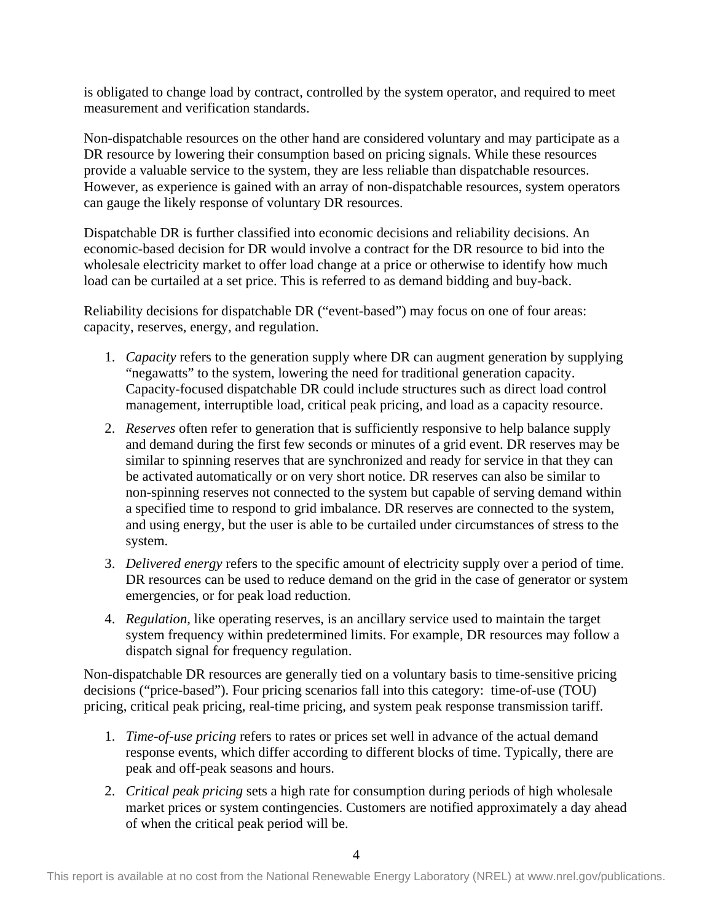is obligated to change load by contract, controlled by the system operator, and required to meet measurement and verification standards.

Non-dispatchable resources on the other hand are considered voluntary and may participate as a DR resource by lowering their consumption based on pricing signals. While these resources provide a valuable service to the system, they are less reliable than dispatchable resources. However, as experience is gained with an array of non-dispatchable resources, system operators can gauge the likely response of voluntary DR resources.

Dispatchable DR is further classified into economic decisions and reliability decisions. An economic-based decision for DR would involve a contract for the DR resource to bid into the wholesale electricity market to offer load change at a price or otherwise to identify how much load can be curtailed at a set price. This is referred to as demand bidding and buy-back.

Reliability decisions for dispatchable DR ("event-based") may focus on one of four areas: capacity, reserves, energy, and regulation.

- 1. *Capacity* refers to the generation supply where DR can augment generation by supplying "negawatts" to the system, lowering the need for traditional generation capacity. Capacity-focused dispatchable DR could include structures such as direct load control management, interruptible load, critical peak pricing, and load as a capacity resource.
- 2. *Reserves* often refer to generation that is sufficiently responsive to help balance supply and demand during the first few seconds or minutes of a grid event. DR reserves may be similar to spinning reserves that are synchronized and ready for service in that they can be activated automatically or on very short notice. DR reserves can also be similar to non-spinning reserves not connected to the system but capable of serving demand within a specified time to respond to grid imbalance. DR reserves are connected to the system, and using energy, but the user is able to be curtailed under circumstances of stress to the system.
- 3. *Delivered energy* refers to the specific amount of electricity supply over a period of time. DR resources can be used to reduce demand on the grid in the case of generator or system emergencies, or for peak load reduction.
- 4. *Regulation*, like operating reserves, is an ancillary service used to maintain the target system frequency within predetermined limits. For example, DR resources may follow a dispatch signal for frequency regulation.

Non-dispatchable DR resources are generally tied on a voluntary basis to time-sensitive pricing decisions ("price-based"). Four pricing scenarios fall into this category: time-of-use (TOU) pricing, critical peak pricing, real-time pricing, and system peak response transmission tariff.

- 1. *Time-of-use pricing* refers to rates or prices set well in advance of the actual demand response events, which differ according to different blocks of time. Typically, there are peak and off-peak seasons and hours.
- 2. *Critical peak pricing* sets a high rate for consumption during periods of high wholesale market prices or system contingencies. Customers are notified approximately a day ahead of when the critical peak period will be.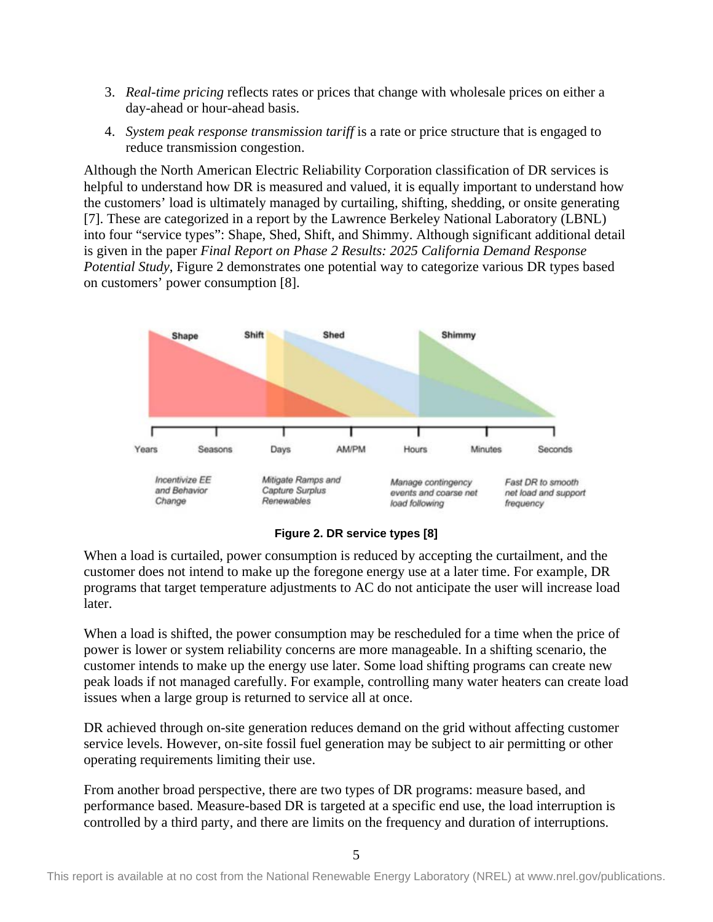- 3. *Real-time pricing* reflects rates or prices that change with wholesale prices on either a day-ahead or hour-ahead basis.
- 4. *System peak response transmission tariff* is a rate or price structure that is engaged to reduce transmission congestion.

Although the North American Electric Reliability Corporation classification of DR services is helpful to understand how DR is measured and valued, it is equally important to understand how the customers' load is ultimately managed by curtailing, shifting, shedding, or onsite generating [7]. These are categorized in a report by the Lawrence Berkeley National Laboratory (LBNL) into four "service types": Shape, Shed, Shift, and Shimmy. Although significant additional detail is given in the paper *Final Report on Phase 2 Results: 2025 California Demand Response Potential Study*, [Figure 2](#page-10-0) demonstrates one potential way to categorize various DR types based on customers' power consumption [8].





<span id="page-10-0"></span>When a load is curtailed, power consumption is reduced by accepting the curtailment, and the customer does not intend to make up the foregone energy use at a later time. For example, DR programs that target temperature adjustments to AC do not anticipate the user will increase load later.

When a load is shifted, the power consumption may be rescheduled for a time when the price of power is lower or system reliability concerns are more manageable. In a shifting scenario, the customer intends to make up the energy use later. Some load shifting programs can create new peak loads if not managed carefully. For example, controlling many water heaters can create load issues when a large group is returned to service all at once.

DR achieved through on-site generation reduces demand on the grid without affecting customer service levels. However, on-site fossil fuel generation may be subject to air permitting or other operating requirements limiting their use.

From another broad perspective, there are two types of DR programs: measure based, and performance based. Measure-based DR is targeted at a specific end use, the load interruption is controlled by a third party, and there are limits on the frequency and duration of interruptions.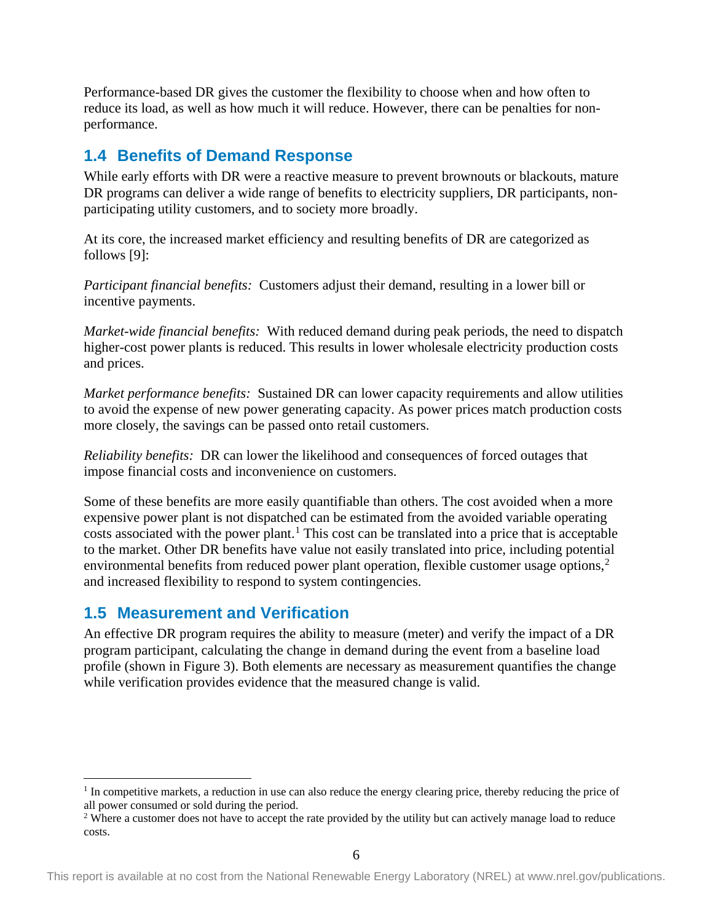Performance-based DR gives the customer the flexibility to choose when and how often to reduce its load, as well as how much it will reduce. However, there can be penalties for nonperformance.

## <span id="page-11-0"></span>**1.4 Benefits of Demand Response**

While early efforts with DR were a reactive measure to prevent brownouts or blackouts, mature DR programs can deliver a wide range of benefits to electricity suppliers, DR participants, nonparticipating utility customers, and to society more broadly.

At its core, the increased market efficiency and resulting benefits of DR are categorized as follows [9]:

*Participant financial benefits:* Customers adjust their demand, resulting in a lower bill or incentive payments.

*Market-wide financial benefits:* With reduced demand during peak periods, the need to dispatch higher-cost power plants is reduced. This results in lower wholesale electricity production costs and prices.

*Market performance benefits:* Sustained DR can lower capacity requirements and allow utilities to avoid the expense of new power generating capacity. As power prices match production costs more closely, the savings can be passed onto retail customers.

*Reliability benefits:* DR can lower the likelihood and consequences of forced outages that impose financial costs and inconvenience on customers.

Some of these benefits are more easily quantifiable than others. The cost avoided when a more expensive power plant is not dispatched can be estimated from the avoided variable operating costs associated with the power plant. [1](#page-11-2) This cost can be translated into a price that is acceptable to the market. Other DR benefits have value not easily translated into price, including potential environmental benefits from reduced power plant operation, flexible customer usage options, [2](#page-11-3) and increased flexibility to respond to system contingencies.

## <span id="page-11-1"></span>**1.5 Measurement and Verification**

An effective DR program requires the ability to measure (meter) and verify the impact of a DR program participant, calculating the change in demand during the event from a baseline load profile (shown in Figure 3). Both elements are necessary as measurement quantifies the change while verification provides evidence that the measured change is valid.

<span id="page-11-2"></span><sup>&</sup>lt;sup>1</sup> In competitive markets, a reduction in use can also reduce the energy clearing price, thereby reducing the price of all power consumed or sold during the period.

<span id="page-11-3"></span><sup>&</sup>lt;sup>2</sup> Where a customer does not have to accept the rate provided by the utility but can actively manage load to reduce costs.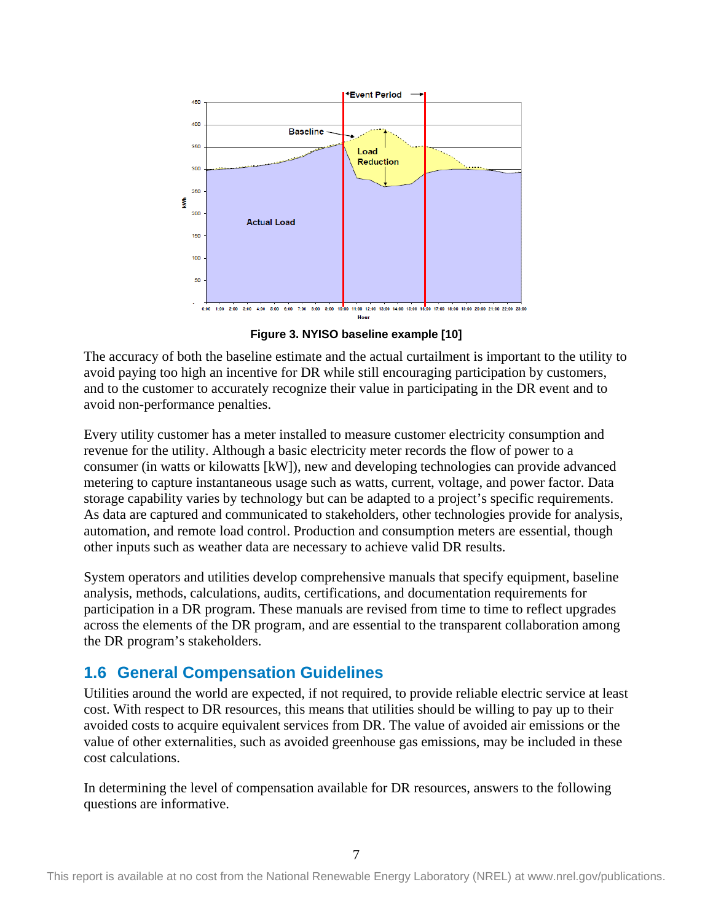

**Figure 3. NYISO baseline example [10]**

<span id="page-12-1"></span>The accuracy of both the baseline estimate and the actual curtailment is important to the utility to avoid paying too high an incentive for DR while still encouraging participation by customers, and to the customer to accurately recognize their value in participating in the DR event and to avoid non-performance penalties.

Every utility customer has a meter installed to measure customer electricity consumption and revenue for the utility. Although a basic electricity meter records the flow of power to a consumer (in watts or kilowatts [kW]), new and developing technologies can provide advanced metering to capture instantaneous usage such as watts, current, voltage, and power factor. Data storage capability varies by technology but can be adapted to a project's specific requirements. As data are captured and communicated to stakeholders, other technologies provide for analysis, automation, and remote load control. Production and consumption meters are essential, though other inputs such as weather data are necessary to achieve valid DR results.

System operators and utilities develop comprehensive manuals that specify equipment, baseline analysis, methods, calculations, audits, certifications, and documentation requirements for participation in a DR program. These manuals are revised from time to time to reflect upgrades across the elements of the DR program, and are essential to the transparent collaboration among the DR program's stakeholders.

## <span id="page-12-0"></span>**1.6 General Compensation Guidelines**

Utilities around the world are expected, if not required, to provide reliable electric service at least cost. With respect to DR resources, this means that utilities should be willing to pay up to their avoided costs to acquire equivalent services from DR. The value of avoided air emissions or the value of other externalities, such as avoided greenhouse gas emissions, may be included in these cost calculations.

In determining the level of compensation available for DR resources, answers to the following questions are informative.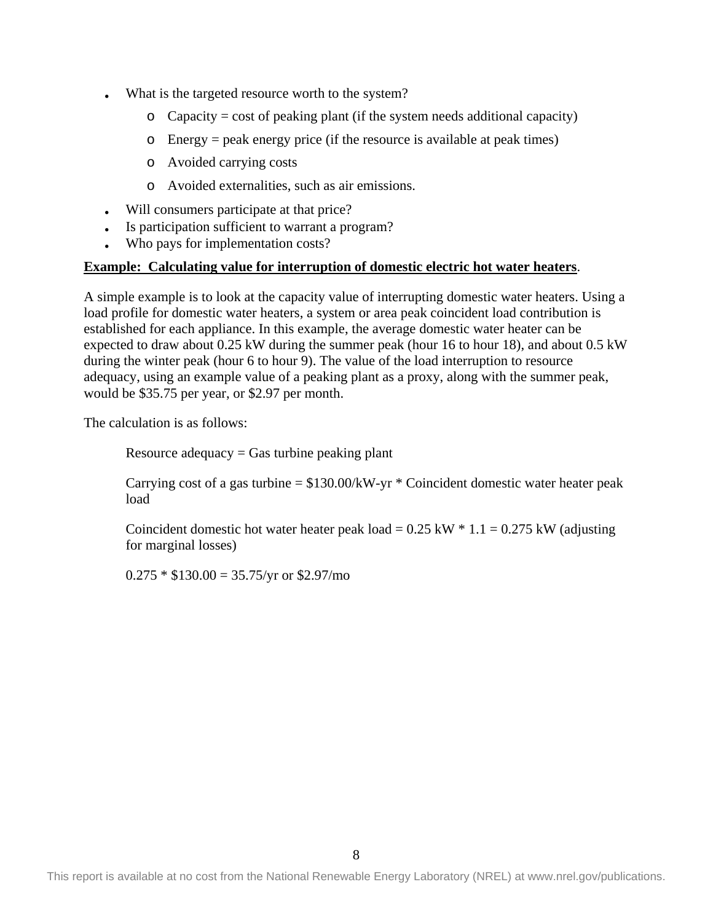- What is the targeted resource worth to the system?
	- $\circ$  Capacity = cost of peaking plant (if the system needs additional capacity)
	- o Energy = peak energy price (if the resource is available at peak times)
	- o Avoided carrying costs
	- o Avoided externalities, such as air emissions.
- Will consumers participate at that price?
- Is participation sufficient to warrant a program?
- Who pays for implementation costs?

#### **Example: Calculating value for interruption of domestic electric hot water heaters**.

A simple example is to look at the capacity value of interrupting domestic water heaters. Using a load profile for domestic water heaters, a system or area peak coincident load contribution is established for each appliance. In this example, the average domestic water heater can be expected to draw about 0.25 kW during the summer peak (hour 16 to hour 18), and about 0.5 kW during the winter peak (hour 6 to hour 9). The value of the load interruption to resource adequacy, using an example value of a peaking plant as a proxy, along with the summer peak, would be \$35.75 per year, or \$2.97 per month.

The calculation is as follows:

Resource adequacy  $=$  Gas turbine peaking plant

Carrying cost of a gas turbine  $= $130.00/kW - yr * Coincident domestic water heater peak$ load

Coincident domestic hot water heater peak load =  $0.25$  kW  $*$  1.1 =  $0.275$  kW (adjusting for marginal losses)

 $0.275 * $130.00 = 35.75/yr$  or \$2.97/mo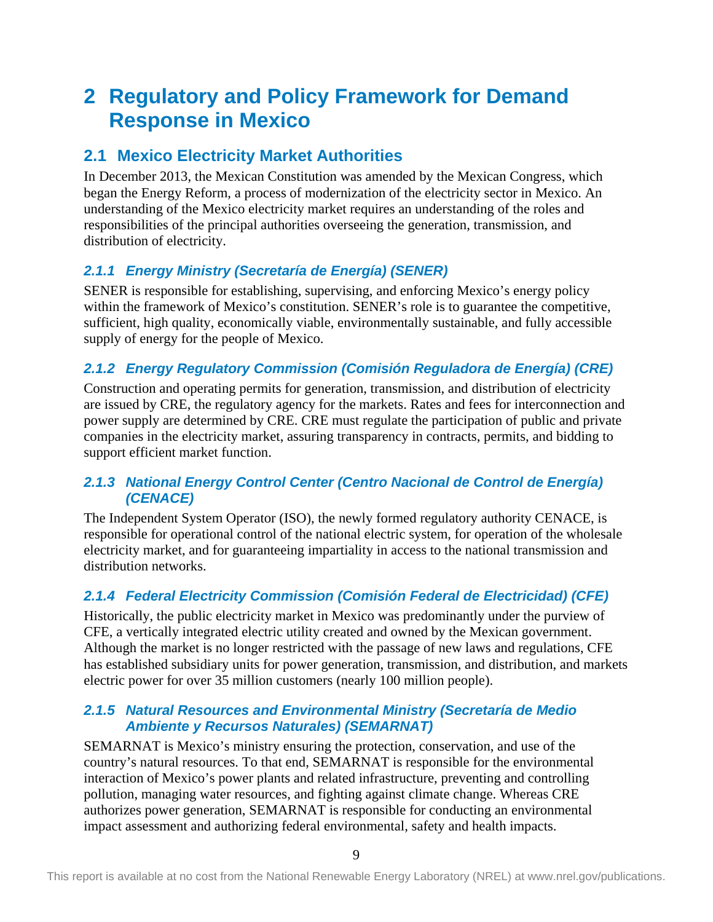# <span id="page-14-0"></span>**2 Regulatory and Policy Framework for Demand Response in Mexico**

## <span id="page-14-1"></span>**2.1 Mexico Electricity Market Authorities**

In December 2013, the Mexican Constitution was amended by the Mexican Congress, which began the Energy Reform, a process of modernization of the electricity sector in Mexico. An understanding of the Mexico electricity market requires an understanding of the roles and responsibilities of the principal authorities overseeing the generation, transmission, and distribution of electricity.

## <span id="page-14-2"></span>*2.1.1 Energy Ministry (Secretaría de Energía) (SENER)*

SENER is responsible for establishing, supervising, and enforcing Mexico's energy policy within the framework of Mexico's constitution. SENER's role is to guarantee the competitive, sufficient, high quality, economically viable, environmentally sustainable, and fully accessible supply of energy for the people of Mexico.

## <span id="page-14-3"></span>*2.1.2 Energy Regulatory Commission (Comisión Reguladora de Energía) (CRE)*

Construction and operating permits for generation, transmission, and distribution of electricity are issued by CRE, the regulatory agency for the markets. Rates and fees for interconnection and power supply are determined by CRE. CRE must regulate the participation of public and private companies in the electricity market, assuring transparency in contracts, permits, and bidding to support efficient market function.

## <span id="page-14-4"></span>*2.1.3 National Energy Control Center (Centro Nacional de Control de Energía) (CENACE)*

The Independent System Operator (ISO), the newly formed regulatory authority CENACE, is responsible for operational control of the national electric system, for operation of the wholesale electricity market, and for guaranteeing impartiality in access to the national transmission and distribution networks.

## <span id="page-14-5"></span>*2.1.4 Federal Electricity Commission (Comisión Federal de Electricidad) (CFE)*

Historically, the public electricity market in Mexico was predominantly under the purview of CFE, a vertically integrated electric utility created and owned by the Mexican government. Although the market is no longer restricted with the passage of new laws and regulations, CFE has established subsidiary units for power generation, transmission, and distribution, and markets electric power for over 35 million customers (nearly 100 million people).

### <span id="page-14-6"></span>*2.1.5 Natural Resources and Environmental Ministry (Secretaría de Medio Ambiente y Recursos Naturales) (SEMARNAT)*

SEMARNAT is Mexico's ministry ensuring the protection, conservation, and use of the country's natural resources. To that end, SEMARNAT is responsible for the environmental interaction of Mexico's power plants and related infrastructure, preventing and controlling pollution, managing water resources, and fighting against climate change. Whereas CRE authorizes power generation, SEMARNAT is responsible for conducting an environmental impact assessment and authorizing federal environmental, safety and health impacts.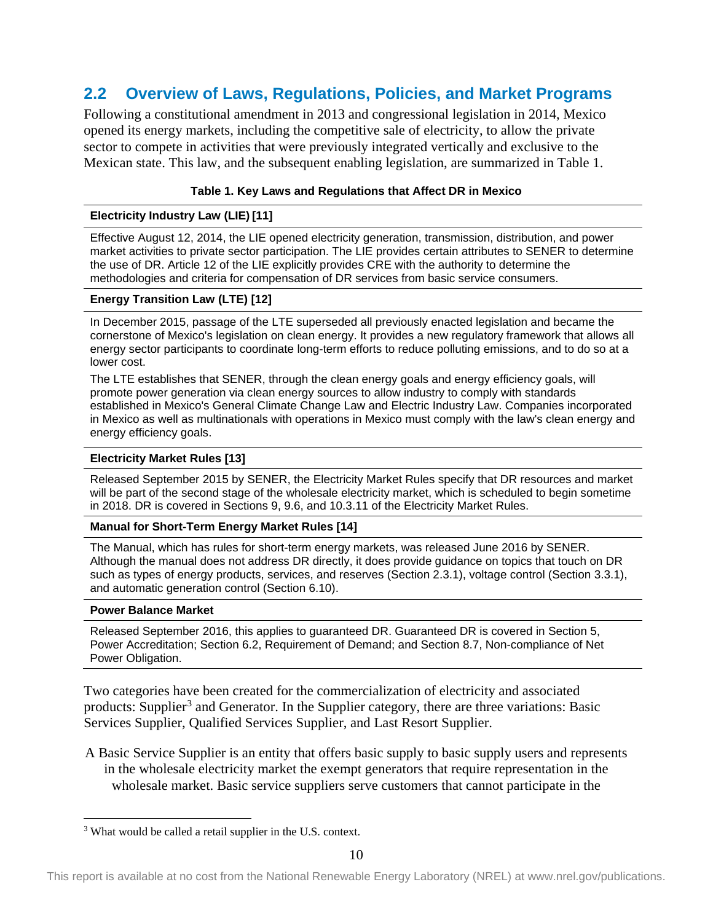## <span id="page-15-0"></span>**2.2 Overview of Laws, Regulations, Policies, and Market Programs**

Following a constitutional amendment in 2013 and congressional legislation in 2014, Mexico opened its energy markets, including the competitive sale of electricity, to allow the private sector to compete in activities that were previously integrated vertically and exclusive to the Mexican state. This law, and the subsequent enabling legislation, are summarized in [Table 1.](#page-15-1)

#### **Table 1. Key Laws and Regulations that Affect DR in Mexico**

#### <span id="page-15-1"></span>**Electricity Industry Law (LIE) [11]**

Effective August 12, 2014, the LIE opened electricity generation, transmission, distribution, and power market activities to private sector participation. The LIE provides certain attributes to SENER to determine the use of DR. Article 12 of the LIE explicitly provides CRE with the authority to determine the methodologies and criteria for compensation of DR services from basic service consumers.

#### **Energy Transition Law (LTE) [12]**

In December 2015, passage of the LTE superseded all previously enacted legislation and became the cornerstone of Mexico's legislation on clean energy. It provides a new regulatory framework that allows all energy sector participants to coordinate long-term efforts to reduce polluting emissions, and to do so at a lower cost.

The LTE establishes that SENER, through the clean energy goals and energy efficiency goals, will promote power generation via clean energy sources to allow industry to comply with standards established in Mexico's General Climate Change Law and Electric Industry Law. Companies incorporated in Mexico as well as multinationals with operations in Mexico must comply with the law's clean energy and energy efficiency goals.

#### **Electricity Market Rules [13]**

Released September 2015 by SENER, the Electricity Market Rules specify that DR resources and market will be part of the second stage of the wholesale electricity market, which is scheduled to begin sometime in 2018. DR is covered in Sections 9, 9.6, and 10.3.11 of the Electricity Market Rules.

#### **Manual for Short-Term Energy Market Rules [14]**

The Manual, which has rules for short-term energy markets, was released June 2016 by SENER. Although the manual does not address DR directly, it does provide guidance on topics that touch on DR such as types of energy products, services, and reserves (Section 2.3.1), voltage control (Section 3.3.1), and automatic generation control (Section 6.10).

#### **Power Balance Market**

Released September 2016, this applies to guaranteed DR. Guaranteed DR is covered in Section 5, Power Accreditation; Section 6.2, Requirement of Demand; and Section 8.7, Non-compliance of Net Power Obligation.

Two categories have been created for the commercialization of electricity and associated products: Supplier<sup>[3](#page-15-2)</sup> and Generator. In the Supplier category, there are three variations: Basic Services Supplier, Qualified Services Supplier, and Last Resort Supplier.

A Basic Service Supplier is an entity that offers basic supply to basic supply users and represents in the wholesale electricity market the exempt generators that require representation in the wholesale market. Basic service suppliers serve customers that cannot participate in the

<span id="page-15-2"></span><sup>&</sup>lt;sup>3</sup> What would be called a retail supplier in the U.S. context.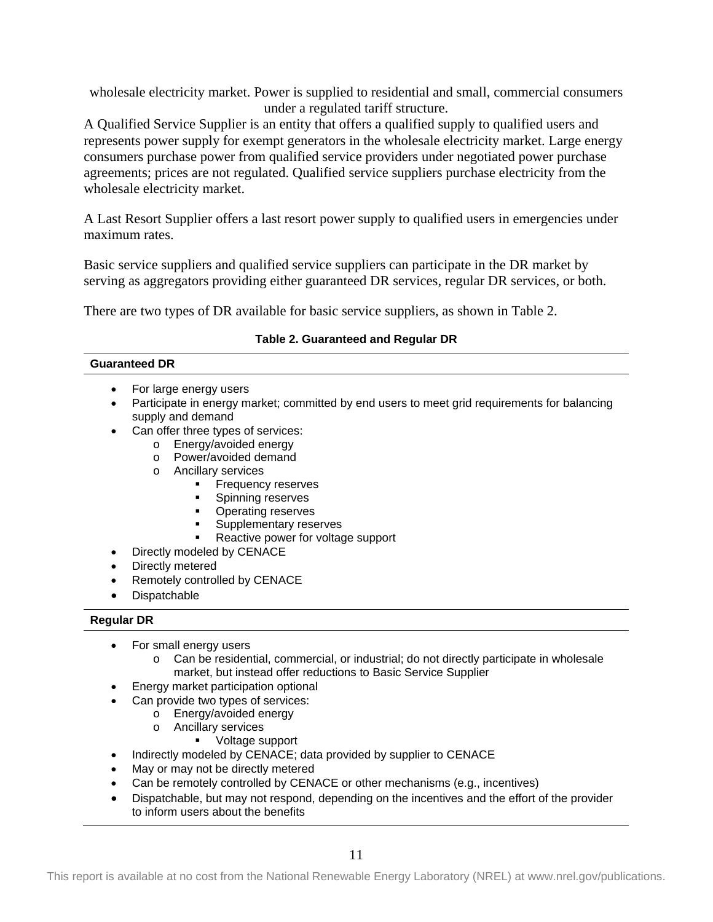wholesale electricity market. Power is supplied to residential and small, commercial consumers under a regulated tariff structure.

A Qualified Service Supplier is an entity that offers a qualified supply to qualified users and represents power supply for exempt generators in the wholesale electricity market. Large energy consumers purchase power from qualified service providers under negotiated power purchase agreements; prices are not regulated. Qualified service suppliers purchase electricity from the wholesale electricity market.

A Last Resort Supplier offers a last resort power supply to qualified users in emergencies under maximum rates.

Basic service suppliers and qualified service suppliers can participate in the DR market by serving as aggregators providing either guaranteed DR services, regular DR services, or both.

There are two types of DR available for basic service suppliers, as shown in Table 2.

#### **Table 2. Guaranteed and Regular DR**

#### <span id="page-16-0"></span>**Guaranteed DR**

- For large energy users
- Participate in energy market; committed by end users to meet grid requirements for balancing supply and demand
- Can offer three types of services:
	- o Energy/avoided energy
	- o Power/avoided demand
	- o Ancillary services
		- **Frequency reserves**
		- **Spinning reserves**
		- **•** Operating reserves
		- Supplementary reserves
		- Reactive power for voltage support
- Directly modeled by CENACE
- Directly metered
- Remotely controlled by CENACE
- **Dispatchable**

#### **Regular DR**

- For small energy users
	- o Can be residential, commercial, or industrial; do not directly participate in wholesale market, but instead offer reductions to Basic Service Supplier
- Energy market participation optional
- Can provide two types of services:
	- o Energy/avoided energy
	- o Ancillary services
		- Voltage support
- Indirectly modeled by CENACE; data provided by supplier to CENACE
- May or may not be directly metered
- Can be remotely controlled by CENACE or other mechanisms (e.g., incentives)
- Dispatchable, but may not respond, depending on the incentives and the effort of the provider to inform users about the benefits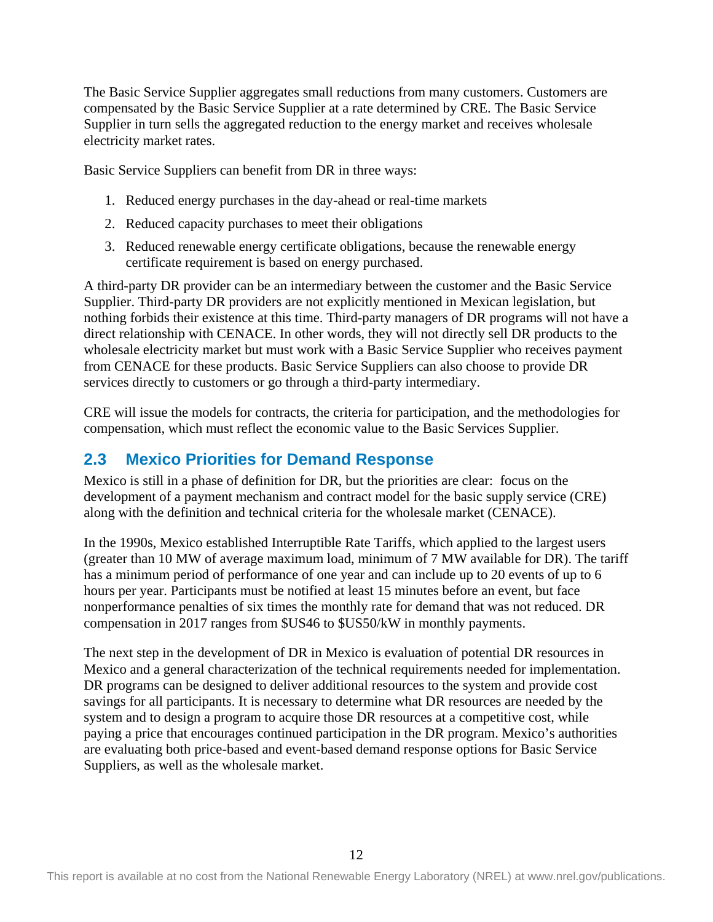The Basic Service Supplier aggregates small reductions from many customers. Customers are compensated by the Basic Service Supplier at a rate determined by CRE. The Basic Service Supplier in turn sells the aggregated reduction to the energy market and receives wholesale electricity market rates.

Basic Service Suppliers can benefit from DR in three ways:

- 1. Reduced energy purchases in the day-ahead or real-time markets
- 2. Reduced capacity purchases to meet their obligations
- 3. Reduced renewable energy certificate obligations, because the renewable energy certificate requirement is based on energy purchased.

A third-party DR provider can be an intermediary between the customer and the Basic Service Supplier. Third-party DR providers are not explicitly mentioned in Mexican legislation, but nothing forbids their existence at this time. Third-party managers of DR programs will not have a direct relationship with CENACE. In other words, they will not directly sell DR products to the wholesale electricity market but must work with a Basic Service Supplier who receives payment from CENACE for these products. Basic Service Suppliers can also choose to provide DR services directly to customers or go through a third-party intermediary.

CRE will issue the models for contracts, the criteria for participation, and the methodologies for compensation, which must reflect the economic value to the Basic Services Supplier.

## <span id="page-17-0"></span>**2.3 Mexico Priorities for Demand Response**

Mexico is still in a phase of definition for DR, but the priorities are clear: focus on the development of a payment mechanism and contract model for the basic supply service (CRE) along with the definition and technical criteria for the wholesale market (CENACE).

In the 1990s, Mexico established Interruptible Rate Tariffs, which applied to the largest users (greater than 10 MW of average maximum load, minimum of 7 MW available for DR). The tariff has a minimum period of performance of one year and can include up to 20 events of up to 6 hours per year. Participants must be notified at least 15 minutes before an event, but face nonperformance penalties of six times the monthly rate for demand that was not reduced. DR compensation in 2017 ranges from \$US46 to \$US50/kW in monthly payments.

The next step in the development of DR in Mexico is evaluation of potential DR resources in Mexico and a general characterization of the technical requirements needed for implementation. DR programs can be designed to deliver additional resources to the system and provide cost savings for all participants. It is necessary to determine what DR resources are needed by the system and to design a program to acquire those DR resources at a competitive cost, while paying a price that encourages continued participation in the DR program. Mexico's authorities are evaluating both price-based and event-based demand response options for Basic Service Suppliers, as well as the wholesale market.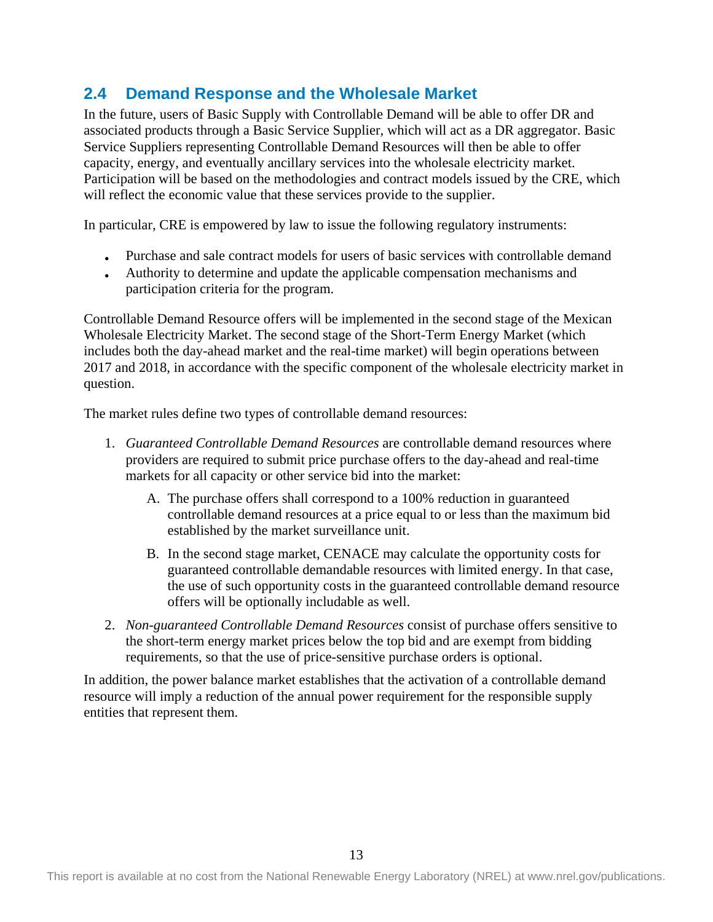## <span id="page-18-0"></span>**2.4 Demand Response and the Wholesale Market**

In the future, users of Basic Supply with Controllable Demand will be able to offer DR and associated products through a Basic Service Supplier, which will act as a DR aggregator. Basic Service Suppliers representing Controllable Demand Resources will then be able to offer capacity, energy, and eventually ancillary services into the wholesale electricity market. Participation will be based on the methodologies and contract models issued by the CRE, which will reflect the economic value that these services provide to the supplier.

In particular, CRE is empowered by law to issue the following regulatory instruments:

- Purchase and sale contract models for users of basic services with controllable demand
- Authority to determine and update the applicable compensation mechanisms and participation criteria for the program.

Controllable Demand Resource offers will be implemented in the second stage of the Mexican Wholesale Electricity Market. The second stage of the Short-Term Energy Market (which includes both the day-ahead market and the real-time market) will begin operations between 2017 and 2018, in accordance with the specific component of the wholesale electricity market in question.

The market rules define two types of controllable demand resources:

- 1. *Guaranteed Controllable Demand Resources* are controllable demand resources where providers are required to submit price purchase offers to the day-ahead and real-time markets for all capacity or other service bid into the market:
	- A. The purchase offers shall correspond to a 100% reduction in guaranteed controllable demand resources at a price equal to or less than the maximum bid established by the market surveillance unit.
	- B. In the second stage market, CENACE may calculate the opportunity costs for guaranteed controllable demandable resources with limited energy. In that case, the use of such opportunity costs in the guaranteed controllable demand resource offers will be optionally includable as well.
- 2. *Non-guaranteed Controllable Demand Resources* consist of purchase offers sensitive to the short-term energy market prices below the top bid and are exempt from bidding requirements, so that the use of price-sensitive purchase orders is optional.

In addition, the power balance market establishes that the activation of a controllable demand resource will imply a reduction of the annual power requirement for the responsible supply entities that represent them.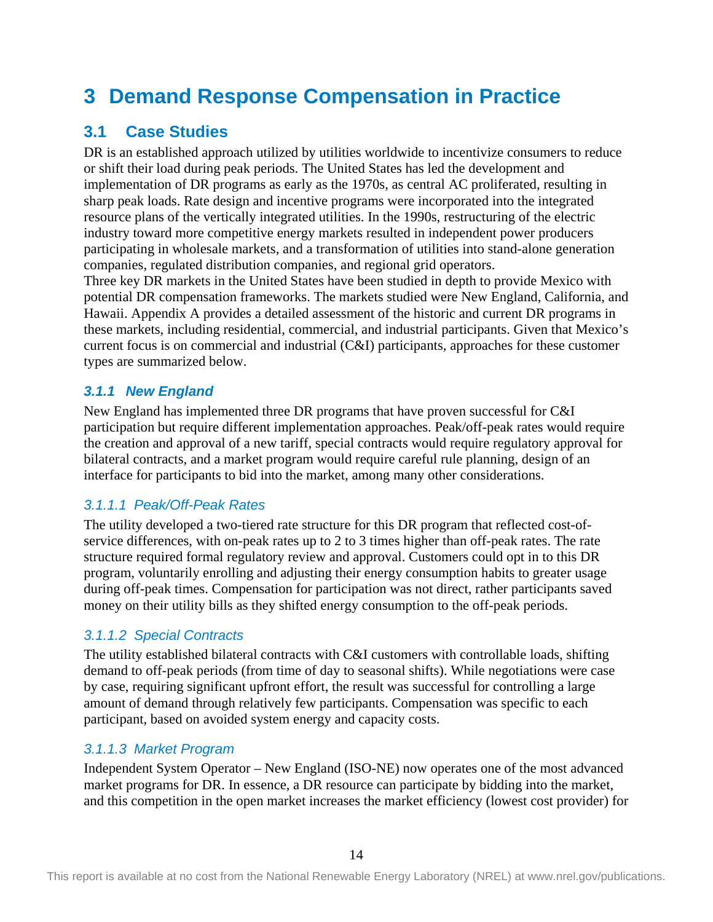# <span id="page-19-0"></span>**3 Demand Response Compensation in Practice**

# <span id="page-19-1"></span>**3.1 Case Studies**

DR is an established approach utilized by utilities worldwide to incentivize consumers to reduce or shift their load during peak periods. The United States has led the development and implementation of DR programs as early as the 1970s, as central AC proliferated, resulting in sharp peak loads. Rate design and incentive programs were incorporated into the integrated resource plans of the vertically integrated utilities. In the 1990s, restructuring of the electric industry toward more competitive energy markets resulted in independent power producers participating in wholesale markets, and a transformation of utilities into stand-alone generation companies, regulated distribution companies, and regional grid operators.

Three key DR markets in the United States have been studied in depth to provide Mexico with potential DR compensation frameworks. The markets studied were New England, California, and Hawaii. Appendix A provides a detailed assessment of the historic and current DR programs in these markets, including residential, commercial, and industrial participants. Given that Mexico's current focus is on commercial and industrial (C&I) participants, approaches for these customer types are summarized below.

## <span id="page-19-2"></span>*3.1.1 New England*

New England has implemented three DR programs that have proven successful for C&I participation but require different implementation approaches. Peak/off-peak rates would require the creation and approval of a new tariff, special contracts would require regulatory approval for bilateral contracts, and a market program would require careful rule planning, design of an interface for participants to bid into the market, among many other considerations.

## *3.1.1.1 Peak/Off-Peak Rates*

The utility developed a two-tiered rate structure for this DR program that reflected cost-ofservice differences, with on-peak rates up to 2 to 3 times higher than off-peak rates. The rate structure required formal regulatory review and approval. Customers could opt in to this DR program, voluntarily enrolling and adjusting their energy consumption habits to greater usage during off-peak times. Compensation for participation was not direct, rather participants saved money on their utility bills as they shifted energy consumption to the off-peak periods.

## *3.1.1.2 Special Contracts*

The utility established bilateral contracts with C&I customers with controllable loads, shifting demand to off-peak periods (from time of day to seasonal shifts). While negotiations were case by case, requiring significant upfront effort, the result was successful for controlling a large amount of demand through relatively few participants. Compensation was specific to each participant, based on avoided system energy and capacity costs.

## *3.1.1.3 Market Program*

Independent System Operator – New England (ISO-NE) now operates one of the most advanced market programs for DR. In essence, a DR resource can participate by bidding into the market, and this competition in the open market increases the market efficiency (lowest cost provider) for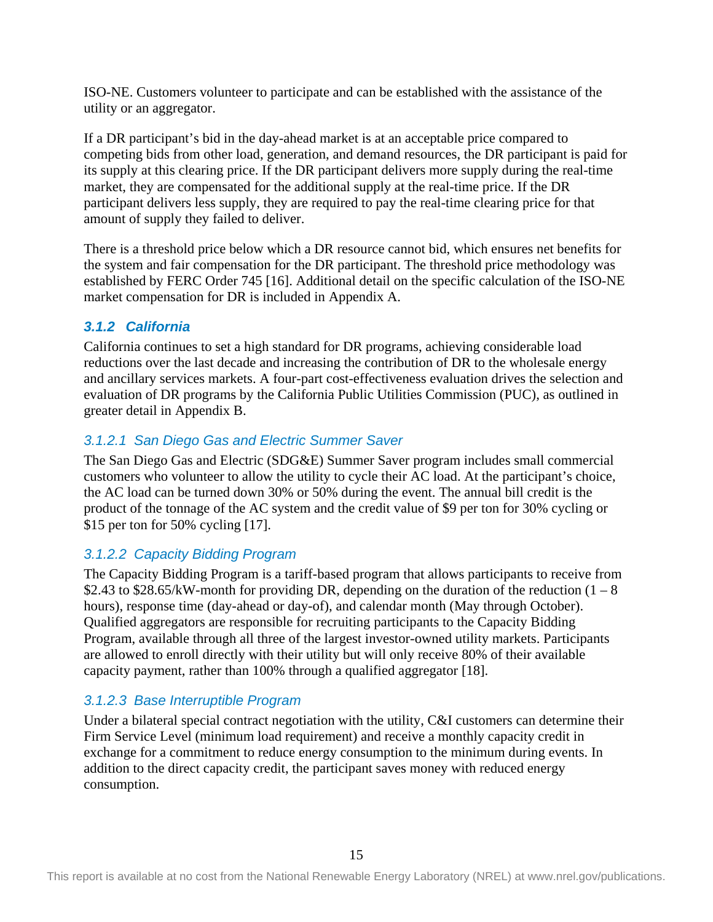ISO-NE. Customers volunteer to participate and can be established with the assistance of the utility or an aggregator.

If a DR participant's bid in the day-ahead market is at an acceptable price compared to competing bids from other load, generation, and demand resources, the DR participant is paid for its supply at this clearing price. If the DR participant delivers more supply during the real-time market, they are compensated for the additional supply at the real-time price. If the DR participant delivers less supply, they are required to pay the real-time clearing price for that amount of supply they failed to deliver.

There is a threshold price below which a DR resource cannot bid, which ensures net benefits for the system and fair compensation for the DR participant. The threshold price methodology was established by FERC Order 745 [16]. Additional detail on the specific calculation of the ISO-NE market compensation for DR is included in Appendix A.

### <span id="page-20-0"></span>*3.1.2 California*

California continues to set a high standard for DR programs, achieving considerable load reductions over the last decade and increasing the contribution of DR to the wholesale energy and ancillary services markets. A four-part cost-effectiveness evaluation drives the selection and evaluation of DR programs by the California Public Utilities Commission (PUC), as outlined in greater detail in Appendix B.

### *3.1.2.1 San Diego Gas and Electric Summer Saver*

The San Diego Gas and Electric (SDG&E) Summer Saver program includes small commercial customers who volunteer to allow the utility to cycle their AC load. At the participant's choice, the AC load can be turned down 30% or 50% during the event. The annual bill credit is the product of the tonnage of the AC system and the credit value of \$9 per ton for 30% cycling or \$15 per ton for 50% cycling [17].

### *3.1.2.2 Capacity Bidding Program*

The Capacity Bidding Program is a tariff-based program that allows participants to receive from \$2.43 to \$28.65/kW-month for providing DR, depending on the duration of the reduction  $(1 - 8)$ hours), response time (day-ahead or day-of), and calendar month (May through October). Qualified aggregators are responsible for recruiting participants to the Capacity Bidding Program, available through all three of the largest investor-owned utility markets. Participants are allowed to enroll directly with their utility but will only receive 80% of their available capacity payment, rather than 100% through a qualified aggregator [18].

## *3.1.2.3 Base Interruptible Program*

Under a bilateral special contract negotiation with the utility, C&I customers can determine their Firm Service Level (minimum load requirement) and receive a monthly capacity credit in exchange for a commitment to reduce energy consumption to the minimum during events. In addition to the direct capacity credit, the participant saves money with reduced energy consumption.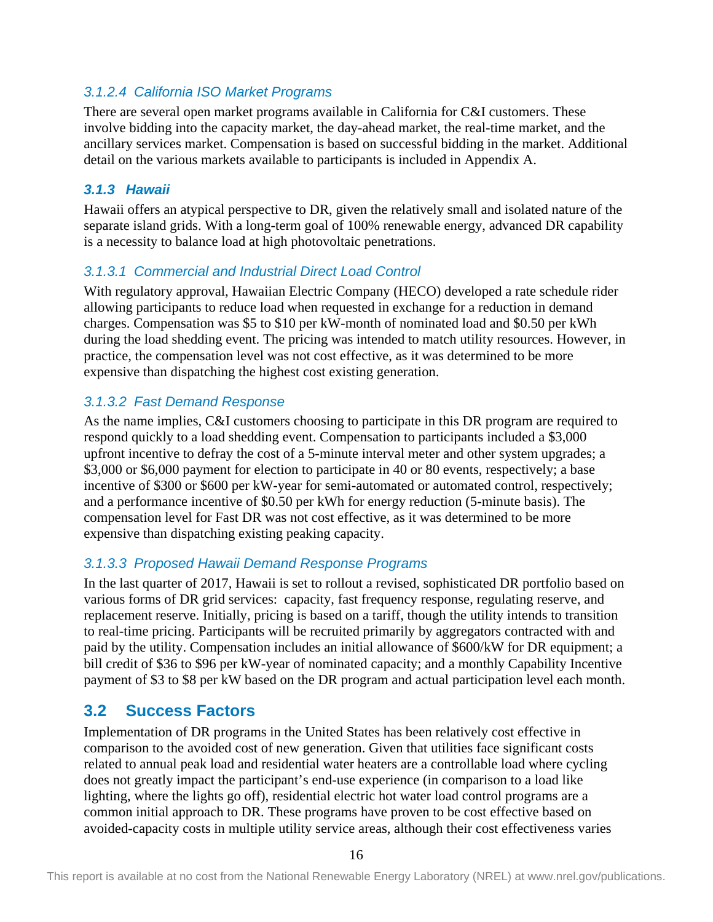## *3.1.2.4 California ISO Market Programs*

There are several open market programs available in California for C&I customers. These involve bidding into the capacity market, the day-ahead market, the real-time market, and the ancillary services market. Compensation is based on successful bidding in the market. Additional detail on the various markets available to participants is included in Appendix A.

### <span id="page-21-0"></span>*3.1.3 Hawaii*

Hawaii offers an atypical perspective to DR, given the relatively small and isolated nature of the separate island grids. With a long-term goal of 100% renewable energy, advanced DR capability is a necessity to balance load at high photovoltaic penetrations.

## *3.1.3.1 Commercial and Industrial Direct Load Control*

With regulatory approval, Hawaiian Electric Company (HECO) developed a rate schedule rider allowing participants to reduce load when requested in exchange for a reduction in demand charges. Compensation was \$5 to \$10 per kW-month of nominated load and \$0.50 per kWh during the load shedding event. The pricing was intended to match utility resources. However, in practice, the compensation level was not cost effective, as it was determined to be more expensive than dispatching the highest cost existing generation.

### *3.1.3.2 Fast Demand Response*

As the name implies, C&I customers choosing to participate in this DR program are required to respond quickly to a load shedding event. Compensation to participants included a \$3,000 upfront incentive to defray the cost of a 5-minute interval meter and other system upgrades; a \$3,000 or \$6,000 payment for election to participate in 40 or 80 events, respectively; a base incentive of \$300 or \$600 per kW-year for semi-automated or automated control, respectively; and a performance incentive of \$0.50 per kWh for energy reduction (5-minute basis). The compensation level for Fast DR was not cost effective, as it was determined to be more expensive than dispatching existing peaking capacity.

### *3.1.3.3 Proposed Hawaii Demand Response Programs*

In the last quarter of 2017, Hawaii is set to rollout a revised, sophisticated DR portfolio based on various forms of DR grid services: capacity, fast frequency response, regulating reserve, and replacement reserve. Initially, pricing is based on a tariff, though the utility intends to transition to real-time pricing. Participants will be recruited primarily by aggregators contracted with and paid by the utility. Compensation includes an initial allowance of \$600/kW for DR equipment; a bill credit of \$36 to \$96 per kW-year of nominated capacity; and a monthly Capability Incentive payment of \$3 to \$8 per kW based on the DR program and actual participation level each month.

## <span id="page-21-1"></span>**3.2 Success Factors**

Implementation of DR programs in the United States has been relatively cost effective in comparison to the avoided cost of new generation. Given that utilities face significant costs related to annual peak load and residential water heaters are a controllable load where cycling does not greatly impact the participant's end-use experience (in comparison to a load like lighting, where the lights go off), residential electric hot water load control programs are a common initial approach to DR. These programs have proven to be cost effective based on avoided-capacity costs in multiple utility service areas, although their cost effectiveness varies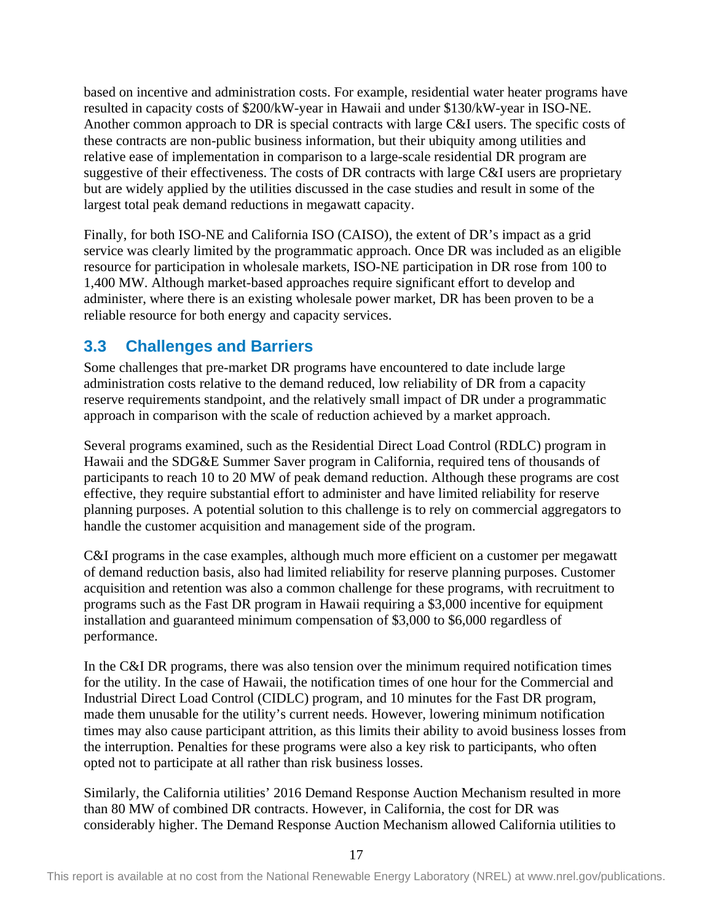based on incentive and administration costs. For example, residential water heater programs have resulted in capacity costs of \$200/kW-year in Hawaii and under \$130/kW-year in ISO-NE. Another common approach to DR is special contracts with large C&I users. The specific costs of these contracts are non-public business information, but their ubiquity among utilities and relative ease of implementation in comparison to a large-scale residential DR program are suggestive of their effectiveness. The costs of DR contracts with large C&I users are proprietary but are widely applied by the utilities discussed in the case studies and result in some of the largest total peak demand reductions in megawatt capacity.

Finally, for both ISO-NE and California ISO (CAISO), the extent of DR's impact as a grid service was clearly limited by the programmatic approach. Once DR was included as an eligible resource for participation in wholesale markets, ISO-NE participation in DR rose from 100 to 1,400 MW. Although market-based approaches require significant effort to develop and administer, where there is an existing wholesale power market, DR has been proven to be a reliable resource for both energy and capacity services.

## <span id="page-22-0"></span>**3.3 Challenges and Barriers**

Some challenges that pre-market DR programs have encountered to date include large administration costs relative to the demand reduced, low reliability of DR from a capacity reserve requirements standpoint, and the relatively small impact of DR under a programmatic approach in comparison with the scale of reduction achieved by a market approach.

Several programs examined, such as the Residential Direct Load Control (RDLC) program in Hawaii and the SDG&E Summer Saver program in California, required tens of thousands of participants to reach 10 to 20 MW of peak demand reduction. Although these programs are cost effective, they require substantial effort to administer and have limited reliability for reserve planning purposes. A potential solution to this challenge is to rely on commercial aggregators to handle the customer acquisition and management side of the program.

C&I programs in the case examples, although much more efficient on a customer per megawatt of demand reduction basis, also had limited reliability for reserve planning purposes. Customer acquisition and retention was also a common challenge for these programs, with recruitment to programs such as the Fast DR program in Hawaii requiring a \$3,000 incentive for equipment installation and guaranteed minimum compensation of \$3,000 to \$6,000 regardless of performance.

In the C&I DR programs, there was also tension over the minimum required notification times for the utility. In the case of Hawaii, the notification times of one hour for the Commercial and Industrial Direct Load Control (CIDLC) program, and 10 minutes for the Fast DR program, made them unusable for the utility's current needs. However, lowering minimum notification times may also cause participant attrition, as this limits their ability to avoid business losses from the interruption. Penalties for these programs were also a key risk to participants, who often opted not to participate at all rather than risk business losses.

Similarly, the California utilities' 2016 Demand Response Auction Mechanism resulted in more than 80 MW of combined DR contracts. However, in California, the cost for DR was considerably higher. The Demand Response Auction Mechanism allowed California utilities to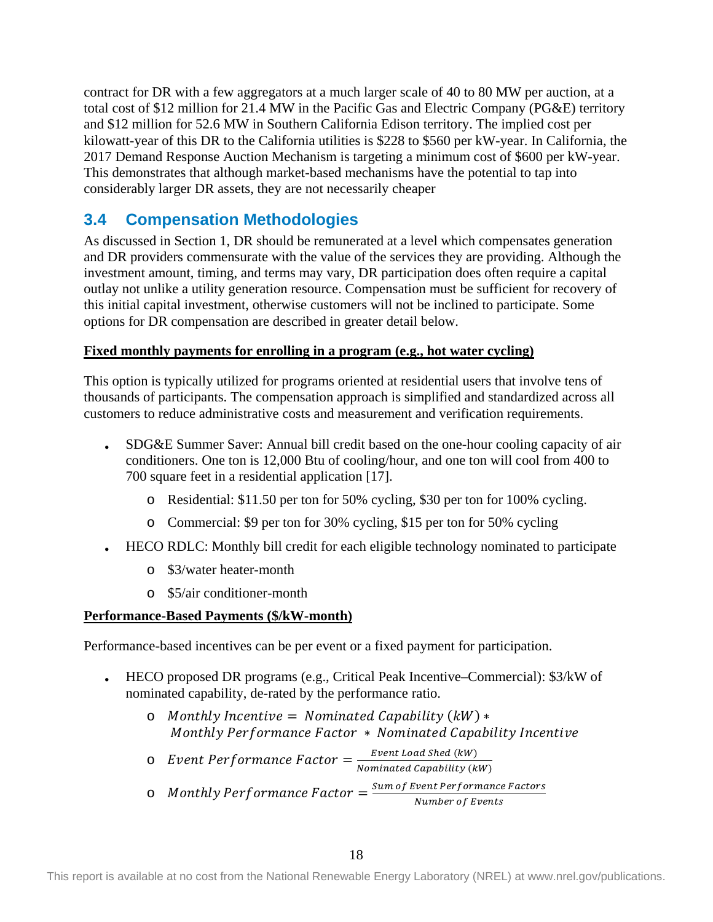contract for DR with a few aggregators at a much larger scale of 40 to 80 MW per auction, at a total cost of \$12 million for 21.4 MW in the Pacific Gas and Electric Company (PG&E) territory and \$12 million for 52.6 MW in Southern California Edison territory. The implied cost per kilowatt-year of this DR to the California utilities is \$228 to \$560 per kW-year. In California, the 2017 Demand Response Auction Mechanism is targeting a minimum cost of \$600 per kW-year. This demonstrates that although market-based mechanisms have the potential to tap into considerably larger DR assets, they are not necessarily cheaper

## <span id="page-23-0"></span>**3.4 Compensation Methodologies**

As discussed in Section 1, DR should be remunerated at a level which compensates generation and DR providers commensurate with the value of the services they are providing. Although the investment amount, timing, and terms may vary, DR participation does often require a capital outlay not unlike a utility generation resource. Compensation must be sufficient for recovery of this initial capital investment, otherwise customers will not be inclined to participate. Some options for DR compensation are described in greater detail below.

### **Fixed monthly payments for enrolling in a program (e.g., hot water cycling)**

This option is typically utilized for programs oriented at residential users that involve tens of thousands of participants. The compensation approach is simplified and standardized across all customers to reduce administrative costs and measurement and verification requirements.

- SDG&E Summer Saver: Annual bill credit based on the one-hour cooling capacity of air conditioners. One ton is 12,000 Btu of cooling/hour, and one ton will cool from 400 to 700 square feet in a residential application [17].
	- o Residential: \$11.50 per ton for 50% cycling, \$30 per ton for 100% cycling.
	- o Commercial: \$9 per ton for 30% cycling, \$15 per ton for 50% cycling
- HECO RDLC: Monthly bill credit for each eligible technology nominated to participate
	- o \$3/water heater-month
	- o \$5/air conditioner-month

### **Performance-Based Payments (\$/kW-month)**

Performance-based incentives can be per event or a fixed payment for participation.

- HECO proposed DR programs (e.g., Critical Peak Incentive–Commercial): \$3/kW of nominated capability, de-rated by the performance ratio.
	- $\circ$  Monthly Incentive = Nominated Capability (kW)  $*$ Monthly Performance Factor \* Nominated Capability Incentive
	- $\circ$  Event Performance Factor  $=\frac{Event\; Load\;Shed\;(kW)}{Nominated\;Capability\;(kW)}$
	- o Monthly Performance Factor =  $\frac{Sum\ of\ Event\ Performance\ Factors}{Number\ of\ Events}$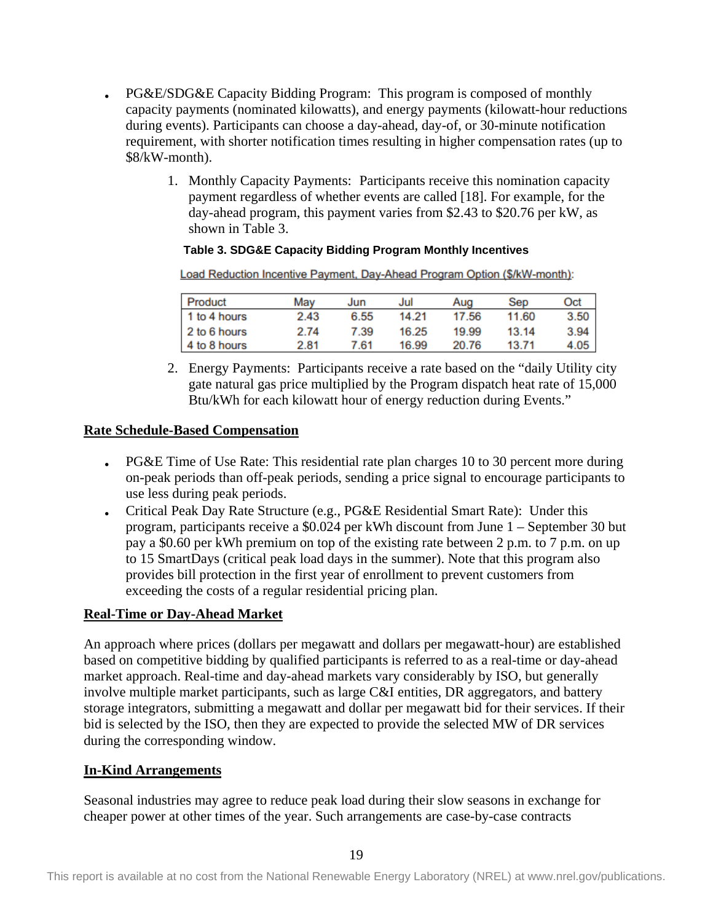- PG&E/SDG&E Capacity Bidding Program: This program is composed of monthly capacity payments (nominated kilowatts), and energy payments (kilowatt-hour reductions during events). Participants can choose a day-ahead, day-of, or 30-minute notification requirement, with shorter notification times resulting in higher compensation rates (up to \$8/kW-month).
	- 1. Monthly Capacity Payments: Participants receive this nomination capacity payment regardless of whether events are called [18]. For example, for the day-ahead program, this payment varies from \$2.43 to \$20.76 per kW, as shown in Table 3.

#### **Table 3. SDG&E Capacity Bidding Program Monthly Incentives**

<span id="page-24-0"></span>Load Reduction Incentive Payment, Day-Ahead Program Option (\$/kW-month):

| Product      | Mav  | Jun  | Jul   | Aug   | Sep   | Oct  |
|--------------|------|------|-------|-------|-------|------|
| 1 to 4 hours | 2.43 | 6.55 | 14.21 | 17.56 | 11.60 | 3.50 |
| 2 to 6 hours | 2.74 | 7.39 | 16.25 | 19.99 | 13.14 | 3.94 |
| 4 to 8 hours | 2.81 | 7.61 | 16.99 | 20.76 | 13.71 | 4.05 |

2. Energy Payments: Participants receive a rate based on the "daily Utility city gate natural gas price multiplied by the Program dispatch heat rate of 15,000 Btu/kWh for each kilowatt hour of energy reduction during Events."

#### **Rate Schedule-Based Compensation**

- PG&E Time of Use Rate: This residential rate plan charges 10 to 30 percent more during on-peak periods than off-peak periods, sending a price signal to encourage participants to use less during peak periods.
- Critical Peak Day Rate Structure (e.g., PG&E Residential Smart Rate): Under this program, participants receive a \$0.024 per kWh discount from June 1 – September 30 but pay a \$0.60 per kWh premium on top of the existing rate between 2 p.m. to 7 p.m. on up to 15 SmartDays (critical peak load days in the summer). Note that this program also provides bill protection in the first year of enrollment to prevent customers from exceeding the costs of a regular residential pricing plan.

### **Real-Time or Day-Ahead Market**

An approach where prices (dollars per megawatt and dollars per megawatt-hour) are established based on competitive bidding by qualified participants is referred to as a real-time or day-ahead market approach. Real-time and day-ahead markets vary considerably by ISO, but generally involve multiple market participants, such as large C&I entities, DR aggregators, and battery storage integrators, submitting a megawatt and dollar per megawatt bid for their services. If their bid is selected by the ISO, then they are expected to provide the selected MW of DR services during the corresponding window.

#### **In-Kind Arrangements**

Seasonal industries may agree to reduce peak load during their slow seasons in exchange for cheaper power at other times of the year. Such arrangements are case-by-case contracts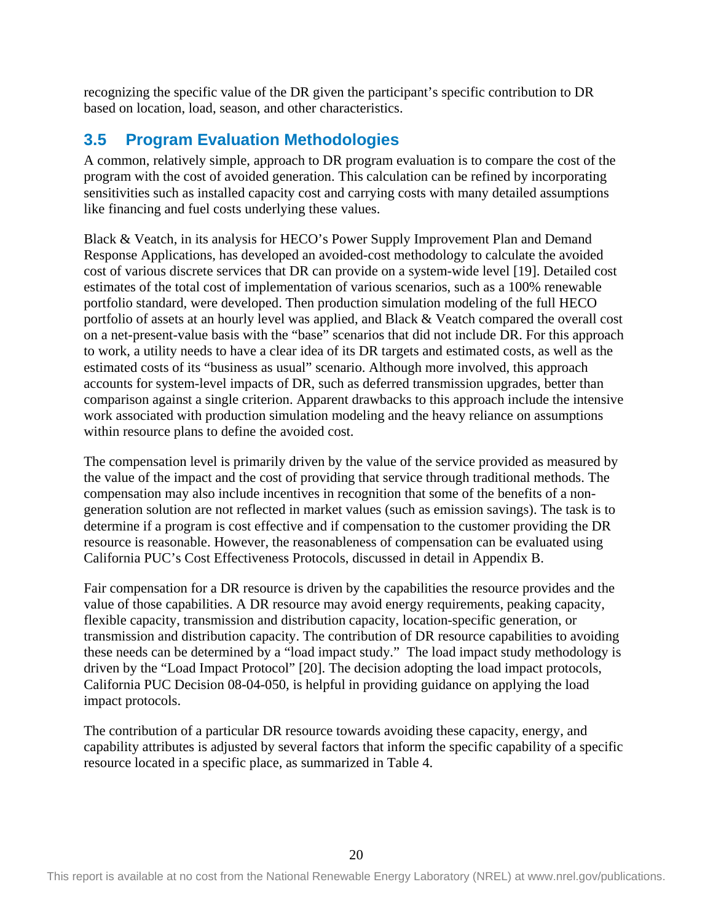recognizing the specific value of the DR given the participant's specific contribution to DR based on location, load, season, and other characteristics.

# <span id="page-25-0"></span>**3.5 Program Evaluation Methodologies**

A common, relatively simple, approach to DR program evaluation is to compare the cost of the program with the cost of avoided generation. This calculation can be refined by incorporating sensitivities such as installed capacity cost and carrying costs with many detailed assumptions like financing and fuel costs underlying these values.

Black & Veatch, in its analysis for HECO's Power Supply Improvement Plan and Demand Response Applications, has developed an avoided-cost methodology to calculate the avoided cost of various discrete services that DR can provide on a system-wide level [19]. Detailed cost estimates of the total cost of implementation of various scenarios, such as a 100% renewable portfolio standard, were developed. Then production simulation modeling of the full HECO portfolio of assets at an hourly level was applied, and Black & Veatch compared the overall cost on a net-present-value basis with the "base" scenarios that did not include DR. For this approach to work, a utility needs to have a clear idea of its DR targets and estimated costs, as well as the estimated costs of its "business as usual" scenario. Although more involved, this approach accounts for system-level impacts of DR, such as deferred transmission upgrades, better than comparison against a single criterion. Apparent drawbacks to this approach include the intensive work associated with production simulation modeling and the heavy reliance on assumptions within resource plans to define the avoided cost.

The compensation level is primarily driven by the value of the service provided as measured by the value of the impact and the cost of providing that service through traditional methods. The compensation may also include incentives in recognition that some of the benefits of a nongeneration solution are not reflected in market values (such as emission savings). The task is to determine if a program is cost effective and if compensation to the customer providing the DR resource is reasonable. However, the reasonableness of compensation can be evaluated using California PUC's Cost Effectiveness Protocols, discussed in detail in Appendix B.

Fair compensation for a DR resource is driven by the capabilities the resource provides and the value of those capabilities. A DR resource may avoid energy requirements, peaking capacity, flexible capacity, transmission and distribution capacity, location-specific generation, or transmission and distribution capacity. The contribution of DR resource capabilities to avoiding these needs can be determined by a "load impact study." The load impact study methodology is driven by the "Load Impact Protocol" [20]. The decision adopting the load impact protocols, California PUC Decision 08-04-050, is helpful in providing guidance on applying the load impact protocols.

The contribution of a particular DR resource towards avoiding these capacity, energy, and capability attributes is adjusted by several factors that inform the specific capability of a specific resource located in a specific place, as summarized in [Table 4.](#page-26-0)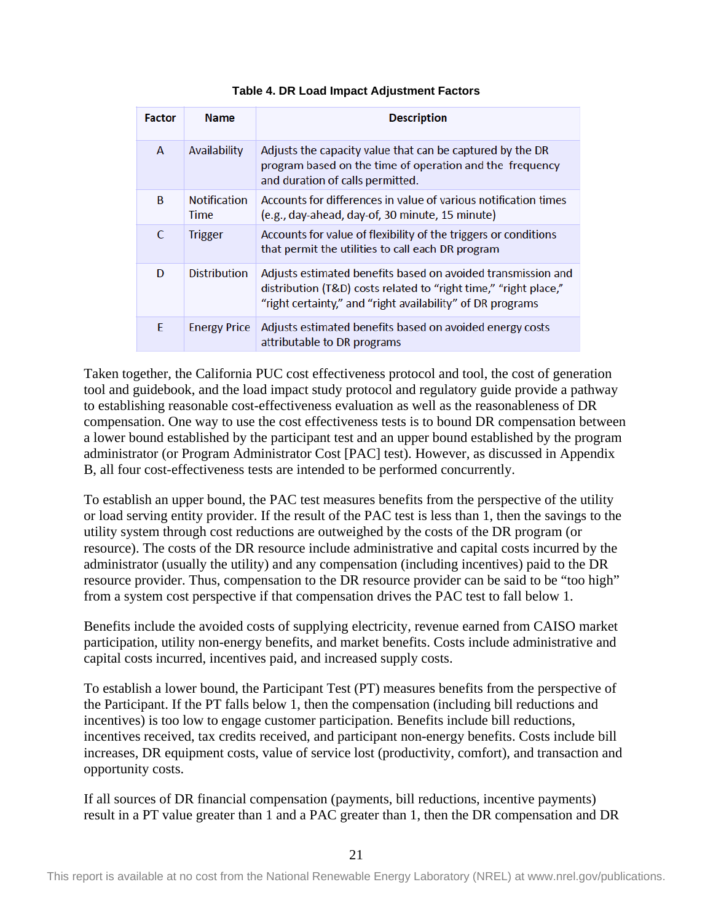<span id="page-26-0"></span>

| <b>Factor</b> | <b>Name</b>                        | <b>Description</b>                                                                                                                                                                             |
|---------------|------------------------------------|------------------------------------------------------------------------------------------------------------------------------------------------------------------------------------------------|
| A             | Availability                       | Adjusts the capacity value that can be captured by the DR<br>program based on the time of operation and the frequency<br>and duration of calls permitted.                                      |
| B             | <b>Notification</b><br><b>Time</b> | Accounts for differences in value of various notification times<br>(e.g., day-ahead, day-of, 30 minute, 15 minute)                                                                             |
| C             | <b>Trigger</b>                     | Accounts for value of flexibility of the triggers or conditions<br>that permit the utilities to call each DR program                                                                           |
| D             | <b>Distribution</b>                | Adjusts estimated benefits based on avoided transmission and<br>distribution (T&D) costs related to "right time," "right place,"<br>"right certainty," and "right availability" of DR programs |
| E             | <b>Energy Price</b>                | Adjusts estimated benefits based on avoided energy costs<br>attributable to DR programs                                                                                                        |

#### **Table 4. DR Load Impact Adjustment Factors**

Taken together, the California PUC cost effectiveness protocol and tool, the cost of generation tool and guidebook, and the load impact study protocol and regulatory guide provide a pathway to establishing reasonable cost-effectiveness evaluation as well as the reasonableness of DR compensation. One way to use the cost effectiveness tests is to bound DR compensation between a lower bound established by the participant test and an upper bound established by the program administrator (or Program Administrator Cost [PAC] test). However, as discussed in Appendix B, all four cost-effectiveness tests are intended to be performed concurrently.

To establish an upper bound, the PAC test measures benefits from the perspective of the utility or load serving entity provider. If the result of the PAC test is less than 1, then the savings to the utility system through cost reductions are outweighed by the costs of the DR program (or resource). The costs of the DR resource include administrative and capital costs incurred by the administrator (usually the utility) and any compensation (including incentives) paid to the DR resource provider. Thus, compensation to the DR resource provider can be said to be "too high" from a system cost perspective if that compensation drives the PAC test to fall below 1.

Benefits include the avoided costs of supplying electricity, revenue earned from CAISO market participation, utility non-energy benefits, and market benefits. Costs include administrative and capital costs incurred, incentives paid, and increased supply costs.

To establish a lower bound, the Participant Test (PT) measures benefits from the perspective of the Participant. If the PT falls below 1, then the compensation (including bill reductions and incentives) is too low to engage customer participation. Benefits include bill reductions, incentives received, tax credits received, and participant non-energy benefits. Costs include bill increases, DR equipment costs, value of service lost (productivity, comfort), and transaction and opportunity costs.

If all sources of DR financial compensation (payments, bill reductions, incentive payments) result in a PT value greater than 1 and a PAC greater than 1, then the DR compensation and DR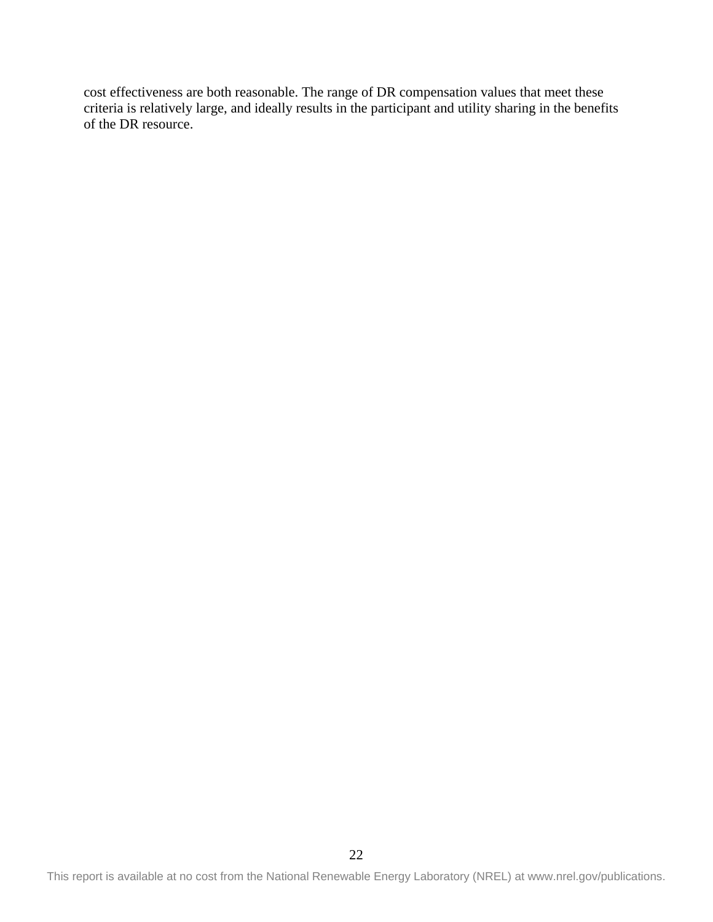cost effectiveness are both reasonable. The range of DR compensation values that meet these criteria is relatively large, and ideally results in the participant and utility sharing in the benefits of the DR resource.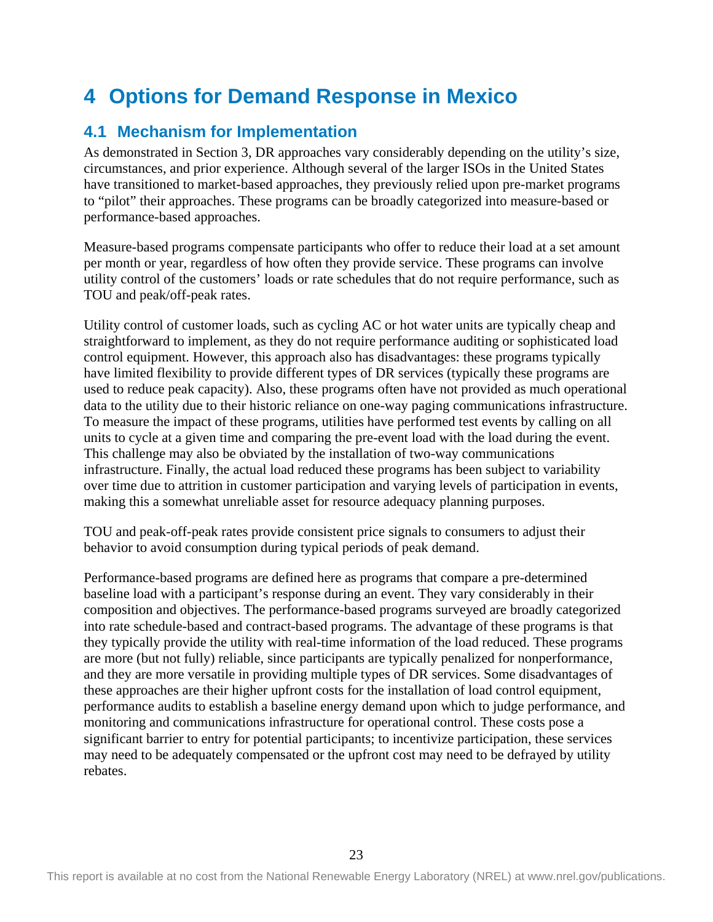# <span id="page-28-0"></span>**4 Options for Demand Response in Mexico**

# <span id="page-28-1"></span>**4.1 Mechanism for Implementation**

As demonstrated in Section 3, DR approaches vary considerably depending on the utility's size, circumstances, and prior experience. Although several of the larger ISOs in the United States have transitioned to market-based approaches, they previously relied upon pre-market programs to "pilot" their approaches. These programs can be broadly categorized into measure-based or performance-based approaches.

Measure-based programs compensate participants who offer to reduce their load at a set amount per month or year, regardless of how often they provide service. These programs can involve utility control of the customers' loads or rate schedules that do not require performance, such as TOU and peak/off-peak rates.

Utility control of customer loads, such as cycling AC or hot water units are typically cheap and straightforward to implement, as they do not require performance auditing or sophisticated load control equipment. However, this approach also has disadvantages: these programs typically have limited flexibility to provide different types of DR services (typically these programs are used to reduce peak capacity). Also, these programs often have not provided as much operational data to the utility due to their historic reliance on one-way paging communications infrastructure. To measure the impact of these programs, utilities have performed test events by calling on all units to cycle at a given time and comparing the pre-event load with the load during the event. This challenge may also be obviated by the installation of two-way communications infrastructure. Finally, the actual load reduced these programs has been subject to variability over time due to attrition in customer participation and varying levels of participation in events, making this a somewhat unreliable asset for resource adequacy planning purposes.

TOU and peak-off-peak rates provide consistent price signals to consumers to adjust their behavior to avoid consumption during typical periods of peak demand.

Performance-based programs are defined here as programs that compare a pre-determined baseline load with a participant's response during an event. They vary considerably in their composition and objectives. The performance-based programs surveyed are broadly categorized into rate schedule-based and contract-based programs. The advantage of these programs is that they typically provide the utility with real-time information of the load reduced. These programs are more (but not fully) reliable, since participants are typically penalized for nonperformance, and they are more versatile in providing multiple types of DR services. Some disadvantages of these approaches are their higher upfront costs for the installation of load control equipment, performance audits to establish a baseline energy demand upon which to judge performance, and monitoring and communications infrastructure for operational control. These costs pose a significant barrier to entry for potential participants; to incentivize participation, these services may need to be adequately compensated or the upfront cost may need to be defrayed by utility rebates.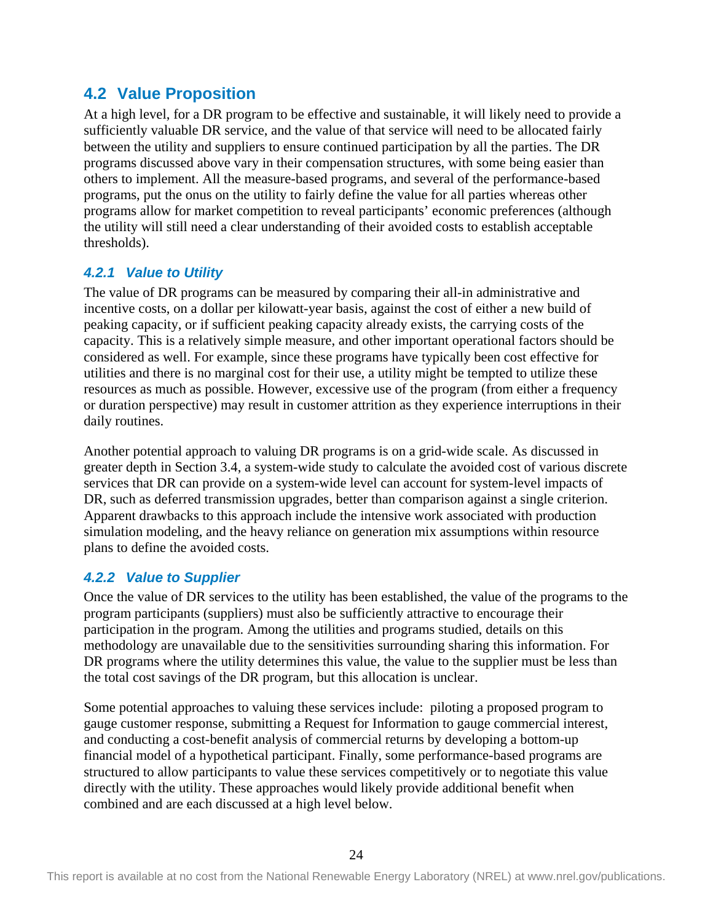## <span id="page-29-0"></span>**4.2 Value Proposition**

At a high level, for a DR program to be effective and sustainable, it will likely need to provide a sufficiently valuable DR service, and the value of that service will need to be allocated fairly between the utility and suppliers to ensure continued participation by all the parties. The DR programs discussed above vary in their compensation structures, with some being easier than others to implement. All the measure-based programs, and several of the performance-based programs, put the onus on the utility to fairly define the value for all parties whereas other programs allow for market competition to reveal participants' economic preferences (although the utility will still need a clear understanding of their avoided costs to establish acceptable thresholds).

## <span id="page-29-1"></span>*4.2.1 Value to Utility*

The value of DR programs can be measured by comparing their all-in administrative and incentive costs, on a dollar per kilowatt-year basis, against the cost of either a new build of peaking capacity, or if sufficient peaking capacity already exists, the carrying costs of the capacity. This is a relatively simple measure, and other important operational factors should be considered as well. For example, since these programs have typically been cost effective for utilities and there is no marginal cost for their use, a utility might be tempted to utilize these resources as much as possible. However, excessive use of the program (from either a frequency or duration perspective) may result in customer attrition as they experience interruptions in their daily routines.

Another potential approach to valuing DR programs is on a grid-wide scale. As discussed in greater depth in Section 3.4, a system-wide study to calculate the avoided cost of various discrete services that DR can provide on a system-wide level can account for system-level impacts of DR, such as deferred transmission upgrades, better than comparison against a single criterion. Apparent drawbacks to this approach include the intensive work associated with production simulation modeling, and the heavy reliance on generation mix assumptions within resource plans to define the avoided costs.

## <span id="page-29-2"></span>*4.2.2 Value to Supplier*

Once the value of DR services to the utility has been established, the value of the programs to the program participants (suppliers) must also be sufficiently attractive to encourage their participation in the program. Among the utilities and programs studied, details on this methodology are unavailable due to the sensitivities surrounding sharing this information. For DR programs where the utility determines this value, the value to the supplier must be less than the total cost savings of the DR program, but this allocation is unclear.

Some potential approaches to valuing these services include: piloting a proposed program to gauge customer response, submitting a Request for Information to gauge commercial interest, and conducting a cost-benefit analysis of commercial returns by developing a bottom-up financial model of a hypothetical participant. Finally, some performance-based programs are structured to allow participants to value these services competitively or to negotiate this value directly with the utility. These approaches would likely provide additional benefit when combined and are each discussed at a high level below.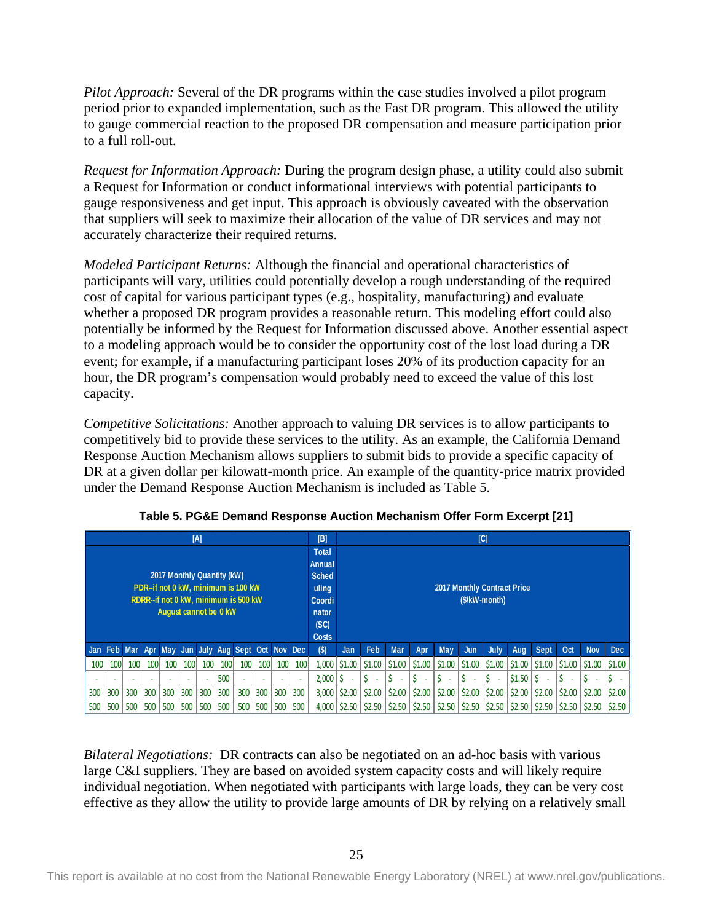*Pilot Approach:* Several of the DR programs within the case studies involved a pilot program period prior to expanded implementation, such as the Fast DR program. This allowed the utility to gauge commercial reaction to the proposed DR compensation and measure participation prior to a full roll-out.

*Request for Information Approach:* During the program design phase, a utility could also submit a Request for Information or conduct informational interviews with potential participants to gauge responsiveness and get input. This approach is obviously caveated with the observation that suppliers will seek to maximize their allocation of the value of DR services and may not accurately characterize their required returns.

*Modeled Participant Returns:* Although the financial and operational characteristics of participants will vary, utilities could potentially develop a rough understanding of the required cost of capital for various participant types (e.g., hospitality, manufacturing) and evaluate whether a proposed DR program provides a reasonable return. This modeling effort could also potentially be informed by the Request for Information discussed above. Another essential aspect to a modeling approach would be to consider the opportunity cost of the lost load during a DR event; for example, if a manufacturing participant loses 20% of its production capacity for an hour, the DR program's compensation would probably need to exceed the value of this lost capacity.

*Competitive Solicitations:* Another approach to valuing DR services is to allow participants to competitively bid to provide these services to the utility. As an example, the California Demand Response Auction Mechanism allows suppliers to submit bids to provide a specific capacity of DR at a given dollar per kilowatt-month price. An example of the quantity-price matrix provided under the Demand Response Auction Mechanism is included as Table 5.

<span id="page-30-0"></span>

|                                                                                                                                           |            |            |     |     |                                                                                            | [A] |     |                                       |                          |                                    |     | $[{\mathsf B}]$ |        |                      |               |        |                      |        | [C]    |                        |             |        |            |        |
|-------------------------------------------------------------------------------------------------------------------------------------------|------------|------------|-----|-----|--------------------------------------------------------------------------------------------|-----|-----|---------------------------------------|--------------------------|------------------------------------|-----|-----------------|--------|----------------------|---------------|--------|----------------------|--------|--------|------------------------|-------------|--------|------------|--------|
| 2017 Monthly Quantity (kW)<br>PDR--if not 0 kW, minimum is 100 kW<br>RDRR--if not 0 kW, minimum is 500 kW<br><b>August cannot be 0 kW</b> |            |            |     |     | <b>Total</b><br>Annual<br><b>Sched</b><br>uling<br>Coordi<br>nator<br>(SC)<br><b>Costs</b> |     |     |                                       |                          | <b>2017 Monthly Contract Price</b> |     | (\$/kW-month)   |        |                      |               |        |                      |        |        |                        |             |        |            |        |
| Jan                                                                                                                                       | <b>Feb</b> | <b>Mar</b> |     |     |                                                                                            |     |     | Apr May Jun July Aug Sept Oct Nov Dec |                          |                                    |     | $($ \$)         | Jan    | Feb                  | <b>Mar</b>    | Apr    | <b>May</b>           | Jun    | July   | Aug                    | <b>Sept</b> | Oct    | <b>Nov</b> | Dec    |
| 100                                                                                                                                       | 100        | 100        | 100 | 100 | 100                                                                                        | 100 | 100 | 100                                   | 100                      | 100                                | 100 | 1.000           | \$1.00 | $\frac{1}{2}$ \$1.00 | $\mid$ \$1.00 | \$1.00 | $\frac{1}{2}$ \$1.00 | 51.00  | \$1.00 | $\vert$ \$1.00 $\vert$ | 51.00       | \$1.00 | S1.00      | \$1.00 |
|                                                                                                                                           |            |            |     |     | ٠                                                                                          |     | 500 |                                       | $\overline{\phantom{a}}$ |                                    |     | 2,000           | ٠      |                      | ٠             | Ś<br>٠ |                      | $\sim$ | ٠      | \$1.50                 | ÷           | $\sim$ |            |        |
| 300                                                                                                                                       | 300        | 300        | 300 | 300 | 300                                                                                        | 300 | 300 | 300                                   | 300                      | 300                                | 300 | 3,000           | \$2.00 | \$2.00               | \$2.00        | \$2.00 | 52.00                | \$2.00 | \$2.00 | \$2.00                 | \$2.00      | \$2.00 | \$2.00     | \$2.00 |
| 500                                                                                                                                       | 500        | 500        | 500 | 500 | 500                                                                                        | 500 | 500 | 500                                   | 500                      | 500                                | 500 | 4.000           | \$2.50 | \$2.50               | 52.50         | \$2.50 | \$2.50               | \$2.50 | \$2.50 | \$2.50                 | \$2.50      | \$2.50 |            | \$2.50 |

**Table 5. PG&E Demand Response Auction Mechanism Offer Form Excerpt [21]** 

*Bilateral Negotiations:* DR contracts can also be negotiated on an ad-hoc basis with various large C&I suppliers. They are based on avoided system capacity costs and will likely require individual negotiation. When negotiated with participants with large loads, they can be very cost effective as they allow the utility to provide large amounts of DR by relying on a relatively small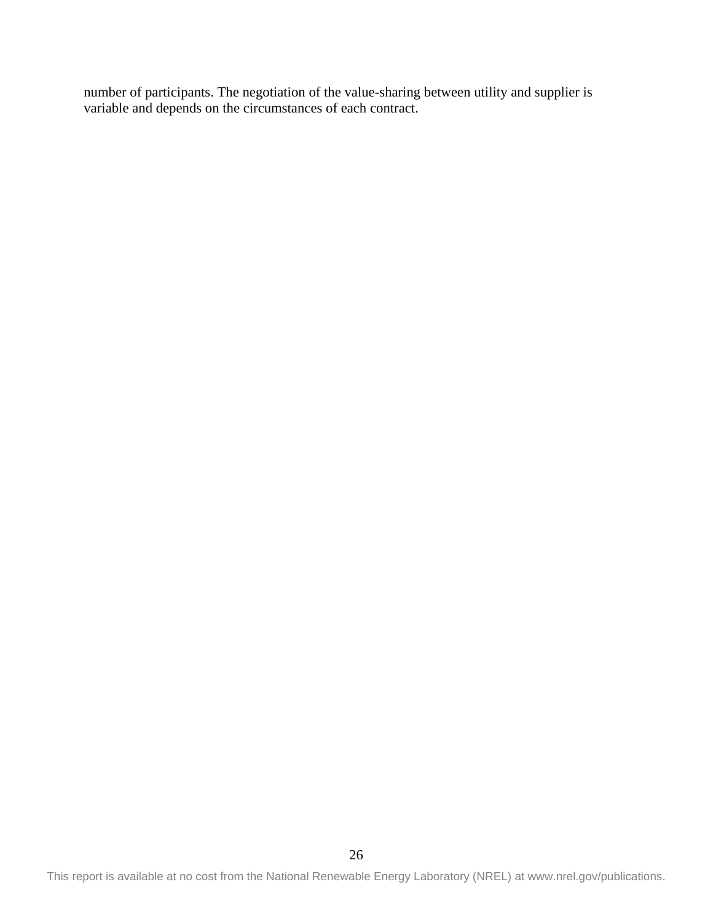number of participants. The negotiation of the value-sharing between utility and supplier is variable and depends on the circumstances of each contract.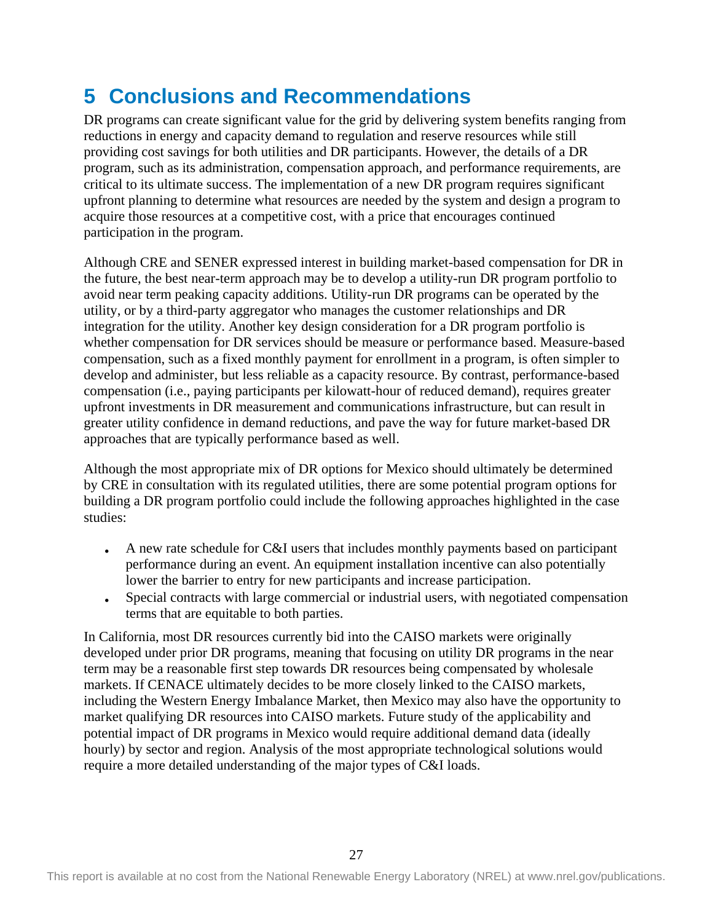# <span id="page-32-0"></span>**5 Conclusions and Recommendations**

DR programs can create significant value for the grid by delivering system benefits ranging from reductions in energy and capacity demand to regulation and reserve resources while still providing cost savings for both utilities and DR participants. However, the details of a DR program, such as its administration, compensation approach, and performance requirements, are critical to its ultimate success. The implementation of a new DR program requires significant upfront planning to determine what resources are needed by the system and design a program to acquire those resources at a competitive cost, with a price that encourages continued participation in the program.

Although CRE and SENER expressed interest in building market-based compensation for DR in the future, the best near-term approach may be to develop a utility-run DR program portfolio to avoid near term peaking capacity additions. Utility-run DR programs can be operated by the utility, or by a third-party aggregator who manages the customer relationships and DR integration for the utility. Another key design consideration for a DR program portfolio is whether compensation for DR services should be measure or performance based. Measure-based compensation, such as a fixed monthly payment for enrollment in a program, is often simpler to develop and administer, but less reliable as a capacity resource. By contrast, performance-based compensation (i.e., paying participants per kilowatt-hour of reduced demand), requires greater upfront investments in DR measurement and communications infrastructure, but can result in greater utility confidence in demand reductions, and pave the way for future market-based DR approaches that are typically performance based as well.

Although the most appropriate mix of DR options for Mexico should ultimately be determined by CRE in consultation with its regulated utilities, there are some potential program options for building a DR program portfolio could include the following approaches highlighted in the case studies:

- A new rate schedule for C&I users that includes monthly payments based on participant performance during an event. An equipment installation incentive can also potentially lower the barrier to entry for new participants and increase participation.
- Special contracts with large commercial or industrial users, with negotiated compensation terms that are equitable to both parties.

In California, most DR resources currently bid into the CAISO markets were originally developed under prior DR programs, meaning that focusing on utility DR programs in the near term may be a reasonable first step towards DR resources being compensated by wholesale markets. If CENACE ultimately decides to be more closely linked to the CAISO markets, including the Western Energy Imbalance Market, then Mexico may also have the opportunity to market qualifying DR resources into CAISO markets. Future study of the applicability and potential impact of DR programs in Mexico would require additional demand data (ideally hourly) by sector and region. Analysis of the most appropriate technological solutions would require a more detailed understanding of the major types of C&I loads.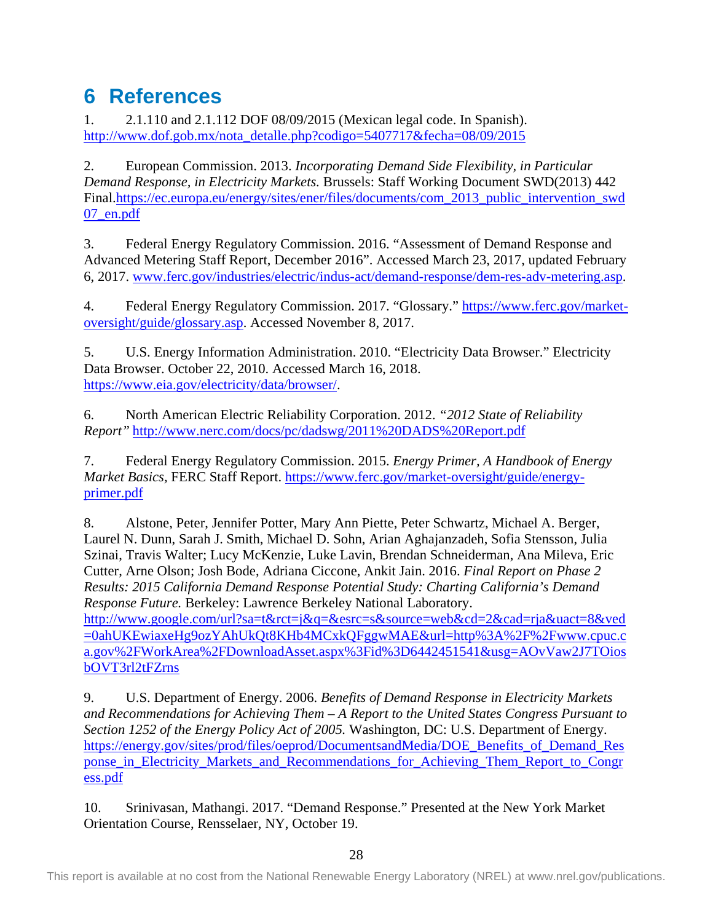# <span id="page-33-0"></span>**6 References**

1. 2.1.110 and 2.1.112 DOF 08/09/2015 (Mexican legal code. In Spanish). [http://www.dof.gob.mx/nota\\_detalle.php?codigo=5407717&fecha=08/09/2015](http://www.dof.gob.mx/nota_detalle.php?codigo=5407717&fecha=08/09/2015)

2. European Commission. 2013. *Incorporating Demand Side Flexibility, in Particular Demand Response, in Electricity Markets.* Brussels: Staff Working Document SWD(2013) 442 Final[.https://ec.europa.eu/energy/sites/ener/files/documents/com\\_2013\\_public\\_intervention\\_swd](https://ec.europa.eu/energy/sites/ener/files/documents/com_2013_public_intervention_swd07_en.pdf) [07\\_en.pdf](https://ec.europa.eu/energy/sites/ener/files/documents/com_2013_public_intervention_swd07_en.pdf)

3. Federal Energy Regulatory Commission. 2016. "Assessment of Demand Response and Advanced Metering Staff Report, December 2016". Accessed March 23, 2017, updated February 6, 2017. [www.ferc.gov/industries/electric/indus-act/demand-response/dem-res-adv-metering.asp.](http://www.ferc.gov/industries/electric/indus-act/demand-response/dem-res-adv-metering.asp)

4. Federal Energy Regulatory Commission. 2017. "Glossary." [https://www.ferc.gov/market](https://www.ferc.gov/market-oversight/guide/glossary.asp)[oversight/guide/glossary.asp.](https://www.ferc.gov/market-oversight/guide/glossary.asp) Accessed November 8, 2017.

5. U.S. Energy Information Administration. 2010. "Electricity Data Browser." Electricity Data Browser. October 22, 2010. Accessed March 16, 2018. [https://www.eia.gov/electricity/data/browser/.](https://www.eia.gov/electricity/data/browser/)

6. North American Electric Reliability Corporation. 2012. *"2012 State of Reliability Report"* <http://www.nerc.com/docs/pc/dadswg/2011%20DADS%20Report.pdf>

7. Federal Energy Regulatory Commission. 2015. *Energy Primer, A Handbook of Energy Market Basics,* FERC Staff Report. [https://www.ferc.gov/market-oversight/guide/energy](https://www.ferc.gov/market-oversight/guide/energy-primer.pdf)[primer.pdf](https://www.ferc.gov/market-oversight/guide/energy-primer.pdf)

8. Alstone, Peter, Jennifer Potter, Mary Ann Piette, Peter Schwartz, Michael A. Berger, Laurel N. Dunn, Sarah J. Smith, Michael D. Sohn, Arian Aghajanzadeh, Sofia Stensson, Julia Szinai, Travis Walter; Lucy McKenzie, Luke Lavin, Brendan Schneiderman, Ana Mileva, Eric Cutter, Arne Olson; Josh Bode, Adriana Ciccone, Ankit Jain. 2016. *Final Report on Phase 2 Results: 2015 California Demand Response Potential Study: Charting California's Demand Response Future.* Berkeley: Lawrence Berkeley National Laboratory. [http://www.google.com/url?sa=t&rct=j&q=&esrc=s&source=web&cd=2&cad=rja&uact=8&ved](http://www.google.com/url?sa=t&rct=j&q=&esrc=s&source=web&cd=2&cad=rja&uact=8&ved=0ahUKEwiaxeHg9ozYAhUkQt8KHb4MCxkQFggwMAE&url=http%3A%2F%2Fwww.cpuc.ca.gov%2FWorkArea%2FDownloadAsset.aspx%3Fid%3D6442451541&usg=AOvVaw2J7TOiosbOVT3rl2tFZrns) [=0ahUKEwiaxeHg9ozYAhUkQt8KHb4MCxkQFggwMAE&url=http%3A%2F%2Fwww.cpuc.c](http://www.google.com/url?sa=t&rct=j&q=&esrc=s&source=web&cd=2&cad=rja&uact=8&ved=0ahUKEwiaxeHg9ozYAhUkQt8KHb4MCxkQFggwMAE&url=http%3A%2F%2Fwww.cpuc.ca.gov%2FWorkArea%2FDownloadAsset.aspx%3Fid%3D6442451541&usg=AOvVaw2J7TOiosbOVT3rl2tFZrns) [a.gov%2FWorkArea%2FDownloadAsset.aspx%3Fid%3D6442451541&usg=AOvVaw2J7TOios](http://www.google.com/url?sa=t&rct=j&q=&esrc=s&source=web&cd=2&cad=rja&uact=8&ved=0ahUKEwiaxeHg9ozYAhUkQt8KHb4MCxkQFggwMAE&url=http%3A%2F%2Fwww.cpuc.ca.gov%2FWorkArea%2FDownloadAsset.aspx%3Fid%3D6442451541&usg=AOvVaw2J7TOiosbOVT3rl2tFZrns) [bOVT3rl2tFZrns](http://www.google.com/url?sa=t&rct=j&q=&esrc=s&source=web&cd=2&cad=rja&uact=8&ved=0ahUKEwiaxeHg9ozYAhUkQt8KHb4MCxkQFggwMAE&url=http%3A%2F%2Fwww.cpuc.ca.gov%2FWorkArea%2FDownloadAsset.aspx%3Fid%3D6442451541&usg=AOvVaw2J7TOiosbOVT3rl2tFZrns)

9. U.S. Department of Energy. 2006. *Benefits of Demand Response in Electricity Markets and Recommendations for Achieving Them – A Report to the United States Congress Pursuant to Section 1252 of the Energy Policy Act of 2005.* Washington, DC: U.S. Department of Energy. [https://energy.gov/sites/prod/files/oeprod/DocumentsandMedia/DOE\\_Benefits\\_of\\_Demand\\_Res](https://energy.gov/sites/prod/files/oeprod/DocumentsandMedia/DOE_Benefits_of_Demand_Response_in_Electricity_Markets_and_Recommendations_for_Achieving_Them_Report_to_Congress.pdf) [ponse\\_in\\_Electricity\\_Markets\\_and\\_Recommendations\\_for\\_Achieving\\_Them\\_Report\\_to\\_Congr](https://energy.gov/sites/prod/files/oeprod/DocumentsandMedia/DOE_Benefits_of_Demand_Response_in_Electricity_Markets_and_Recommendations_for_Achieving_Them_Report_to_Congress.pdf) [ess.pdf](https://energy.gov/sites/prod/files/oeprod/DocumentsandMedia/DOE_Benefits_of_Demand_Response_in_Electricity_Markets_and_Recommendations_for_Achieving_Them_Report_to_Congress.pdf)

10. Srinivasan, Mathangi. 2017. "Demand Response." Presented at the New York Market Orientation Course, Rensselaer, NY, October 19.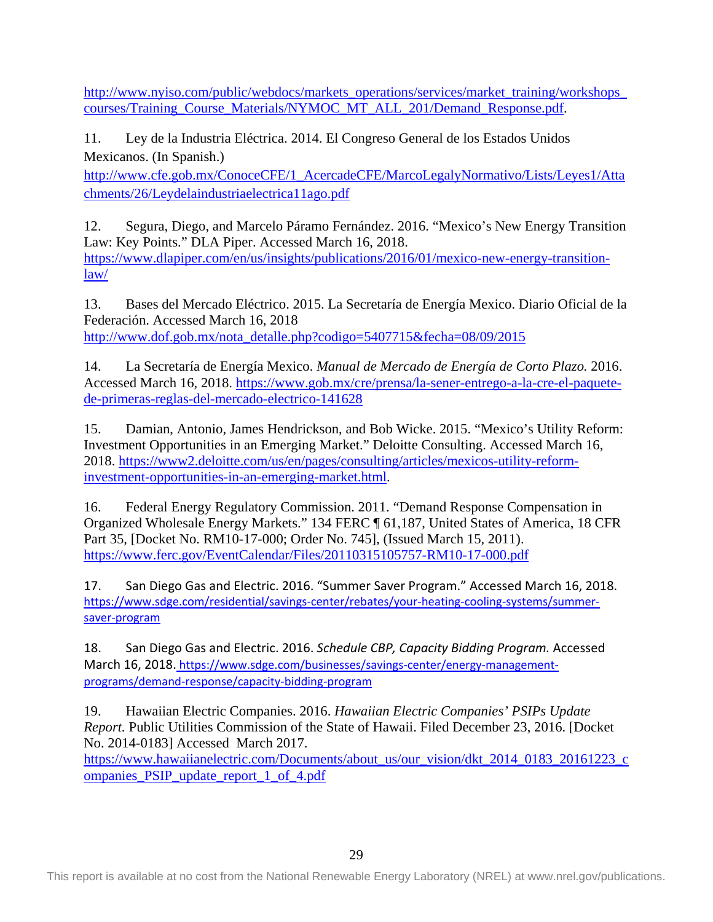[http://www.nyiso.com/public/webdocs/markets\\_operations/services/market\\_training/workshops\\_](http://www.nyiso.com/public/webdocs/markets_operations/services/market_training/workshops_courses/Training_Course_Materials/NYMOC_MT_ALL_201/Demand_Response.pdf) [courses/Training\\_Course\\_Materials/NYMOC\\_MT\\_ALL\\_201/Demand\\_Response.pdf.](http://www.nyiso.com/public/webdocs/markets_operations/services/market_training/workshops_courses/Training_Course_Materials/NYMOC_MT_ALL_201/Demand_Response.pdf)

11. Ley de la Industria Eléctrica. 2014. El Congreso General de los Estados Unidos Mexicanos. (In Spanish.)

[http://www.cfe.gob.mx/ConoceCFE/1\\_AcercadeCFE/MarcoLegalyNormativo/Lists/Leyes1/Atta](http://www.cfe.gob.mx/ConoceCFE/1_AcercadeCFE/MarcoLegalyNormativo/Lists/Leyes1/Attachments/26/Leydelaindustriaelectrica11ago.pdf) [chments/26/Leydelaindustriaelectrica11ago.pdf](http://www.cfe.gob.mx/ConoceCFE/1_AcercadeCFE/MarcoLegalyNormativo/Lists/Leyes1/Attachments/26/Leydelaindustriaelectrica11ago.pdf)

12. Segura, Diego, and Marcelo Páramo Fernández. 2016. "Mexico's New Energy Transition Law: Key Points." DLA Piper. Accessed March 16, 2018. [https://www.dlapiper.com/en/us/insights/publications/2016/01/mexico-new-energy-transition](https://www.dlapiper.com/en/us/insights/publications/2016/01/mexico-new-energy-transition-law/)[law/](https://www.dlapiper.com/en/us/insights/publications/2016/01/mexico-new-energy-transition-law/)

13. Bases del Mercado Eléctrico. 2015. La Secretaría de Energía Mexico. Diario Oficial de la Federación. Accessed March 16, 2018 [http://www.dof.gob.mx/nota\\_detalle.php?codigo=5407715&fecha=08/09/2015](http://www.dof.gob.mx/nota_detalle.php?codigo=5407715&fecha=08/09/2015)

14. La Secretaría de Energía Mexico. *Manual de Mercado de Energía de Corto Plazo.* 2016. Accessed March 16, 2018. [https://www.gob.mx/cre/prensa/la-sener-entrego-a-la-cre-el-paquete](https://www.gob.mx/cre/prensa/la-sener-entrego-a-la-cre-el-paquete-de-primeras-reglas-del-mercado-electrico-141628)[de-primeras-reglas-del-mercado-electrico-141628](https://www.gob.mx/cre/prensa/la-sener-entrego-a-la-cre-el-paquete-de-primeras-reglas-del-mercado-electrico-141628)

15. Damian, Antonio, James Hendrickson, and Bob Wicke. 2015. "Mexico's Utility Reform: Investment Opportunities in an Emerging Market." Deloitte Consulting. Accessed March 16, 2018. [https://www2.deloitte.com/us/en/pages/consulting/articles/mexicos-utility-reform](https://www2.deloitte.com/us/en/pages/consulting/articles/mexicos-utility-reform-investment-opportunities-in-an-emerging-market.html)[investment-opportunities-in-an-emerging-market.html.](https://www2.deloitte.com/us/en/pages/consulting/articles/mexicos-utility-reform-investment-opportunities-in-an-emerging-market.html)

16. Federal Energy Regulatory Commission. 2011. "Demand Response Compensation in Organized Wholesale Energy Markets." 134 FERC ¶ 61,187, United States of America, 18 CFR Part 35, [Docket No. RM10-17-000; Order No. 745], (Issued March 15, 2011). <https://www.ferc.gov/EventCalendar/Files/20110315105757-RM10-17-000.pdf>

17. San Diego Gas and Electric. 2016. "Summer Saver Program." Accessed March 16, 2018. [https://www.sdge.com/residential/savings-center/rebates/your-heating-cooling-systems/summer](https://www.sdge.com/residential/savings-center/rebates/your-heating-cooling-systems/summer-saver-program)[saver-program](https://www.sdge.com/residential/savings-center/rebates/your-heating-cooling-systems/summer-saver-program)

18. San Diego Gas and Electric. 2016. *Schedule CBP, Capacity Bidding Program.* Accessed March 16, 2018. [https://www.sdge.com/businesses/savings-center/energy-management](https://www.sdge.com/businesses/savings-center/energy-management-programs/demand-response/capacity-bidding-program)[programs/demand-response/capacity-bidding-program](https://www.sdge.com/businesses/savings-center/energy-management-programs/demand-response/capacity-bidding-program)

19. Hawaiian Electric Companies. 2016. *Hawaiian Electric Companies' PSIPs Update Report.* Public Utilities Commission of the State of Hawaii. Filed December 23, 2016. [Docket No. 2014-0183] Accessed March 2017.

[https://www.hawaiianelectric.com/Documents/about\\_us/our\\_vision/dkt\\_2014\\_0183\\_20161223\\_c](https://www.hawaiianelectric.com/Documents/about_us/our_vision/dkt_2014_0183_20161223_companies_PSIP_update_report_1_of_4.pdf) [ompanies\\_PSIP\\_update\\_report\\_1\\_of\\_4.pdf](https://www.hawaiianelectric.com/Documents/about_us/our_vision/dkt_2014_0183_20161223_companies_PSIP_update_report_1_of_4.pdf)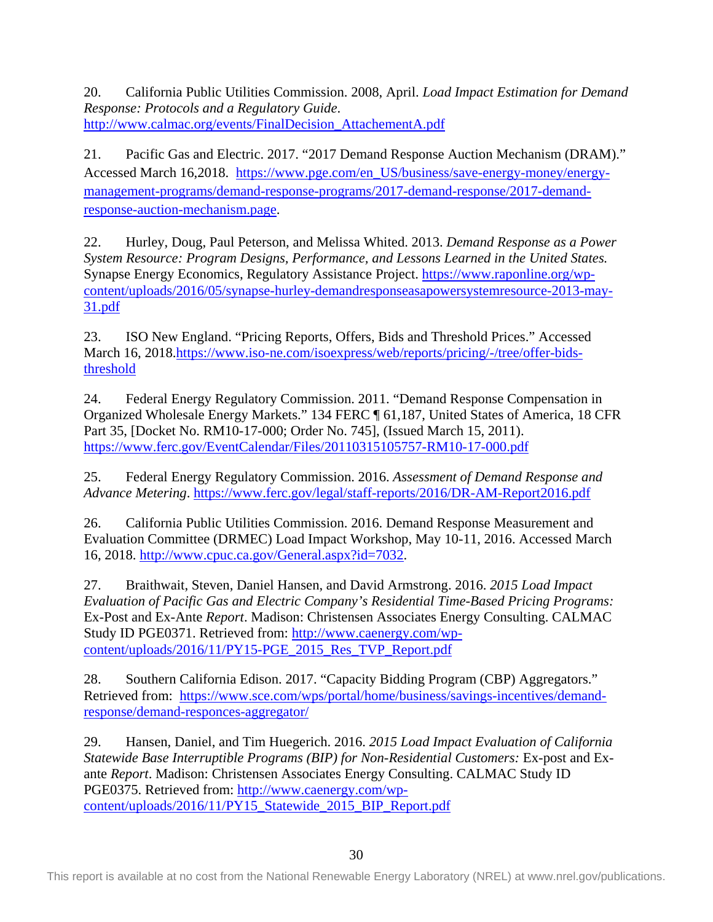20. California Public Utilities Commission. 2008, April. *Load Impact Estimation for Demand Response: Protocols and a Regulatory Guide*. [http://www.calmac.org/events/FinalDecision\\_AttachementA.pdf](http://www.calmac.org/events/FinalDecision_AttachementA.pdf)

21. Pacific Gas and Electric. 2017. "2017 Demand Response Auction Mechanism (DRAM)." Accessed March 16,2018. [https://www.pge.com/en\\_US/business/save-energy-money/energy](https://www.pge.com/en_US/business/save-energy-money/energy-management-programs/demand-response-programs/2017-demand-response/2017-demand-response-auction-mechanism.page)[management-programs/demand-response-programs/2017-demand-response/2017-demand](https://www.pge.com/en_US/business/save-energy-money/energy-management-programs/demand-response-programs/2017-demand-response/2017-demand-response-auction-mechanism.page)[response-auction-mechanism.page.](https://www.pge.com/en_US/business/save-energy-money/energy-management-programs/demand-response-programs/2017-demand-response/2017-demand-response-auction-mechanism.page)

22. Hurley, Doug, Paul Peterson, and Melissa Whited. 2013. *Demand Response as a Power System Resource: Program Designs, Performance, and Lessons Learned in the United States.*  Synapse Energy Economics, Regulatory Assistance Project. [https://www.raponline.org/wp](https://www.raponline.org/wp-content/uploads/2016/05/synapse-hurley-demandresponseasapowersystemresource-2013-may-31.pdf)[content/uploads/2016/05/synapse-hurley-demandresponseasapowersystemresource-2013-may-](https://www.raponline.org/wp-content/uploads/2016/05/synapse-hurley-demandresponseasapowersystemresource-2013-may-31.pdf)[31.pdf](https://www.raponline.org/wp-content/uploads/2016/05/synapse-hurley-demandresponseasapowersystemresource-2013-may-31.pdf)

23. ISO New England. "Pricing Reports, Offers, Bids and Threshold Prices." Accessed March 16, 2018[.https://www.iso-ne.com/isoexpress/web/reports/pricing/-/tree/offer-bids](https://www.iso-ne.com/isoexpress/web/reports/pricing/-/tree/offer-bids-threshold)[threshold](https://www.iso-ne.com/isoexpress/web/reports/pricing/-/tree/offer-bids-threshold)

24. Federal Energy Regulatory Commission. 2011. "Demand Response Compensation in Organized Wholesale Energy Markets." 134 FERC ¶ 61,187, United States of America, 18 CFR Part 35, [Docket No. RM10-17-000; Order No. 745], (Issued March 15, 2011). <https://www.ferc.gov/EventCalendar/Files/20110315105757-RM10-17-000.pdf>

25. Federal Energy Regulatory Commission. 2016. *Assessment of Demand Response and Advance Metering*.<https://www.ferc.gov/legal/staff-reports/2016/DR-AM-Report2016.pdf>

26. California Public Utilities Commission. 2016. Demand Response Measurement and Evaluation Committee (DRMEC) Load Impact Workshop, May 10-11, 2016. Accessed March 16, 2018. [http://www.cpuc.ca.gov/General.aspx?id=7032.](http://www.cpuc.ca.gov/General.aspx?id=7032)

27. Braithwait, Steven, Daniel Hansen, and David Armstrong. 2016. *[2015 Load Impact](http://www.caenergy.com/wp-content/uploads/2016/11/PY15-PGE_2015_Res_TVP_Report.pdf)  [Evaluation of Pacific Gas and Electric Company's Residential Time-Based Pricing Programs:](http://www.caenergy.com/wp-content/uploads/2016/11/PY15-PGE_2015_Res_TVP_Report.pdf)*  [Ex-Post and Ex-Ante](http://www.caenergy.com/wp-content/uploads/2016/11/PY15-PGE_2015_Res_TVP_Report.pdf) *Report*. Madison: Christensen Associates Energy Consulting. CALMAC Study ID PGE0371. Retrieved from: [http://www.caenergy.com/wp](http://www.caenergy.com/wp-content/uploads/2016/11/PY15-PGE_2015_Res_TVP_Report.pdf)[content/uploads/2016/11/PY15-PGE\\_2015\\_Res\\_TVP\\_Report.pdf](http://www.caenergy.com/wp-content/uploads/2016/11/PY15-PGE_2015_Res_TVP_Report.pdf)

28. Southern California Edison. 2017. "Capacity Bidding Program (CBP) Aggregators." Retrieved from: [https://www.sce.com/wps/portal/home/business/savings-incentives/demand](https://www.sce.com/wps/portal/home/business/savings-incentives/demand-response/demand-responces-aggregator/)[response/demand-responces-aggregator/](https://www.sce.com/wps/portal/home/business/savings-incentives/demand-response/demand-responces-aggregator/)

29. Hansen, Daniel, and Tim Huegerich. 2016. *[2015 Load Impact Evaluation of California](http://www.caenergy.com/wp-content/uploads/2016/11/PY15_Statewide_2015_BIP_Report.pdf)  [Statewide Base Interruptible Programs \(BIP\) for Non-Residential Customers:](http://www.caenergy.com/wp-content/uploads/2016/11/PY15_Statewide_2015_BIP_Report.pdf)* Ex-post and Exante *[Report](http://www.caenergy.com/wp-content/uploads/2016/11/PY15_Statewide_2015_BIP_Report.pdf)*. Madison: Christensen Associates Energy Consulting. CALMAC Study ID PGE0375. Retrieved from: [http://www.caenergy.com/wp](http://www.caenergy.com/wp-content/uploads/2016/11/PY15_Statewide_2015_BIP_Report.pdf)[content/uploads/2016/11/PY15\\_Statewide\\_2015\\_BIP\\_Report.pdf](http://www.caenergy.com/wp-content/uploads/2016/11/PY15_Statewide_2015_BIP_Report.pdf)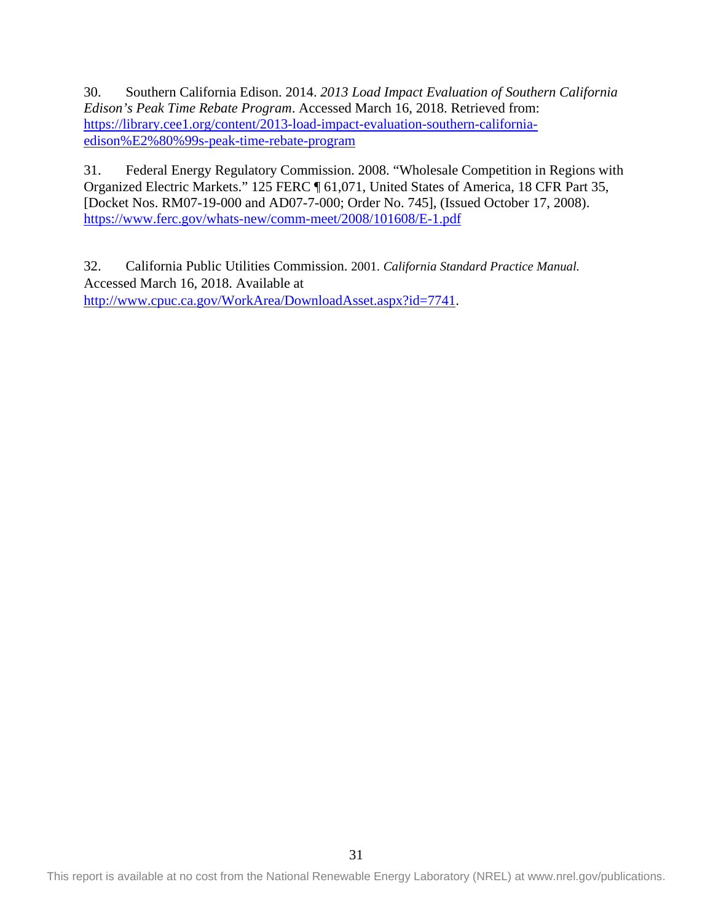30. Southern California Edison. 2014. *2013 Load Impact Evaluation of Southern California Edison's Peak Time Rebate Program*. Accessed March 16, 2018. Retrieved from: [https://library.cee1.org/content/2013-load-impact-evaluation-southern-california](https://library.cee1.org/content/2013-load-impact-evaluation-southern-california-edison%E2%80%99s-peak-time-rebate-program)[edison%E2%80%99s-peak-time-rebate-program](https://library.cee1.org/content/2013-load-impact-evaluation-southern-california-edison%E2%80%99s-peak-time-rebate-program)

31. Federal Energy Regulatory Commission. 2008. "Wholesale Competition in Regions with Organized Electric Markets." 125 FERC ¶ 61,071, United States of America, 18 CFR Part 35, [Docket Nos. RM07-19-000 and AD07-7-000; Order No. 745], (Issued October 17, 2008). <https://www.ferc.gov/whats-new/comm-meet/2008/101608/E-1.pdf>

32. California Public Utilities Commission. 2001. *California Standard Practice Manual.* Accessed March 16, 2018. Available at [http://www.cpuc.ca.gov/WorkArea/DownloadAsset.aspx?id=7741.](http://www.cpuc.ca.gov/WorkArea/DownloadAsset.aspx?id=7741)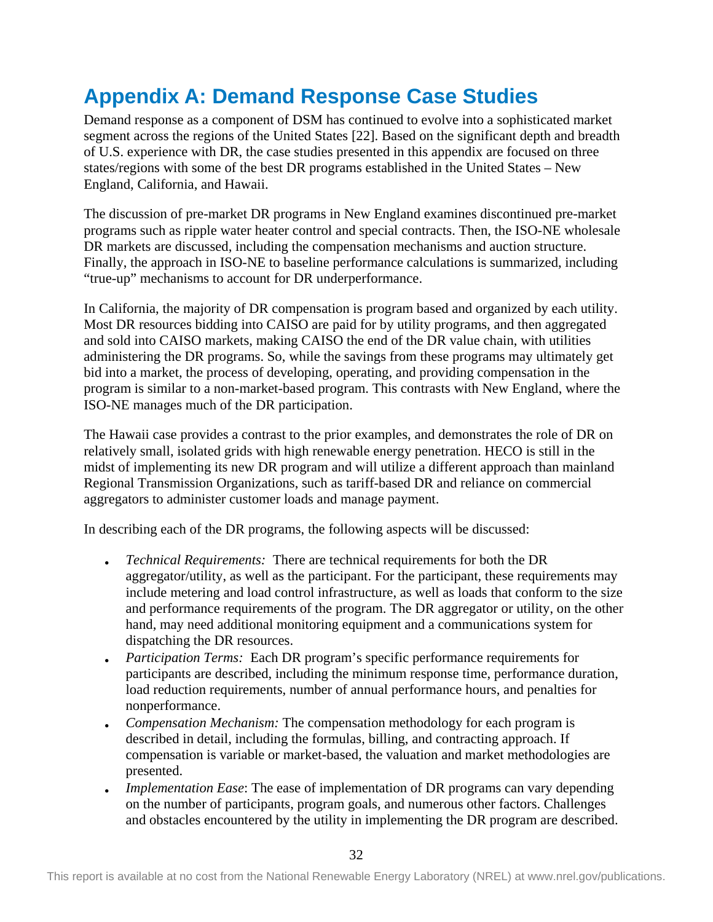# <span id="page-37-0"></span>**Appendix A: Demand Response Case Studies**

Demand response as a component of DSM has continued to evolve into a sophisticated market segment across the regions of the United States [22]. Based on the significant depth and breadth of U.S. experience with DR, the case studies presented in this appendix are focused on three states/regions with some of the best DR programs established in the United States – New England, California, and Hawaii.

The discussion of pre-market DR programs in New England examines discontinued pre-market programs such as ripple water heater control and special contracts. Then, the ISO-NE wholesale DR markets are discussed, including the compensation mechanisms and auction structure. Finally, the approach in ISO-NE to baseline performance calculations is summarized, including "true-up" mechanisms to account for DR underperformance.

In California, the majority of DR compensation is program based and organized by each utility. Most DR resources bidding into CAISO are paid for by utility programs, and then aggregated and sold into CAISO markets, making CAISO the end of the DR value chain, with utilities administering the DR programs. So, while the savings from these programs may ultimately get bid into a market, the process of developing, operating, and providing compensation in the program is similar to a non-market-based program. This contrasts with New England, where the ISO-NE manages much of the DR participation.

The Hawaii case provides a contrast to the prior examples, and demonstrates the role of DR on relatively small, isolated grids with high renewable energy penetration. HECO is still in the midst of implementing its new DR program and will utilize a different approach than mainland Regional Transmission Organizations, such as tariff-based DR and reliance on commercial aggregators to administer customer loads and manage payment.

In describing each of the DR programs, the following aspects will be discussed:

- *Technical Requirements:* There are technical requirements for both the DR aggregator/utility, as well as the participant. For the participant, these requirements may include metering and load control infrastructure, as well as loads that conform to the size and performance requirements of the program. The DR aggregator or utility, on the other hand, may need additional monitoring equipment and a communications system for dispatching the DR resources.
- *Participation Terms:* Each DR program's specific performance requirements for participants are described, including the minimum response time, performance duration, load reduction requirements, number of annual performance hours, and penalties for nonperformance.
- *Compensation Mechanism:* The compensation methodology for each program is described in detail, including the formulas, billing, and contracting approach. If compensation is variable or market-based, the valuation and market methodologies are presented.
- *Implementation Ease*: The ease of implementation of DR programs can vary depending on the number of participants, program goals, and numerous other factors. Challenges and obstacles encountered by the utility in implementing the DR program are described.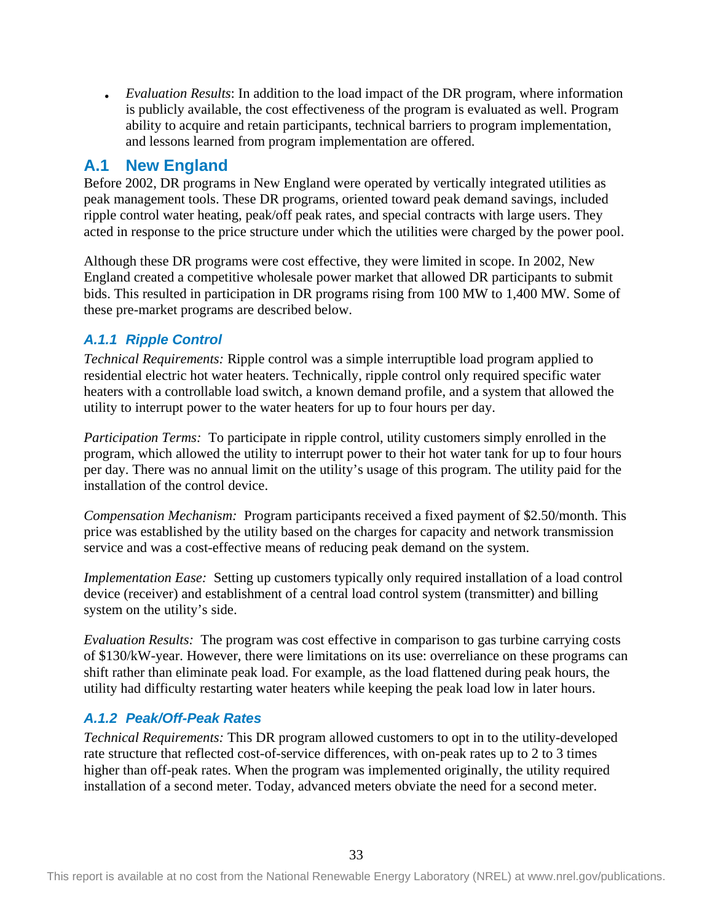• *Evaluation Results*: In addition to the load impact of the DR program, where information is publicly available, the cost effectiveness of the program is evaluated as well. Program ability to acquire and retain participants, technical barriers to program implementation, and lessons learned from program implementation are offered.

## <span id="page-38-0"></span>**A.1 New England**

Before 2002, DR programs in New England were operated by vertically integrated utilities as peak management tools. These DR programs, oriented toward peak demand savings, included ripple control water heating, peak/off peak rates, and special contracts with large users. They acted in response to the price structure under which the utilities were charged by the power pool.

Although these DR programs were cost effective, they were limited in scope. In 2002, New England created a competitive wholesale power market that allowed DR participants to submit bids. This resulted in participation in DR programs rising from 100 MW to 1,400 MW. Some of these pre-market programs are described below.

## *A.1.1 Ripple Control*

*Technical Requirements:* Ripple control was a simple interruptible load program applied to residential electric hot water heaters. Technically, ripple control only required specific water heaters with a controllable load switch, a known demand profile, and a system that allowed the utility to interrupt power to the water heaters for up to four hours per day.

*Participation Terms:* To participate in ripple control, utility customers simply enrolled in the program, which allowed the utility to interrupt power to their hot water tank for up to four hours per day. There was no annual limit on the utility's usage of this program. The utility paid for the installation of the control device.

*Compensation Mechanism:* Program participants received a fixed payment of \$2.50/month. This price was established by the utility based on the charges for capacity and network transmission service and was a cost-effective means of reducing peak demand on the system.

*Implementation Ease:* Setting up customers typically only required installation of a load control device (receiver) and establishment of a central load control system (transmitter) and billing system on the utility's side.

*Evaluation Results:* The program was cost effective in comparison to gas turbine carrying costs of \$130/kW-year. However, there were limitations on its use: overreliance on these programs can shift rather than eliminate peak load. For example, as the load flattened during peak hours, the utility had difficulty restarting water heaters while keeping the peak load low in later hours.

## *A.1.2 Peak/Off-Peak Rates*

*Technical Requirements:* This DR program allowed customers to opt in to the utility-developed rate structure that reflected cost-of-service differences, with on-peak rates up to 2 to 3 times higher than off-peak rates. When the program was implemented originally, the utility required installation of a second meter. Today, advanced meters obviate the need for a second meter.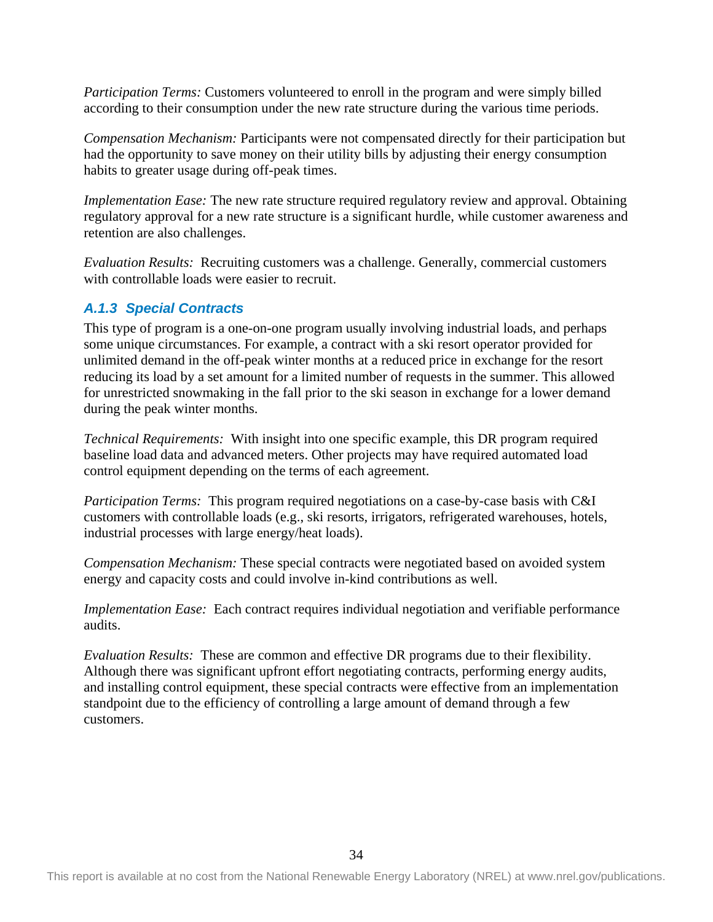*Participation Terms:* Customers volunteered to enroll in the program and were simply billed according to their consumption under the new rate structure during the various time periods.

*Compensation Mechanism:* Participants were not compensated directly for their participation but had the opportunity to save money on their utility bills by adjusting their energy consumption habits to greater usage during off-peak times.

*Implementation Ease:* The new rate structure required regulatory review and approval. Obtaining regulatory approval for a new rate structure is a significant hurdle, while customer awareness and retention are also challenges.

*Evaluation Results:* Recruiting customers was a challenge. Generally, commercial customers with controllable loads were easier to recruit.

#### *A.1.3 Special Contracts*

This type of program is a one-on-one program usually involving industrial loads, and perhaps some unique circumstances. For example, a contract with a ski resort operator provided for unlimited demand in the off-peak winter months at a reduced price in exchange for the resort reducing its load by a set amount for a limited number of requests in the summer. This allowed for unrestricted snowmaking in the fall prior to the ski season in exchange for a lower demand during the peak winter months.

*Technical Requirements:* With insight into one specific example, this DR program required baseline load data and advanced meters. Other projects may have required automated load control equipment depending on the terms of each agreement.

*Participation Terms:* This program required negotiations on a case-by-case basis with C&I customers with controllable loads (e.g., ski resorts, irrigators, refrigerated warehouses, hotels, industrial processes with large energy/heat loads).

*Compensation Mechanism:* These special contracts were negotiated based on avoided system energy and capacity costs and could involve in-kind contributions as well.

*Implementation Ease:* Each contract requires individual negotiation and verifiable performance audits.

*Evaluation Results:* These are common and effective DR programs due to their flexibility. Although there was significant upfront effort negotiating contracts, performing energy audits, and installing control equipment, these special contracts were effective from an implementation standpoint due to the efficiency of controlling a large amount of demand through a few customers.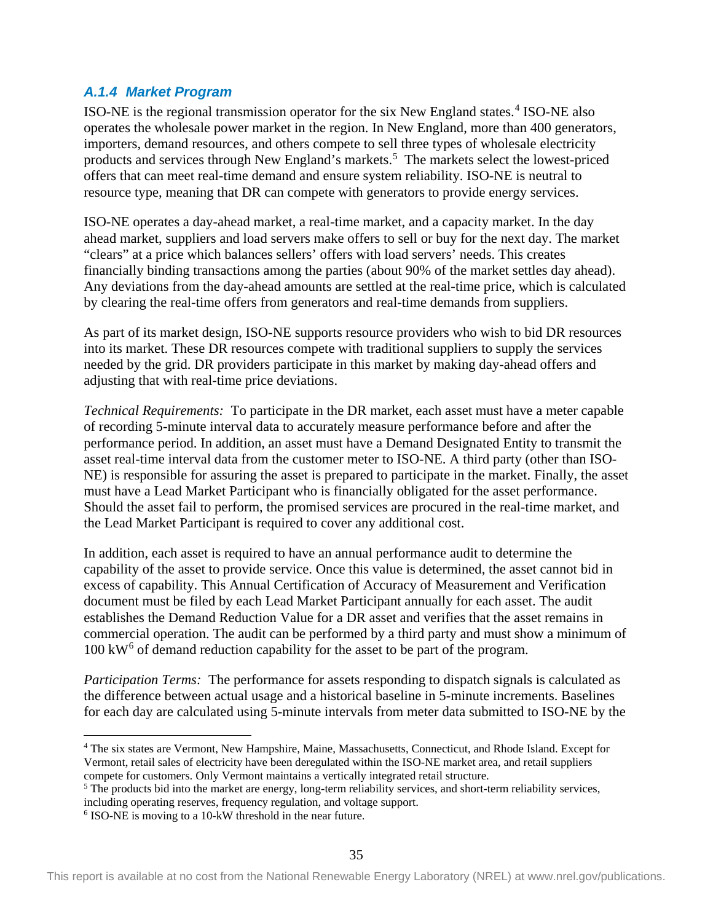#### *A.1.4 Market Program*

ISO-NE is the regional transmission operator for the six New England states.[4](#page-40-0) ISO-NE also operates the wholesale power market in the region. In New England, more than 400 generators, importers, demand resources, and others compete to sell three types of wholesale electricity products and services through New England's markets.<sup>[5](#page-40-1)</sup> The markets select the lowest-priced offers that can meet real-time demand and ensure system reliability. ISO-NE is neutral to resource type, meaning that DR can compete with generators to provide energy services.

ISO-NE operates a day-ahead market, a real-time market, and a capacity market. In the day ahead market, suppliers and load servers make offers to sell or buy for the next day. The market "clears" at a price which balances sellers' offers with load servers' needs. This creates financially binding transactions among the parties (about 90% of the market settles day ahead). Any deviations from the day-ahead amounts are settled at the real-time price, which is calculated by clearing the real-time offers from generators and real-time demands from suppliers.

As part of its market design, ISO-NE supports resource providers who wish to bid DR resources into its market. These DR resources compete with traditional suppliers to supply the services needed by the grid. DR providers participate in this market by making day-ahead offers and adjusting that with real-time price deviations.

*Technical Requirements:* To participate in the DR market, each asset must have a meter capable of recording 5-minute interval data to accurately measure performance before and after the performance period. In addition, an asset must have a Demand Designated Entity to transmit the asset real-time interval data from the customer meter to ISO-NE. A third party (other than ISO-NE) is responsible for assuring the asset is prepared to participate in the market. Finally, the asset must have a Lead Market Participant who is financially obligated for the asset performance. Should the asset fail to perform, the promised services are procured in the real-time market, and the Lead Market Participant is required to cover any additional cost.

In addition, each asset is required to have an annual performance audit to determine the capability of the asset to provide service. Once this value is determined, the asset cannot bid in excess of capability. This Annual Certification of Accuracy of Measurement and Verification document must be filed by each Lead Market Participant annually for each asset. The audit establishes the Demand Reduction Value for a DR asset and verifies that the asset remains in commercial operation. The audit can be performed by a third party and must show a minimum of  $100 \text{ kW}^6$  $100 \text{ kW}^6$  of demand reduction capability for the asset to be part of the program.

*Participation Terms:* The performance for assets responding to dispatch signals is calculated as the difference between actual usage and a historical baseline in 5-minute increments. Baselines for each day are calculated using 5-minute intervals from meter data submitted to ISO-NE by the

<span id="page-40-0"></span> <sup>4</sup> The six states are Vermont, New Hampshire, Maine, Massachusetts, Connecticut, and Rhode Island. Except for Vermont, retail sales of electricity have been deregulated within the ISO-NE market area, and retail suppliers

<span id="page-40-1"></span> $\delta$  The products bid into the market are energy, long-term reliability services, and short-term reliability services, including operating reserves, frequency regulation, and voltage support.

<span id="page-40-2"></span><sup>6</sup> ISO-NE is moving to a 10-kW threshold in the near future.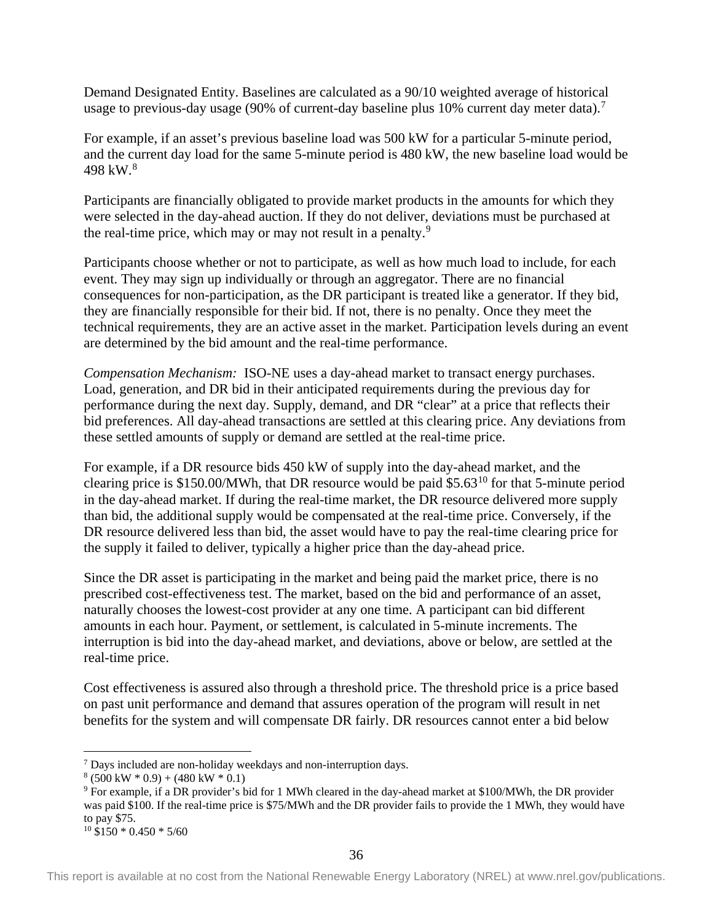Demand Designated Entity. Baselines are calculated as a 90/10 weighted average of historical usage to previous-day usage (90% of current-day baseline plus 10% current day meter data).<sup>[7](#page-41-0)</sup>

For example, if an asset's previous baseline load was 500 kW for a particular 5-minute period, and the current day load for the same 5-minute period is 480 kW, the new baseline load would be 49[8](#page-41-1) kW.<sup>8</sup>

Participants are financially obligated to provide market products in the amounts for which they were selected in the day-ahead auction. If they do not deliver, deviations must be purchased at the real-time price, which may or may not result in a penalty.<sup>[9](#page-41-2)</sup>

Participants choose whether or not to participate, as well as how much load to include, for each event. They may sign up individually or through an aggregator. There are no financial consequences for non-participation, as the DR participant is treated like a generator. If they bid, they are financially responsible for their bid. If not, there is no penalty. Once they meet the technical requirements, they are an active asset in the market. Participation levels during an event are determined by the bid amount and the real-time performance.

*Compensation Mechanism:* ISO-NE uses a day-ahead market to transact energy purchases. Load, generation, and DR bid in their anticipated requirements during the previous day for performance during the next day. Supply, demand, and DR "clear" at a price that reflects their bid preferences. All day-ahead transactions are settled at this clearing price. Any deviations from these settled amounts of supply or demand are settled at the real-time price.

For example, if a DR resource bids 450 kW of supply into the day-ahead market, and the clearing price is \$150.00/MWh, that DR resource would be paid \$5.63<sup>[10](#page-41-3)</sup> for that 5-minute period in the day-ahead market. If during the real-time market, the DR resource delivered more supply than bid, the additional supply would be compensated at the real-time price. Conversely, if the DR resource delivered less than bid, the asset would have to pay the real-time clearing price for the supply it failed to deliver, typically a higher price than the day-ahead price.

Since the DR asset is participating in the market and being paid the market price, there is no prescribed cost-effectiveness test. The market, based on the bid and performance of an asset, naturally chooses the lowest-cost provider at any one time. A participant can bid different amounts in each hour. Payment, or settlement, is calculated in 5-minute increments. The interruption is bid into the day-ahead market, and deviations, above or below, are settled at the real-time price.

Cost effectiveness is assured also through a threshold price. The threshold price is a price based on past unit performance and demand that assures operation of the program will result in net benefits for the system and will compensate DR fairly. DR resources cannot enter a bid below

```
10 $150 * 0.450 * 5/60
```
<span id="page-41-0"></span> <sup>7</sup> Days included are non-holiday weekdays and non-interruption days.

 $8(500 \text{ kW} * 0.9) + (480 \text{ kW} * 0.1)$ 

<span id="page-41-2"></span><span id="page-41-1"></span><sup>9</sup> For example, if a DR provider's bid for 1 MWh cleared in the day-ahead market at \$100/MWh, the DR provider was paid \$100. If the real-time price is \$75/MWh and the DR provider fails to provide the 1 MWh, they would have to pay \$75.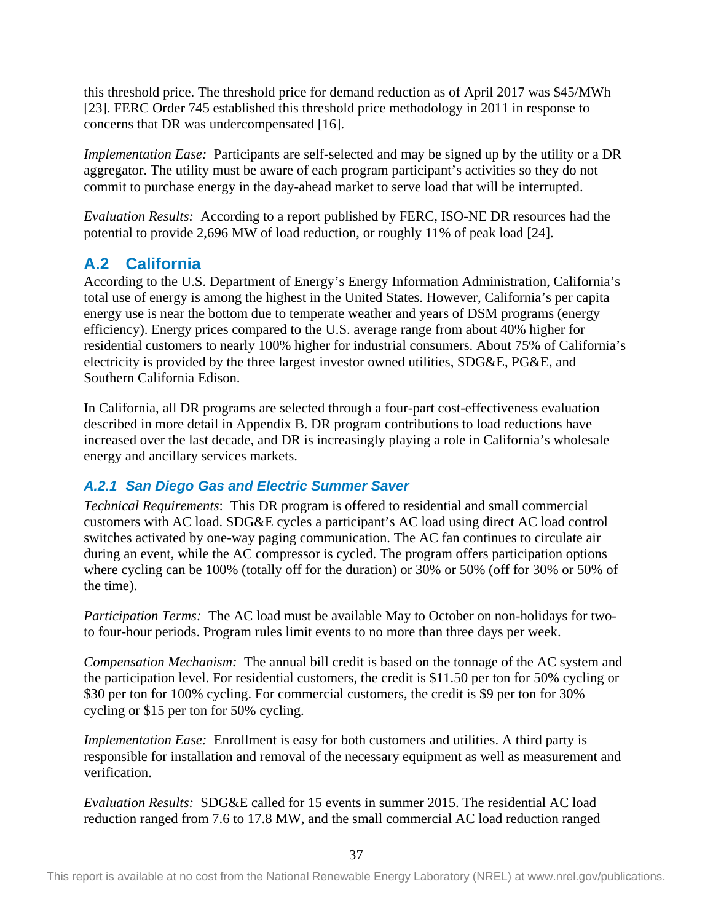this threshold price. The threshold price for demand reduction as of April 2017 was \$45/MWh [23]. FERC Order 745 established this threshold price methodology in 2011 in response to concerns that DR was undercompensated [16].

*Implementation Ease:* Participants are self-selected and may be signed up by the utility or a DR aggregator. The utility must be aware of each program participant's activities so they do not commit to purchase energy in the day-ahead market to serve load that will be interrupted.

*Evaluation Results:* According to a report published by FERC, ISO-NE DR resources had the potential to provide 2,696 MW of load reduction, or roughly 11% of peak load [24].

## <span id="page-42-0"></span>**A.2 California**

According to the U.S. Department of Energy's Energy Information Administration, California's total use of energy is among the highest in the United States. However, California's per capita energy use is near the bottom due to temperate weather and years of DSM programs (energy efficiency). Energy prices compared to the U.S. average range from about 40% higher for residential customers to nearly 100% higher for industrial consumers. About 75% of California's electricity is provided by the three largest investor owned utilities, SDG&E, PG&E, and Southern California Edison.

In California, all DR programs are selected through a four-part cost-effectiveness evaluation described in more detail in Appendix B. DR program contributions to load reductions have increased over the last decade, and DR is increasingly playing a role in California's wholesale energy and ancillary services markets.

## *A.2.1 San Diego Gas and Electric Summer Saver*

*Technical Requirements*: This DR program is offered to residential and small commercial customers with AC load. SDG&E cycles a participant's AC load using direct AC load control switches activated by one-way paging communication. The AC fan continues to circulate air during an event, while the AC compressor is cycled. The program offers participation options where cycling can be 100% (totally off for the duration) or 30% or 50% (off for 30% or 50% of the time).

*Participation Terms:* The AC load must be available May to October on non-holidays for twoto four-hour periods. Program rules limit events to no more than three days per week.

*Compensation Mechanism:* The annual bill credit is based on the tonnage of the AC system and the participation level. For residential customers, the credit is \$11.50 per ton for 50% cycling or \$30 per ton for 100% cycling. For commercial customers, the credit is \$9 per ton for 30% cycling or \$15 per ton for 50% cycling.

*Implementation Ease:* Enrollment is easy for both customers and utilities. A third party is responsible for installation and removal of the necessary equipment as well as measurement and verification.

*Evaluation Results:* SDG&E called for 15 events in summer 2015. The residential AC load reduction ranged from 7.6 to 17.8 MW, and the small commercial AC load reduction ranged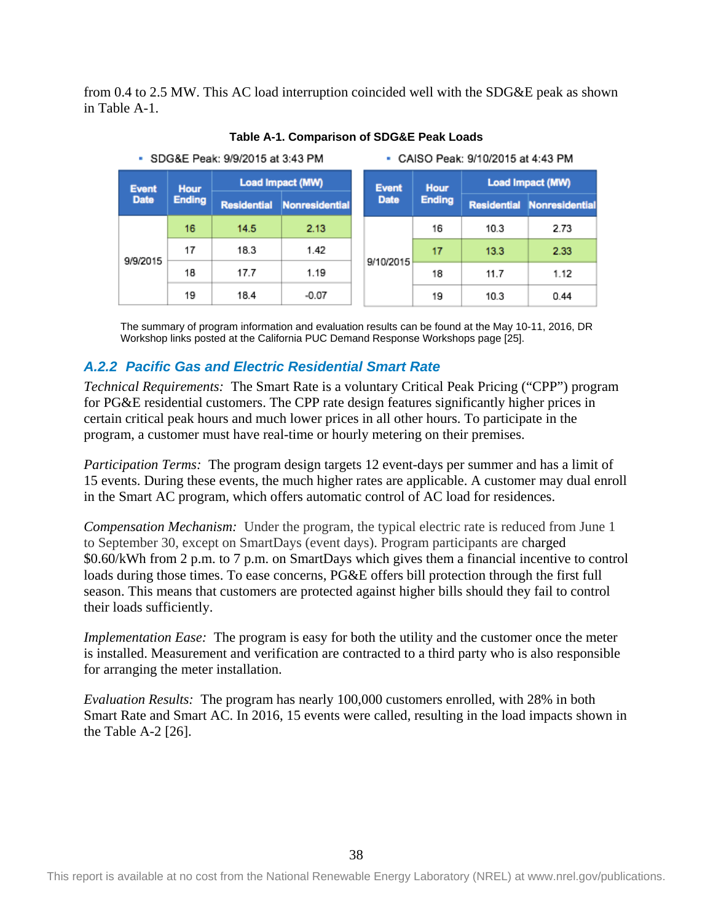from 0.4 to 2.5 MW. This AC load interruption coincided well with the SDG&E peak as shown in Table A-1.

<span id="page-43-0"></span>

**Table A-1. Comparison of SDG&E Peak Loads**

The summary of program information and evaluation results can be found at the May 10-11, 2016, DR Workshop links posted at the California PUC Demand Response Workshops page [25].

### *A.2.2 Pacific Gas and Electric Residential Smart Rate*

*Technical Requirements:* The Smart Rate is a voluntary Critical Peak Pricing ("CPP") program for PG&E residential customers. The CPP rate design features significantly higher prices in certain critical peak hours and much lower prices in all other hours. To participate in the program, a customer must have real-time or hourly metering on their premises.

*Participation Terms:* The program design targets 12 event-days per summer and has a limit of 15 events. During these events, the much higher rates are applicable. A customer may dual enroll in the Smart AC program, which offers automatic control of AC load for residences.

*Compensation Mechanism:* Under the program, the typical electric rate is reduced from June 1 to September 30, except on SmartDays (event days). Program participants are charged \$0.60/kWh from 2 p.m. to 7 p.m. on SmartDays which gives them a financial incentive to control loads during those times. To ease concerns, PG&E offers bill protection through the first full season. This means that customers are protected against higher bills should they fail to control their loads sufficiently.

*Implementation Ease:* The program is easy for both the utility and the customer once the meter is installed. Measurement and verification are contracted to a third party who is also responsible for arranging the meter installation.

*Evaluation Results:* The program has nearly 100,000 customers enrolled, with 28% in both Smart Rate and Smart AC. In 2016, 15 events were called, resulting in the load impacts shown in the Table A-2 [26].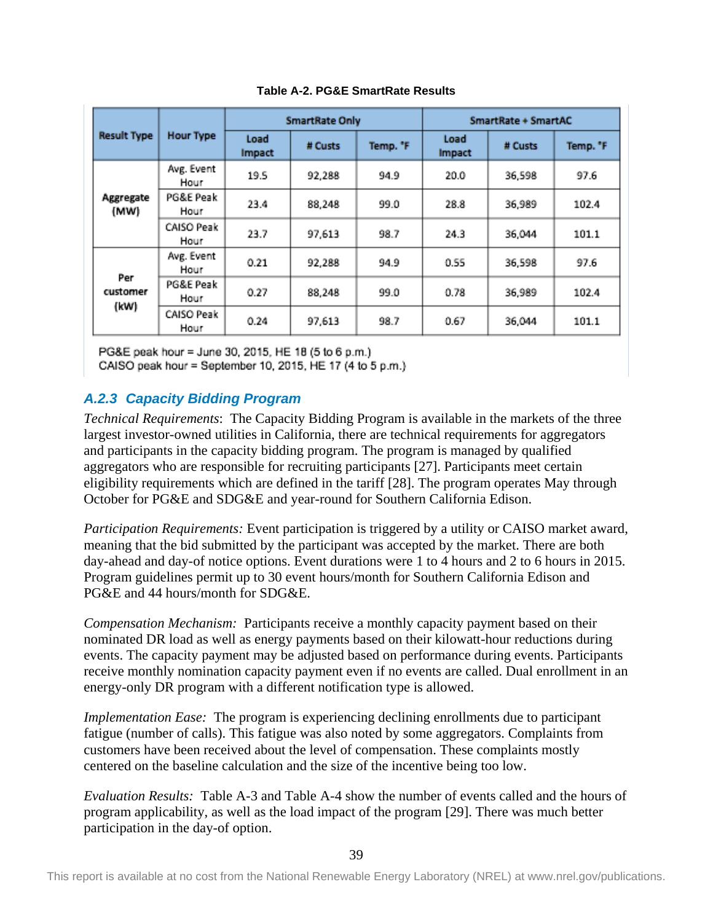<span id="page-44-0"></span>

|                         |                    |                | <b>SmartRate Only</b> |                     | SmartRate + SmartAC |         |          |  |
|-------------------------|--------------------|----------------|-----------------------|---------------------|---------------------|---------|----------|--|
| <b>Result Type</b>      | <b>Hour Type</b>   | Load<br>Impact | # Custs               | Temp. <sup>*F</sup> | Load<br>Impact      | # Custs | Temp. "F |  |
| Aggregate<br>(MW)       | Avg. Event<br>Hour | 19.5           | 92.288                | 94.9                | 20.0                | 36,598  | 97.6     |  |
|                         | PG&E Peak<br>Hour  | 23.4           | 88,248                | 99.0                | 28.8                | 36,989  | 102.4    |  |
|                         | CAISO Peak<br>Hour | 23.7           | 97,613                | 98.7                | 24.3                | 36,044  | 101.1    |  |
|                         | Avg. Event<br>Hour | 0.21           | 92,288                | 94.9                | 0.55                | 36,598  | 97.6     |  |
| Per<br>customer<br>(kW) | PG&E Peak<br>Hour  | 0.27           | 88.248                | 99.0                | 0.78                | 36,989  | 102.4    |  |
|                         | CAISO Peak<br>Hour | 0.24           | 97,613                | 98.7                | 0.67                | 36,044  | 101.1    |  |

**Table A-2. PG&E SmartRate Results**

PG&E peak hour = June 30, 2015, HE 18 (5 to 6 p.m.)

CAISO peak hour = September 10, 2015, HE 17 (4 to 5 p.m.)

## *A.2.3 Capacity Bidding Program*

*Technical Requirements*: The Capacity Bidding Program is available in the markets of the three largest investor-owned utilities in California, there are technical requirements for aggregators and participants in the capacity bidding program. The program is managed by qualified aggregators who are responsible for recruiting participants [27]. Participants meet certain eligibility requirements which are defined in the tariff [28]. The program operates May through October for PG&E and SDG&E and year-round for Southern California Edison.

*Participation Requirements:* Event participation is triggered by a utility or CAISO market award, meaning that the bid submitted by the participant was accepted by the market. There are both day-ahead and day-of notice options. Event durations were 1 to 4 hours and 2 to 6 hours in 2015. Program guidelines permit up to 30 event hours/month for Southern California Edison and PG&E and 44 hours/month for SDG&E.

*Compensation Mechanism:* Participants receive a monthly capacity payment based on their nominated DR load as well as energy payments based on their kilowatt-hour reductions during events. The capacity payment may be adjusted based on performance during events. Participants receive monthly nomination capacity payment even if no events are called. Dual enrollment in an energy-only DR program with a different notification type is allowed.

*Implementation Ease:* The program is experiencing declining enrollments due to participant fatigue (number of calls). This fatigue was also noted by some aggregators. Complaints from customers have been received about the level of compensation. These complaints mostly centered on the baseline calculation and the size of the incentive being too low.

*Evaluation Results:* Table A-3 and Table A-4 show the number of events called and the hours of program applicability, as well as the load impact of the program [29]. There was much better participation in the day-of option.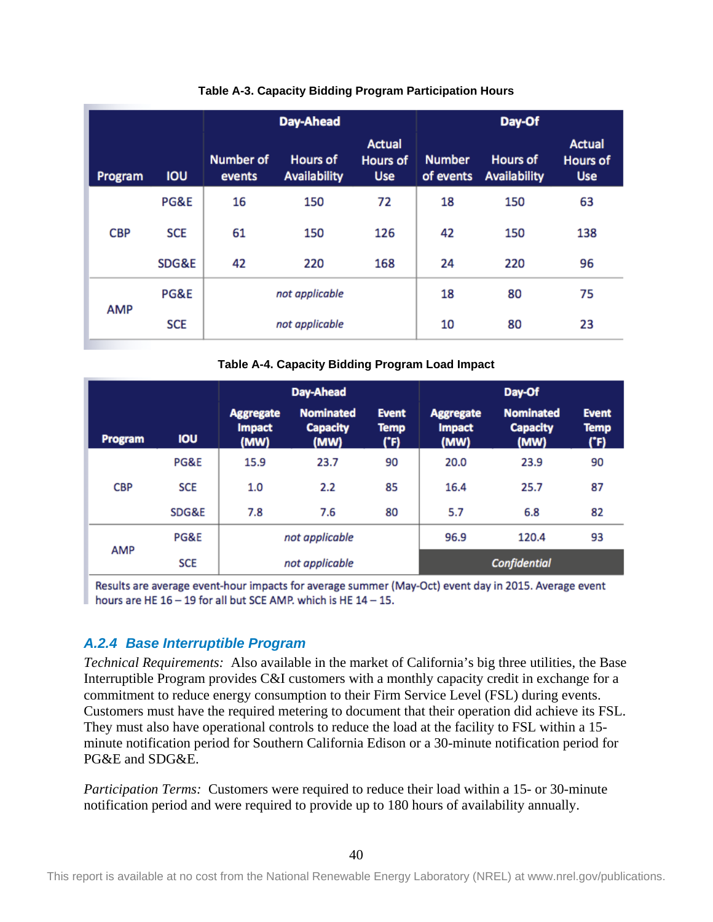<span id="page-45-0"></span>

|            |            |                            | Day-Ahead                              |                                         | Day-Of                     |                                 |                                                |  |  |
|------------|------------|----------------------------|----------------------------------------|-----------------------------------------|----------------------------|---------------------------------|------------------------------------------------|--|--|
| Program    | <b>IOU</b> | <b>Number of</b><br>events | <b>Hours of</b><br><b>Availability</b> | <b>Actual</b><br>Hours of<br><b>Use</b> | <b>Number</b><br>of events | <b>Hours of</b><br>Availability | <b>Actual</b><br><b>Hours of</b><br><b>Use</b> |  |  |
|            | PG&E       | 16                         | 150                                    | 72                                      | 18                         | 150                             | 63                                             |  |  |
| <b>CBP</b> | <b>SCE</b> | 61                         | 150                                    | 126                                     | 42                         | 150                             | 138                                            |  |  |
|            | SDG&E      | 42                         | 220                                    | 168                                     | 24                         | 220                             | 96                                             |  |  |
|            | PG&E       |                            | not applicable                         |                                         | 18                         | 80                              | 75                                             |  |  |
| <b>AMP</b> | <b>SCE</b> |                            | not applicable                         |                                         | 10                         | 80                              | 23                                             |  |  |

#### **Table A-3. Capacity Bidding Program Participation Hours**

**Table A-4. Capacity Bidding Program Load Impact**

<span id="page-45-1"></span>

|            |            |                                           | Day-Ahead                                   |                                     |                                           | Day-Of                                      |                                     |
|------------|------------|-------------------------------------------|---------------------------------------------|-------------------------------------|-------------------------------------------|---------------------------------------------|-------------------------------------|
| Program    | <b>IOU</b> | <b>Aggregate</b><br><b>Impact</b><br>(MW) | <b>Nominated</b><br><b>Capacity</b><br>(MW) | <b>Event</b><br><b>Temp</b><br>('F) | <b>Aggregate</b><br><b>Impact</b><br>(MW) | <b>Nominated</b><br><b>Capacity</b><br>(MW) | <b>Event</b><br><b>Temp</b><br>('F) |
|            | PG&E       | 15.9                                      | 23.7                                        | 90                                  | 20.0                                      | 23.9                                        | 90                                  |
| <b>CBP</b> | <b>SCE</b> | 1.0                                       | 2.2                                         | 85                                  | 16.4                                      | 25.7                                        | 87                                  |
|            | SDG&E      | 7.8                                       | 7.6                                         | 80                                  | 5.7                                       | 6.8                                         | 82                                  |
|            | PG&E       |                                           | not applicable                              |                                     | 96.9                                      | 120.4                                       | 93                                  |
| <b>AMP</b> | <b>SCE</b> |                                           | not applicable                              |                                     |                                           | <b>Confidential</b>                         |                                     |

Results are average event-hour impacts for average summer (May-Oct) event day in 2015. Average event hours are HE  $16 - 19$  for all but SCE AMP, which is HE  $14 - 15$ .

### *A.2.4 Base Interruptible Program*

*Technical Requirements:* Also available in the market of California's big three utilities, the Base Interruptible Program provides C&I customers with a monthly capacity credit in exchange for a commitment to reduce energy consumption to their Firm Service Level (FSL) during events. Customers must have the required metering to document that their operation did achieve its FSL. They must also have operational controls to reduce the load at the facility to FSL within a 15 minute notification period for Southern California Edison or a 30-minute notification period for PG&E and SDG&E.

*Participation Terms:* Customers were required to reduce their load within a 15- or 30-minute notification period and were required to provide up to 180 hours of availability annually.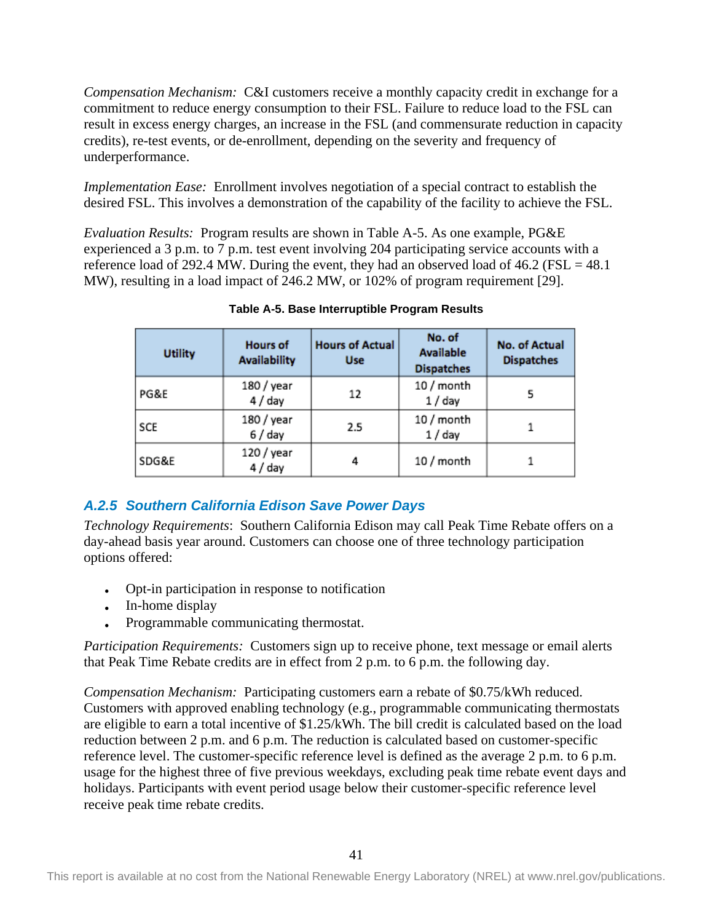*Compensation Mechanism:* C&I customers receive a monthly capacity credit in exchange for a commitment to reduce energy consumption to their FSL. Failure to reduce load to the FSL can result in excess energy charges, an increase in the FSL (and commensurate reduction in capacity credits), re-test events, or de-enrollment, depending on the severity and frequency of underperformance.

*Implementation Ease:* Enrollment involves negotiation of a special contract to establish the desired FSL. This involves a demonstration of the capability of the facility to achieve the FSL.

*Evaluation Results:* Program results are shown in Table A-5. As one example, PG&E experienced a 3 p.m. to 7 p.m. test event involving 204 participating service accounts with a reference load of 292.4 MW. During the event, they had an observed load of  $46.2$  (FSL =  $48.1$ ) MW), resulting in a load impact of 246.2 MW, or 102% of program requirement [29].

<span id="page-46-0"></span>

| <b>Utility</b> | <b>Hours of</b><br><b>Availability</b> | <b>Hours of Actual</b><br><b>Use</b> | No. of<br><b>Available</b><br><b>Dispatches</b> | No. of Actual<br><b>Dispatches</b> |
|----------------|----------------------------------------|--------------------------------------|-------------------------------------------------|------------------------------------|
| PG&E           | 180 / year<br>4 / day                  | 12                                   | 10 / month<br>1 / day                           |                                    |
| SCE            | 180 / year<br>6 / day                  | 2.5                                  | 10 / month<br>1 / day                           |                                    |
| SDG&E          | 120 / year<br>4 / day                  | 4                                    | 10 / month                                      |                                    |

**Table A-5. Base Interruptible Program Results**

## *A.2.5 Southern California Edison Save Power Days*

*Technology Requirements*:Southern California Edison may call Peak Time Rebate offers on a day-ahead basis year around. Customers can choose one of three technology participation options offered:

- Opt-in participation in response to notification
- In-home display
- Programmable communicating thermostat.

*Participation Requirements:* Customers sign up to receive phone, text message or email alerts that Peak Time Rebate credits are in effect from 2 p.m. to 6 p.m. the following day.

*Compensation Mechanism:* Participating customers earn a rebate of \$0.75/kWh reduced. Customers with approved enabling technology (e.g., programmable communicating thermostats are eligible to earn a total incentive of \$1.25/kWh. The bill credit is calculated based on the load reduction between 2 p.m. and 6 p.m. The reduction is calculated based on customer-specific reference level. The customer-specific reference level is defined as the average 2 p.m. to 6 p.m. usage for the highest three of five previous weekdays, excluding peak time rebate event days and holidays. Participants with event period usage below their customer-specific reference level receive peak time rebate credits.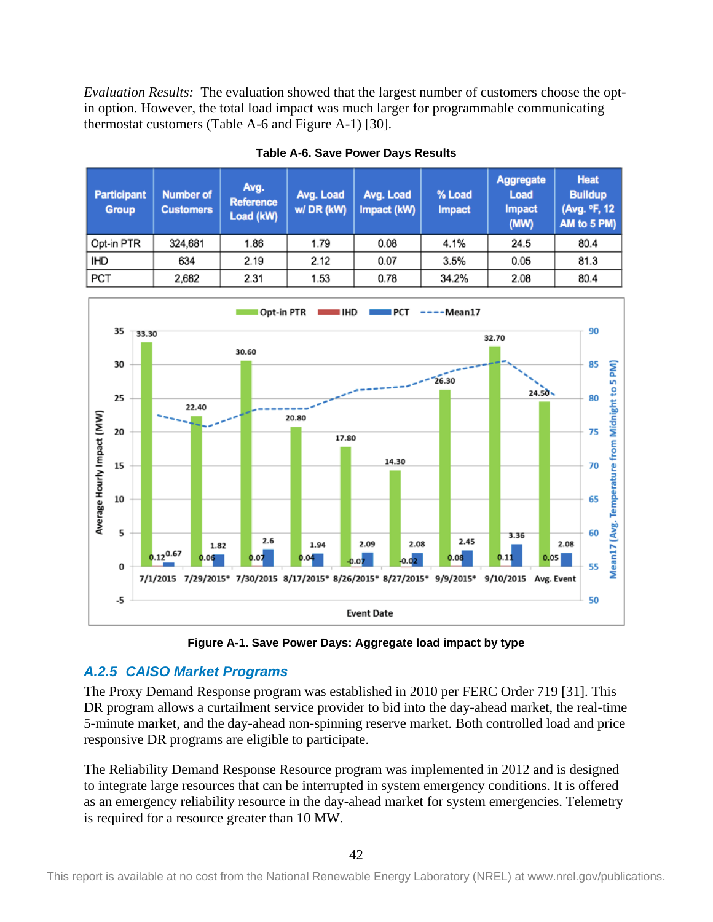*Evaluation Results:* The evaluation showed that the largest number of customers choose the optin option. However, the total load impact was much larger for programmable communicating thermostat customers (Table A-6 and Figure A-1) [30].

<span id="page-47-1"></span>

| <b>Participant</b><br><b>Group</b> | <b>Number of</b><br><b>Customers</b> | Avg.<br><b>Reference</b><br>Load (kW) | Avg. Load<br>w/DR (kW) | Avg. Load<br>Impact (kW) | % Load<br><b>Impact</b> | Aggregate<br>Load<br><b>Impact</b><br>(MW) | <b>Heat</b><br><b>Buildup</b><br>(Avg. °F, 12<br>AM to 5 PM) |
|------------------------------------|--------------------------------------|---------------------------------------|------------------------|--------------------------|-------------------------|--------------------------------------------|--------------------------------------------------------------|
| Opt-in PTR                         | 324,681                              | 1.86                                  | 1.79                   | 0.08                     | 4.1%                    | 24.5                                       | 80.4                                                         |
| <b>IHD</b>                         | 634                                  | 2.19                                  | 2.12                   | 0.07                     | 3.5%                    | 0.05                                       | 81.3                                                         |
| PCT                                | 2,682                                | 2.31                                  | 1.53                   | 0.78                     | 34.2%                   | 2.08                                       | 80.4                                                         |





**Figure A-1. Save Power Days: Aggregate load impact by type**

## <span id="page-47-0"></span>*A.2.5 CAISO Market Programs*

The Proxy Demand Response program was established in 2010 per FERC Order 719 [31]. This DR program allows a curtailment service provider to bid into the day-ahead market, the real-time 5-minute market, and the day-ahead non-spinning reserve market. Both controlled load and price responsive DR programs are eligible to participate.

The Reliability Demand Response Resource program was implemented in 2012 and is designed to integrate large resources that can be interrupted in system emergency conditions. It is offered as an emergency reliability resource in the day-ahead market for system emergencies. Telemetry is required for a resource greater than 10 MW.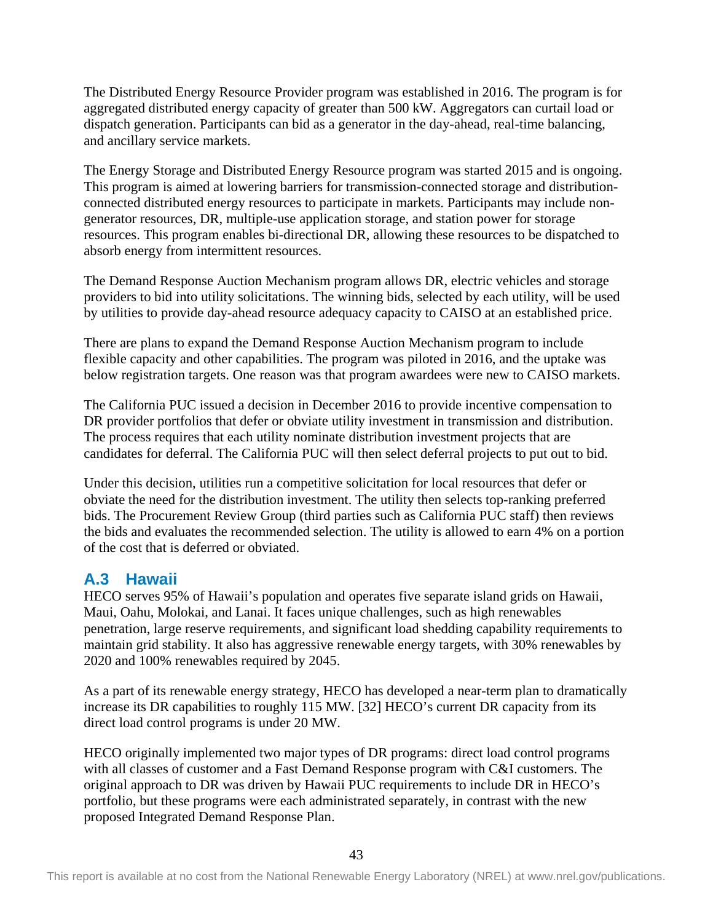The Distributed Energy Resource Provider program was established in 2016. The program is for aggregated distributed energy capacity of greater than 500 kW. Aggregators can curtail load or dispatch generation. Participants can bid as a generator in the day-ahead, real-time balancing, and ancillary service markets.

The Energy Storage and Distributed Energy Resource program was started 2015 and is ongoing. This program is aimed at lowering barriers for transmission-connected storage and distributionconnected distributed energy resources to participate in markets. Participants may include nongenerator resources, DR, multiple-use application storage, and station power for storage resources. This program enables bi-directional DR, allowing these resources to be dispatched to absorb energy from intermittent resources.

The Demand Response Auction Mechanism program allows DR, electric vehicles and storage providers to bid into utility solicitations. The winning bids, selected by each utility, will be used by utilities to provide day-ahead resource adequacy capacity to CAISO at an established price.

There are plans to expand the Demand Response Auction Mechanism program to include flexible capacity and other capabilities. The program was piloted in 2016, and the uptake was below registration targets. One reason was that program awardees were new to CAISO markets.

The California PUC issued a decision in December 2016 to provide incentive compensation to DR provider portfolios that defer or obviate utility investment in transmission and distribution. The process requires that each utility nominate distribution investment projects that are candidates for deferral. The California PUC will then select deferral projects to put out to bid.

Under this decision, utilities run a competitive solicitation for local resources that defer or obviate the need for the distribution investment. The utility then selects top-ranking preferred bids. The Procurement Review Group (third parties such as California PUC staff) then reviews the bids and evaluates the recommended selection. The utility is allowed to earn 4% on a portion of the cost that is deferred or obviated.

## <span id="page-48-0"></span>**A.3 Hawaii**

HECO serves 95% of Hawaii's population and operates five separate island grids on Hawaii, Maui, Oahu, Molokai, and Lanai. It faces unique challenges, such as high renewables penetration, large reserve requirements, and significant load shedding capability requirements to maintain grid stability. It also has aggressive renewable energy targets, with 30% renewables by 2020 and 100% renewables required by 2045.

As a part of its renewable energy strategy, HECO has developed a near-term plan to dramatically increase its DR capabilities to roughly 115 MW. [32] HECO's current DR capacity from its direct load control programs is under 20 MW.

HECO originally implemented two major types of DR programs: direct load control programs with all classes of customer and a Fast Demand Response program with C&I customers. The original approach to DR was driven by Hawaii PUC requirements to include DR in HECO's portfolio, but these programs were each administrated separately, in contrast with the new proposed Integrated Demand Response Plan.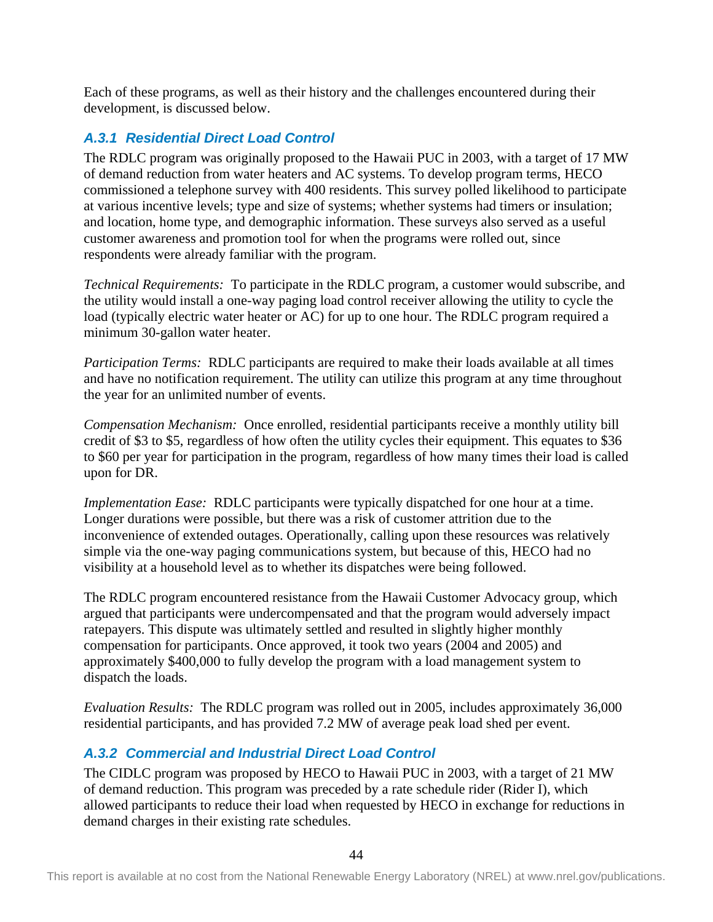Each of these programs, as well as their history and the challenges encountered during their development, is discussed below.

## *A.3.1 Residential Direct Load Control*

The RDLC program was originally proposed to the Hawaii PUC in 2003, with a target of 17 MW of demand reduction from water heaters and AC systems. To develop program terms, HECO commissioned a telephone survey with 400 residents. This survey polled likelihood to participate at various incentive levels; type and size of systems; whether systems had timers or insulation; and location, home type, and demographic information. These surveys also served as a useful customer awareness and promotion tool for when the programs were rolled out, since respondents were already familiar with the program.

*Technical Requirements:* To participate in the RDLC program, a customer would subscribe, and the utility would install a one-way paging load control receiver allowing the utility to cycle the load (typically electric water heater or AC) for up to one hour. The RDLC program required a minimum 30-gallon water heater.

*Participation Terms:* RDLC participants are required to make their loads available at all times and have no notification requirement. The utility can utilize this program at any time throughout the year for an unlimited number of events.

*Compensation Mechanism:* Once enrolled, residential participants receive a monthly utility bill credit of \$3 to \$5, regardless of how often the utility cycles their equipment. This equates to \$36 to \$60 per year for participation in the program, regardless of how many times their load is called upon for DR.

*Implementation Ease:* RDLC participants were typically dispatched for one hour at a time. Longer durations were possible, but there was a risk of customer attrition due to the inconvenience of extended outages. Operationally, calling upon these resources was relatively simple via the one-way paging communications system, but because of this, HECO had no visibility at a household level as to whether its dispatches were being followed.

The RDLC program encountered resistance from the Hawaii Customer Advocacy group, which argued that participants were undercompensated and that the program would adversely impact ratepayers. This dispute was ultimately settled and resulted in slightly higher monthly compensation for participants. Once approved, it took two years (2004 and 2005) and approximately \$400,000 to fully develop the program with a load management system to dispatch the loads.

*Evaluation Results:* The RDLC program was rolled out in 2005, includes approximately 36,000 residential participants, and has provided 7.2 MW of average peak load shed per event.

## *A.3.2 Commercial and Industrial Direct Load Control*

The CIDLC program was proposed by HECO to Hawaii PUC in 2003, with a target of 21 MW of demand reduction. This program was preceded by a rate schedule rider (Rider I), which allowed participants to reduce their load when requested by HECO in exchange for reductions in demand charges in their existing rate schedules.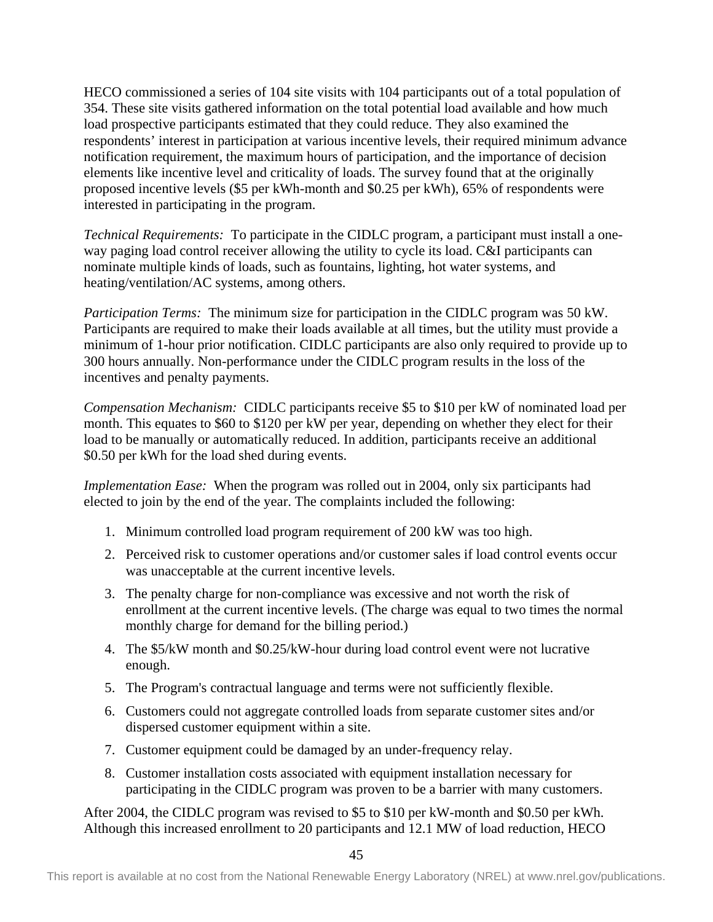HECO commissioned a series of 104 site visits with 104 participants out of a total population of 354. These site visits gathered information on the total potential load available and how much load prospective participants estimated that they could reduce. They also examined the respondents' interest in participation at various incentive levels, their required minimum advance notification requirement, the maximum hours of participation, and the importance of decision elements like incentive level and criticality of loads. The survey found that at the originally proposed incentive levels (\$5 per kWh-month and \$0.25 per kWh), 65% of respondents were interested in participating in the program.

*Technical Requirements:* To participate in the CIDLC program, a participant must install a oneway paging load control receiver allowing the utility to cycle its load. C&I participants can nominate multiple kinds of loads, such as fountains, lighting, hot water systems, and heating/ventilation/AC systems, among others.

*Participation Terms:* The minimum size for participation in the CIDLC program was 50 kW. Participants are required to make their loads available at all times, but the utility must provide a minimum of 1-hour prior notification. CIDLC participants are also only required to provide up to 300 hours annually. Non-performance under the CIDLC program results in the loss of the incentives and penalty payments.

*Compensation Mechanism:* CIDLC participants receive \$5 to \$10 per kW of nominated load per month. This equates to \$60 to \$120 per kW per year, depending on whether they elect for their load to be manually or automatically reduced. In addition, participants receive an additional \$0.50 per kWh for the load shed during events.

*Implementation Ease:* When the program was rolled out in 2004, only six participants had elected to join by the end of the year. The complaints included the following:

- 1. Minimum controlled load program requirement of 200 kW was too high.
- 2. Perceived risk to customer operations and/or customer sales if load control events occur was unacceptable at the current incentive levels.
- 3. The penalty charge for non-compliance was excessive and not worth the risk of enrollment at the current incentive levels. (The charge was equal to two times the normal monthly charge for demand for the billing period.)
- 4. The \$5/kW month and \$0.25/kW-hour during load control event were not lucrative enough.
- 5. The Program's contractual language and terms were not sufficiently flexible.
- 6. Customers could not aggregate controlled loads from separate customer sites and/or dispersed customer equipment within a site.
- 7. Customer equipment could be damaged by an under-frequency relay.
- 8. Customer installation costs associated with equipment installation necessary for participating in the CIDLC program was proven to be a barrier with many customers.

After 2004, the CIDLC program was revised to \$5 to \$10 per kW-month and \$0.50 per kWh. Although this increased enrollment to 20 participants and 12.1 MW of load reduction, HECO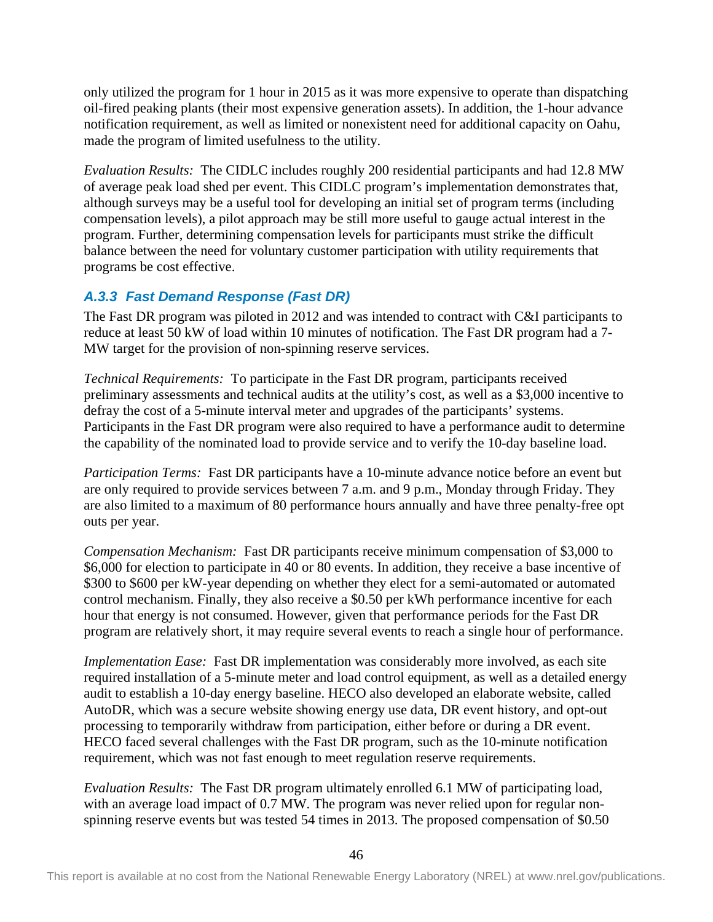only utilized the program for 1 hour in 2015 as it was more expensive to operate than dispatching oil-fired peaking plants (their most expensive generation assets). In addition, the 1-hour advance notification requirement, as well as limited or nonexistent need for additional capacity on Oahu, made the program of limited usefulness to the utility.

*Evaluation Results:* The CIDLC includes roughly 200 residential participants and had 12.8 MW of average peak load shed per event. This CIDLC program's implementation demonstrates that, although surveys may be a useful tool for developing an initial set of program terms (including compensation levels), a pilot approach may be still more useful to gauge actual interest in the program. Further, determining compensation levels for participants must strike the difficult balance between the need for voluntary customer participation with utility requirements that programs be cost effective.

## *A.3.3 Fast Demand Response (Fast DR)*

The Fast DR program was piloted in 2012 and was intended to contract with C&I participants to reduce at least 50 kW of load within 10 minutes of notification. The Fast DR program had a 7- MW target for the provision of non-spinning reserve services.

*Technical Requirements:* To participate in the Fast DR program, participants received preliminary assessments and technical audits at the utility's cost, as well as a \$3,000 incentive to defray the cost of a 5-minute interval meter and upgrades of the participants' systems. Participants in the Fast DR program were also required to have a performance audit to determine the capability of the nominated load to provide service and to verify the 10-day baseline load.

*Participation Terms:* Fast DR participants have a 10-minute advance notice before an event but are only required to provide services between 7 a.m. and 9 p.m., Monday through Friday. They are also limited to a maximum of 80 performance hours annually and have three penalty-free opt outs per year.

*Compensation Mechanism:* Fast DR participants receive minimum compensation of \$3,000 to \$6,000 for election to participate in 40 or 80 events. In addition, they receive a base incentive of \$300 to \$600 per kW-year depending on whether they elect for a semi-automated or automated control mechanism. Finally, they also receive a \$0.50 per kWh performance incentive for each hour that energy is not consumed. However, given that performance periods for the Fast DR program are relatively short, it may require several events to reach a single hour of performance.

*Implementation Ease:* Fast DR implementation was considerably more involved, as each site required installation of a 5-minute meter and load control equipment, as well as a detailed energy audit to establish a 10-day energy baseline. HECO also developed an elaborate website, called AutoDR, which was a secure website showing energy use data, DR event history, and opt-out processing to temporarily withdraw from participation, either before or during a DR event. HECO faced several challenges with the Fast DR program, such as the 10-minute notification requirement, which was not fast enough to meet regulation reserve requirements.

*Evaluation Results:* The Fast DR program ultimately enrolled 6.1 MW of participating load, with an average load impact of 0.7 MW. The program was never relied upon for regular nonspinning reserve events but was tested 54 times in 2013. The proposed compensation of \$0.50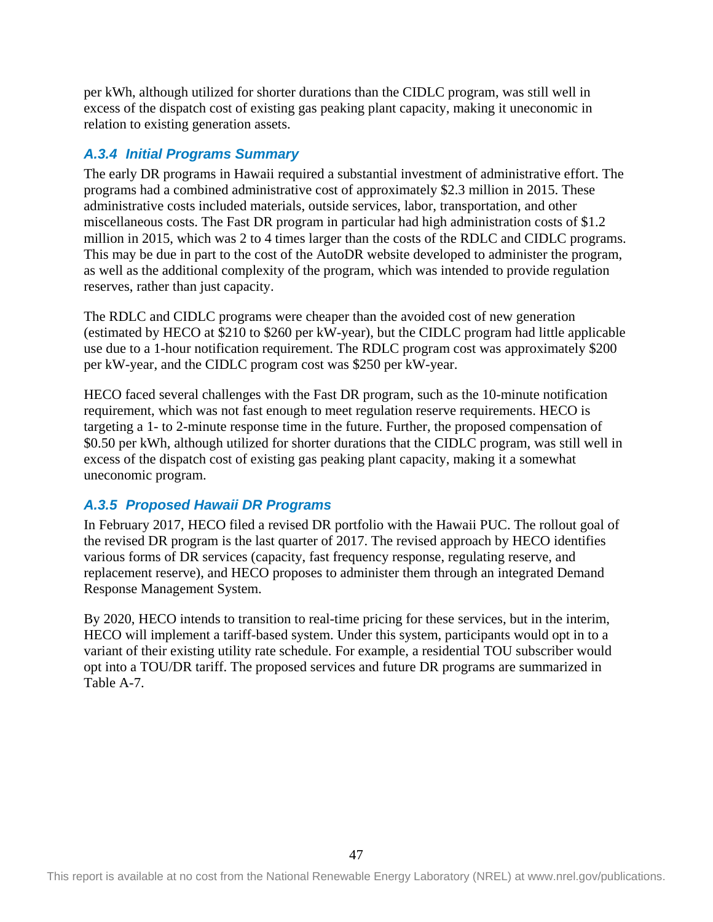per kWh, although utilized for shorter durations than the CIDLC program, was still well in excess of the dispatch cost of existing gas peaking plant capacity, making it uneconomic in relation to existing generation assets.

### *A.3.4 Initial Programs Summary*

The early DR programs in Hawaii required a substantial investment of administrative effort. The programs had a combined administrative cost of approximately \$2.3 million in 2015. These administrative costs included materials, outside services, labor, transportation, and other miscellaneous costs. The Fast DR program in particular had high administration costs of \$1.2 million in 2015, which was 2 to 4 times larger than the costs of the RDLC and CIDLC programs. This may be due in part to the cost of the AutoDR website developed to administer the program, as well as the additional complexity of the program, which was intended to provide regulation reserves, rather than just capacity.

The RDLC and CIDLC programs were cheaper than the avoided cost of new generation (estimated by HECO at \$210 to \$260 per kW-year), but the CIDLC program had little applicable use due to a 1-hour notification requirement. The RDLC program cost was approximately \$200 per kW-year, and the CIDLC program cost was \$250 per kW-year.

HECO faced several challenges with the Fast DR program, such as the 10-minute notification requirement, which was not fast enough to meet regulation reserve requirements. HECO is targeting a 1- to 2-minute response time in the future. Further, the proposed compensation of \$0.50 per kWh, although utilized for shorter durations that the CIDLC program, was still well in excess of the dispatch cost of existing gas peaking plant capacity, making it a somewhat uneconomic program.

## *A.3.5 Proposed Hawaii DR Programs*

In February 2017, HECO filed a revised DR portfolio with the Hawaii PUC. The rollout goal of the revised DR program is the last quarter of 2017. The revised approach by HECO identifies various forms of DR services (capacity, fast frequency response, regulating reserve, and replacement reserve), and HECO proposes to administer them through an integrated Demand Response Management System.

By 2020, HECO intends to transition to real-time pricing for these services, but in the interim, HECO will implement a tariff-based system. Under this system, participants would opt in to a variant of their existing utility rate schedule. For example, a residential TOU subscriber would opt into a TOU/DR tariff. The proposed services and future DR programs are summarized in Table A-7.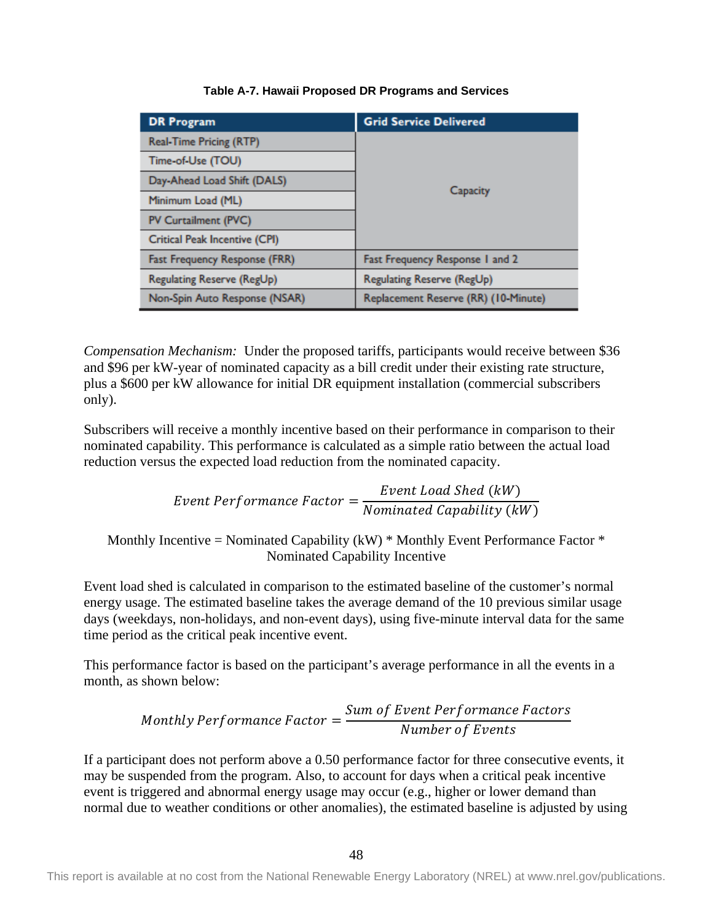<span id="page-53-0"></span>

| <b>DR Program</b>             | <b>Grid Service Delivered</b>        |  |  |
|-------------------------------|--------------------------------------|--|--|
| Real-Time Pricing (RTP)       | Capacity                             |  |  |
| Time-of-Use (TOU)             |                                      |  |  |
| Day-Ahead Load Shift (DALS)   |                                      |  |  |
| Minimum Load (ML)             |                                      |  |  |
| PV Curtailment (PVC)          |                                      |  |  |
| Critical Peak Incentive (CPI) |                                      |  |  |
| Fast Frequency Response (FRR) | Fast Frequency Response 1 and 2      |  |  |
| Regulating Reserve (RegUp)    | Regulating Reserve (RegUp)           |  |  |
| Non-Spin Auto Response (NSAR) | Replacement Reserve (RR) (10-Minute) |  |  |

#### **Table A-7. Hawaii Proposed DR Programs and Services**

*Compensation Mechanism:* Under the proposed tariffs, participants would receive between \$36 and \$96 per kW-year of nominated capacity as a bill credit under their existing rate structure, plus a \$600 per kW allowance for initial DR equipment installation (commercial subscribers only).

Subscribers will receive a monthly incentive based on their performance in comparison to their nominated capability. This performance is calculated as a simple ratio between the actual load reduction versus the expected load reduction from the nominated capacity.

*Event Performance Factor* = 
$$
\frac{Event\ Load\ Shed\ (kW)}{Nominated\ Capability\ (kW)}
$$

Monthly Incentive = Nominated Capability (kW)  $*$  Monthly Event Performance Factor  $*$ Nominated Capability Incentive

Event load shed is calculated in comparison to the estimated baseline of the customer's normal energy usage. The estimated baseline takes the average demand of the 10 previous similar usage days (weekdays, non-holidays, and non-event days), using five-minute interval data for the same time period as the critical peak incentive event.

This performance factor is based on the participant's average performance in all the events in a month, as shown below:

Monthly Performance Factor = 
$$
\frac{Sum of Event Performance Factors}{Number of Events}
$$

If a participant does not perform above a 0.50 performance factor for three consecutive events, it may be suspended from the program. Also, to account for days when a critical peak incentive event is triggered and abnormal energy usage may occur (e.g., higher or lower demand than normal due to weather conditions or other anomalies), the estimated baseline is adjusted by using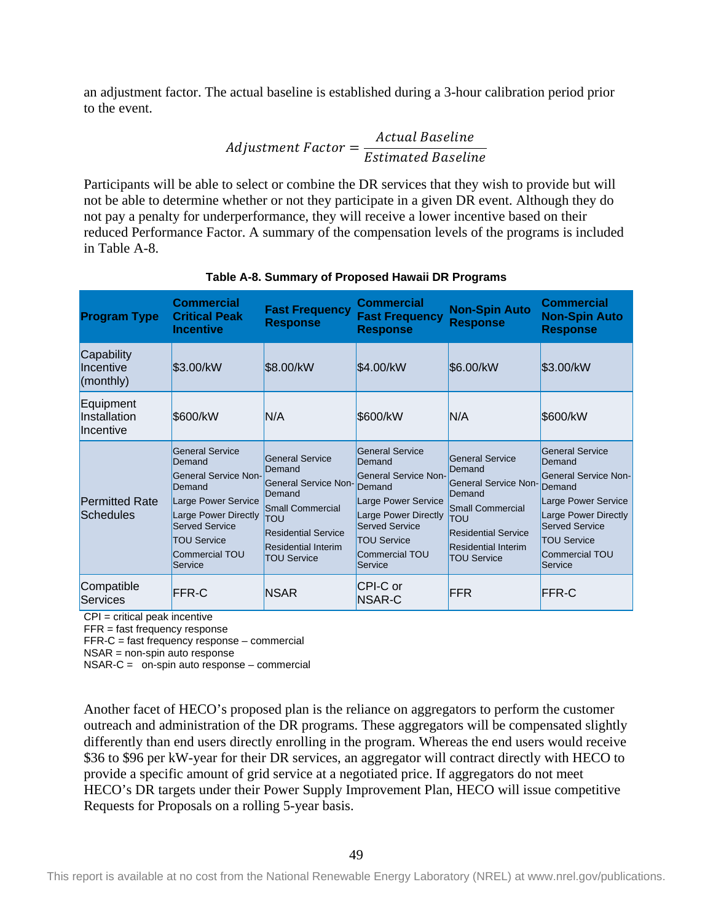an adjustment factor. The actual baseline is established during a 3-hour calibration period prior to the event.

$$
Adjustment Factor = \frac{Actual Baseline}{Estimated Baseline}
$$

Participants will be able to select or combine the DR services that they wish to provide but will not be able to determine whether or not they participate in a given DR event. Although they do not pay a penalty for underperformance, they will receive a lower incentive based on their reduced Performance Factor. A summary of the compensation levels of the programs is included in Table A-8.

<span id="page-54-0"></span>

| <b>Program Type</b>                                                | Commercial<br><b>Critical Peak</b><br><b>Incentive</b>                                                                                                                                        | <b>Fast Frequency</b><br><b>Response</b>                                                                                                                                               | <b>Commercial</b><br><b>Fast Frequency</b><br><b>Response</b>                                                                                                                                               | <b>Non-Spin Auto</b><br><b>Response</b>                                                                                                                                                | <b>Commercial</b><br><b>Non-Spin Auto</b><br><b>Response</b>                                                                                                                                         |
|--------------------------------------------------------------------|-----------------------------------------------------------------------------------------------------------------------------------------------------------------------------------------------|----------------------------------------------------------------------------------------------------------------------------------------------------------------------------------------|-------------------------------------------------------------------------------------------------------------------------------------------------------------------------------------------------------------|----------------------------------------------------------------------------------------------------------------------------------------------------------------------------------------|------------------------------------------------------------------------------------------------------------------------------------------------------------------------------------------------------|
| Capability<br>Incentive<br>$\mathsf{[}(\mathsf{month} \mathsf{y})$ | \$3.00/kW                                                                                                                                                                                     | \$8.00/kW                                                                                                                                                                              | \$4.00/kW                                                                                                                                                                                                   | \$6.00/kW                                                                                                                                                                              | \$3.00/kW                                                                                                                                                                                            |
| Equipment<br>Installation<br>Incentive                             | <b>S600/kW</b>                                                                                                                                                                                | IN/A                                                                                                                                                                                   | \$600/kW                                                                                                                                                                                                    | N/A                                                                                                                                                                                    | <b>\$600/kW</b>                                                                                                                                                                                      |
| <b>Permitted Rate</b><br>Schedules                                 | <b>General Service</b><br>Demand<br>General Service Non-<br>Demand<br>Large Power Service<br>Large Power Directly<br><b>Served Service</b><br><b>TOU Service</b><br>Commercial TOU<br>Service | <b>General Service</b><br>Demand<br><b>General Service Non-</b><br>Demand<br>Small Commercial<br>TOU<br><b>Residential Service</b><br><b>Residential Interim</b><br><b>TOU Service</b> | <b>General Service</b><br>Demand<br><b>General Service Non-</b><br>Demand<br>Large Power Service<br>Large Power Directly<br><b>Served Service</b><br><b>TOU Service</b><br><b>Commercial TOU</b><br>Service | <b>General Service</b><br>Demand<br><b>General Service Non-</b><br>Demand<br>Small Commercial<br>TOU<br><b>Residential Service</b><br><b>Residential Interim</b><br><b>TOU Service</b> | <b>General Service</b><br>Demand<br>General Service Non-<br>Demand<br>Large Power Service<br>Large Power Directly<br><b>Served Service</b><br><b>TOU Service</b><br><b>Commercial TOU</b><br>Service |
| Compatible<br>Services                                             | FFR-C                                                                                                                                                                                         | <b>NSAR</b>                                                                                                                                                                            | CPI-C or<br>NSAR-C                                                                                                                                                                                          | <b>FFR</b>                                                                                                                                                                             | <b>FFR-C</b>                                                                                                                                                                                         |

**Table A-8. Summary of Proposed Hawaii DR Programs**

CPI = critical peak incentive

FFR = fast frequency response

FFR-C = fast frequency response – commercial

NSAR = non-spin auto response

NSAR-C = on-spin auto response – commercial

Another facet of HECO's proposed plan is the reliance on aggregators to perform the customer outreach and administration of the DR programs. These aggregators will be compensated slightly differently than end users directly enrolling in the program. Whereas the end users would receive \$36 to \$96 per kW-year for their DR services, an aggregator will contract directly with HECO to provide a specific amount of grid service at a negotiated price. If aggregators do not meet HECO's DR targets under their Power Supply Improvement Plan, HECO will issue competitive Requests for Proposals on a rolling 5-year basis.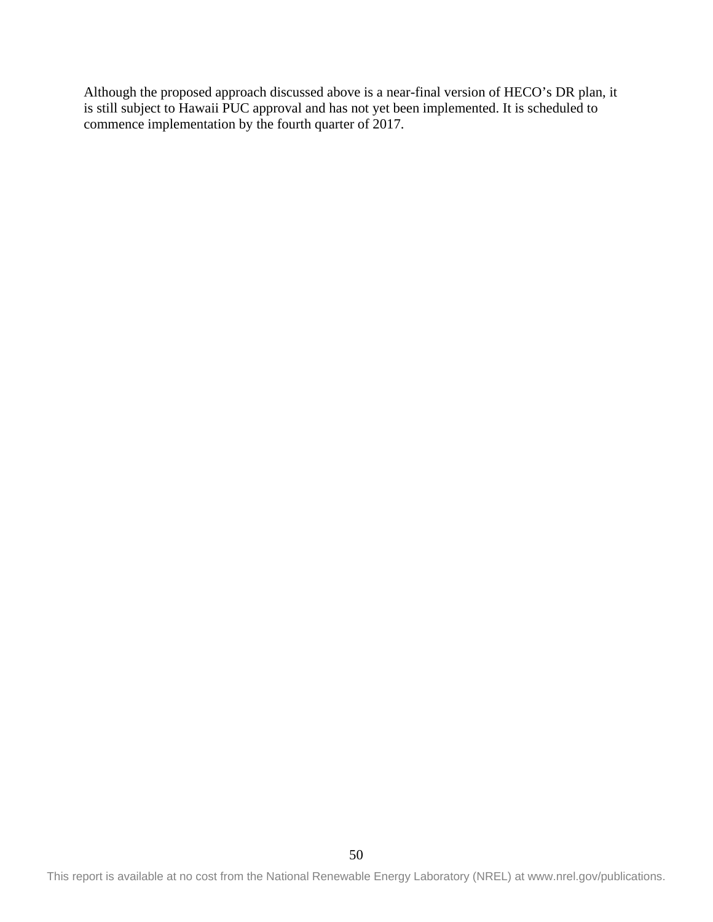Although the proposed approach discussed above is a near-final version of HECO's DR plan, it is still subject to Hawaii PUC approval and has not yet been implemented. It is scheduled to commence implementation by the fourth quarter of 2017.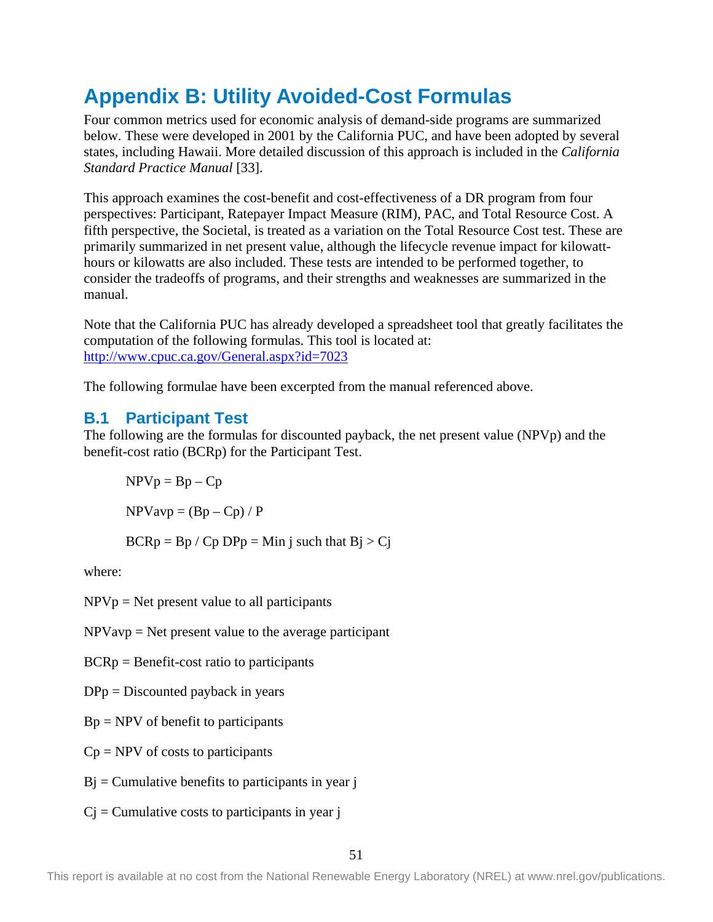# <span id="page-56-0"></span>**Appendix B: Utility Avoided-Cost Formulas**

Four common metrics used for economic analysis of demand-side programs are summarized below. These were developed in 2001 by the California PUC, and have been adopted by several states, including Hawaii. More detailed discussion of this approach is included in the *California Standard Practice Manual* [33].

This approach examines the cost-benefit and cost-effectiveness of a DR program from four perspectives: Participant, Ratepayer Impact Measure (RIM), PAC, and Total Resource Cost. A fifth perspective, the Societal, is treated as a variation on the Total Resource Cost test. These are primarily summarized in net present value, although the lifecycle revenue impact for kilowatthours or kilowatts are also included. These tests are intended to be performed together, to consider the tradeoffs of programs, and their strengths and weaknesses are summarized in the manual.

Note that the California PUC has already developed a spreadsheet tool that greatly facilitates the computation of the following formulas. This tool is located at: <http://www.cpuc.ca.gov/General.aspx?id=7023>

The following formulae have been excerpted from the manual referenced above.

## <span id="page-56-1"></span>**B.1 Participant Test**

The following are the formulas for discounted payback, the net present value (NPVp) and the benefit-cost ratio (BCRp) for the Participant Test.

 $NPVp = Bp - Cp$  $NPV$ avp =  $(Bp - Cp) / P$  $BCRp = Bp / Cp DPp = Min j such that Bj > Cj$ 

where:

 $NPVp = Net present value to all participants$ 

 $NPV$ avp = Net present value to the average participant

BCRp = Benefit-cost ratio to participants

 $DPp = Discounted$  payback in years

 $Bp = NPV$  of benefit to participants

 $Cp = NPV$  of costs to participants

 $Bi = Cumulative benefits to participants in year i$ 

 $C<sub>j</sub> =$  Cumulative costs to participants in year j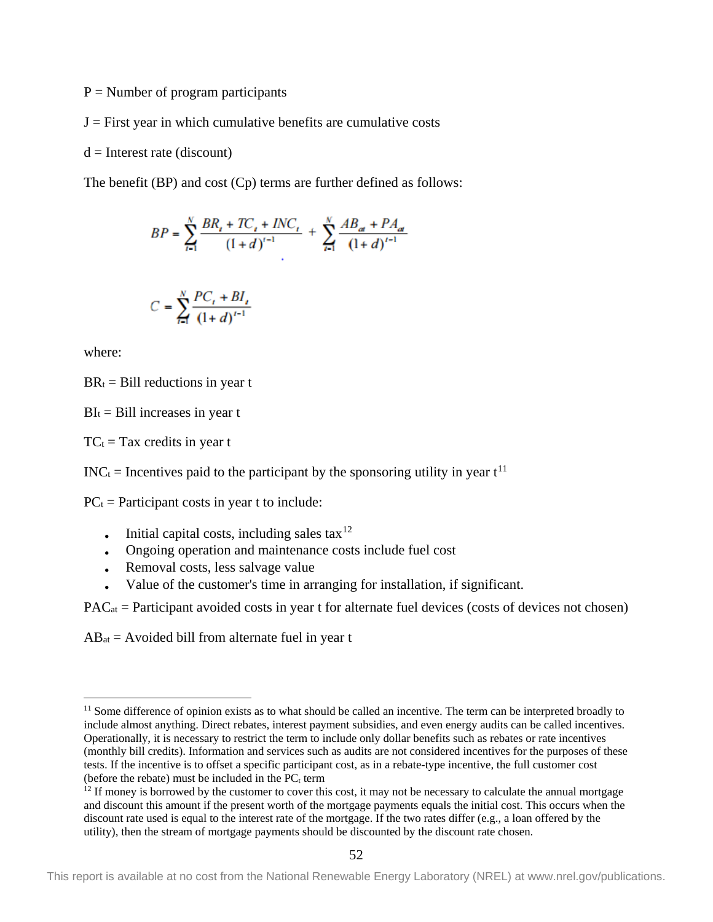$P =$  Number of program participants

 $J =$  First year in which cumulative benefits are cumulative costs

 $d =$ Interest rate (discount)

The benefit (BP) and cost (Cp) terms are further defined as follows:

$$
BP = \sum_{t=1}^{N} \frac{BR_{t} + TC_{t} + INC_{t}}{(1+d)^{t-1}} + \sum_{t=1}^{N} \frac{AB_{at} + PA_{at}}{(1+d)^{t-1}}
$$

$$
C = \sum_{i=1}^{N} \frac{PC_i + BI_i}{(1+d)^{i-1}}
$$

where:

 $BR<sub>t</sub>$  = Bill reductions in year t

 $BI_t = Bill$  increases in year t

 $TC_t = Tax credits in year t$ 

 $INC_t = Incentives paid to the participant by the sponsoring utility in year  $t^{11}$$  $INC_t = Incentives paid to the participant by the sponsoring utility in year  $t^{11}$$  $INC_t = Incentives paid to the participant by the sponsoring utility in year  $t^{11}$$ 

 $PC<sub>t</sub>$  = Participant costs in year t to include:

- Initial capital costs, including sales  $\text{tax}^{12}$  $\text{tax}^{12}$  $\text{tax}^{12}$
- Ongoing operation and maintenance costs include fuel cost
- Removal costs, less salvage value
- Value of the customer's time in arranging for installation, if significant.

 $PAC_{at}$  = Participant avoided costs in year t for alternate fuel devices (costs of devices not chosen)

 $AB_{at}$  = Avoided bill from alternate fuel in year t

<span id="page-57-0"></span><sup>&</sup>lt;sup>11</sup> Some difference of opinion exists as to what should be called an incentive. The term can be interpreted broadly to include almost anything. Direct rebates, interest payment subsidies, and even energy audits can be called incentives. Operationally, it is necessary to restrict the term to include only dollar benefits such as rebates or rate incentives (monthly bill credits). Information and services such as audits are not considered incentives for the purposes of these tests. If the incentive is to offset a specific participant cost, as in a rebate-type incentive, the full customer cost (before the rebate) must be included in the  $\overline{PC_t}$  term

<span id="page-57-1"></span> $12$  If money is borrowed by the customer to cover this cost, it may not be necessary to calculate the annual mortgage and discount this amount if the present worth of the mortgage payments equals the initial cost. This occurs when the discount rate used is equal to the interest rate of the mortgage. If the two rates differ (e.g., a loan offered by the utility), then the stream of mortgage payments should be discounted by the discount rate chosen.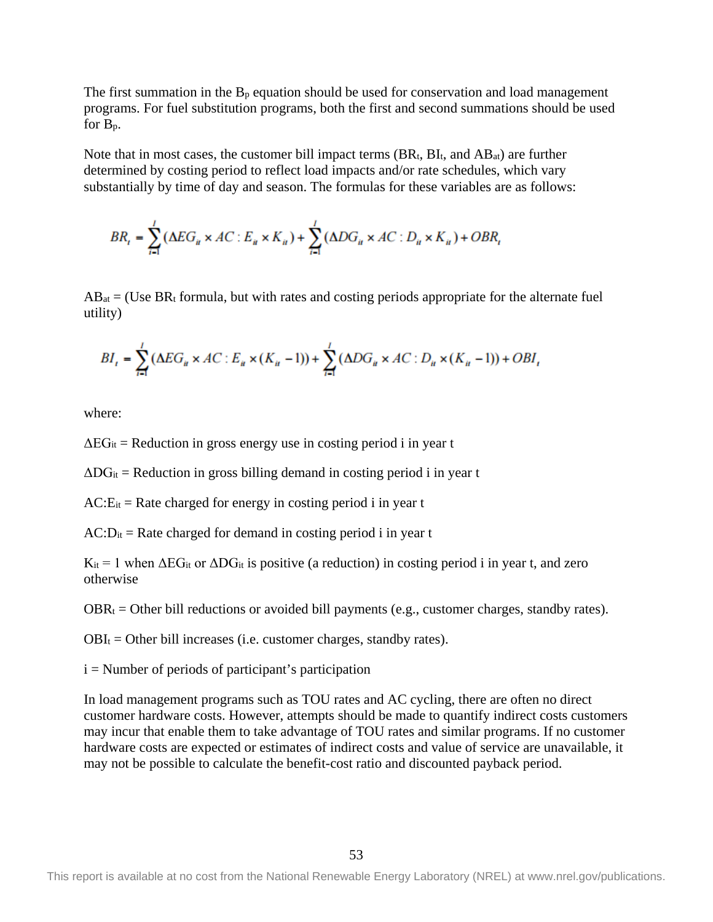The first summation in the  $B_p$  equation should be used for conservation and load management programs. For fuel substitution programs, both the first and second summations should be used for Bp.

Note that in most cases, the customer bill impact terms  $(BR_t, BL_t, and AB_{at})$  are further determined by costing period to reflect load impacts and/or rate schedules, which vary substantially by time of day and season. The formulas for these variables are as follows:

$$
BR_t = \sum_{i=1}^{l} (\Delta EG_{ii} \times AC : E_{ii} \times K_{ii}) + \sum_{i=1}^{l} (\Delta DG_{ii} \times AC : D_{ii} \times K_{ii}) + OBR_t
$$

 $AB_{at}$  = (Use BR<sub>t</sub> formula, but with rates and costing periods appropriate for the alternate fuel utility)

$$
BI_{t} = \sum_{i=1}^{l} (\Delta EG_{u} \times AC : E_{u} \times (K_{u} - 1)) + \sum_{i=1}^{l} (\Delta DG_{u} \times AC : D_{u} \times (K_{u} - 1)) + OBI_{t}
$$

where:

 $\Delta EG_{it}$  = Reduction in gross energy use in costing period i in year t

 $\Delta DG_{it}$  = Reduction in gross billing demand in costing period i in year t

 $AC:Ex = Rate$  charged for energy in costing period i in year t

 $AC:Di<sub>t</sub> = Rate charged for demand in costing period i in year t$ 

 $K_{it} = 1$  when  $\Delta EG_{it}$  or  $\Delta DG_{it}$  is positive (a reduction) in costing period i in year t, and zero otherwise

 $OBR_t = Other bill reductions or avoided bill payments (e.g., customer charges, standby rates).$ 

 $OBI_t = Other bill increases (i.e. customer charges, standby rates).$ 

 $i =$  Number of periods of participant's participation

In load management programs such as TOU rates and AC cycling, there are often no direct customer hardware costs. However, attempts should be made to quantify indirect costs customers may incur that enable them to take advantage of TOU rates and similar programs. If no customer hardware costs are expected or estimates of indirect costs and value of service are unavailable, it may not be possible to calculate the benefit-cost ratio and discounted payback period.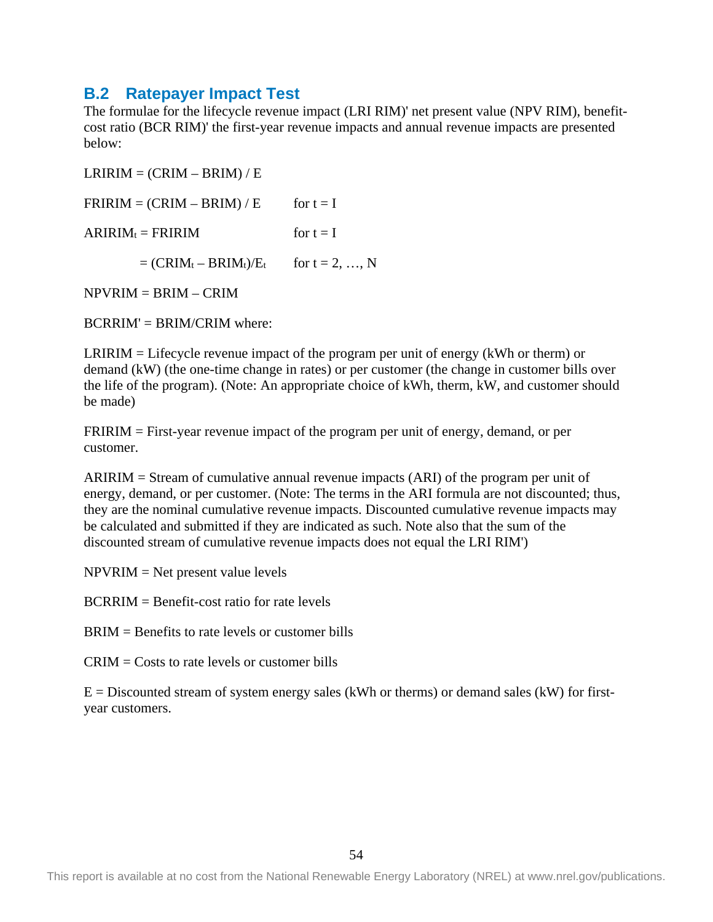### <span id="page-59-0"></span>**B.2 Ratepayer Impact Test**

The formulae for the lifecycle revenue impact (LRI RIM)' net present value (NPV RIM), benefitcost ratio (BCR RIM)' the first-year revenue impacts and annual revenue impacts are presented below:

 $LRIRIM = (CRIM - BRIM)/E$  $FRIRIM = (CRIM - BRIM)/E$  for  $t = I$  $ARIRIM_t = FRIRIM$  for  $t = I$  $= (CRIM_t - BRIM_t)/E_t$  for  $t = 2, ..., N$ 

 $NPVRIM = BRIM - CRIM$ 

 $BCRRIM' = BRIM/CRIM$  where:

LRIRIM = Lifecycle revenue impact of the program per unit of energy (kWh or therm) or demand (kW) (the one-time change in rates) or per customer (the change in customer bills over the life of the program). (Note: An appropriate choice of kWh, therm, kW, and customer should be made)

FRIRIM = First-year revenue impact of the program per unit of energy, demand, or per customer.

ARIRIM = Stream of cumulative annual revenue impacts (ARI) of the program per unit of energy, demand, or per customer. (Note: The terms in the ARI formula are not discounted; thus, they are the nominal cumulative revenue impacts. Discounted cumulative revenue impacts may be calculated and submitted if they are indicated as such. Note also that the sum of the discounted stream of cumulative revenue impacts does not equal the LRI RIM')

NPVRIM = Net present value levels

BCRRIM = Benefit-cost ratio for rate levels

BRIM = Benefits to rate levels or customer bills

CRIM = Costs to rate levels or customer bills

 $E =$  Discounted stream of system energy sales (kWh or therms) or demand sales (kW) for firstyear customers.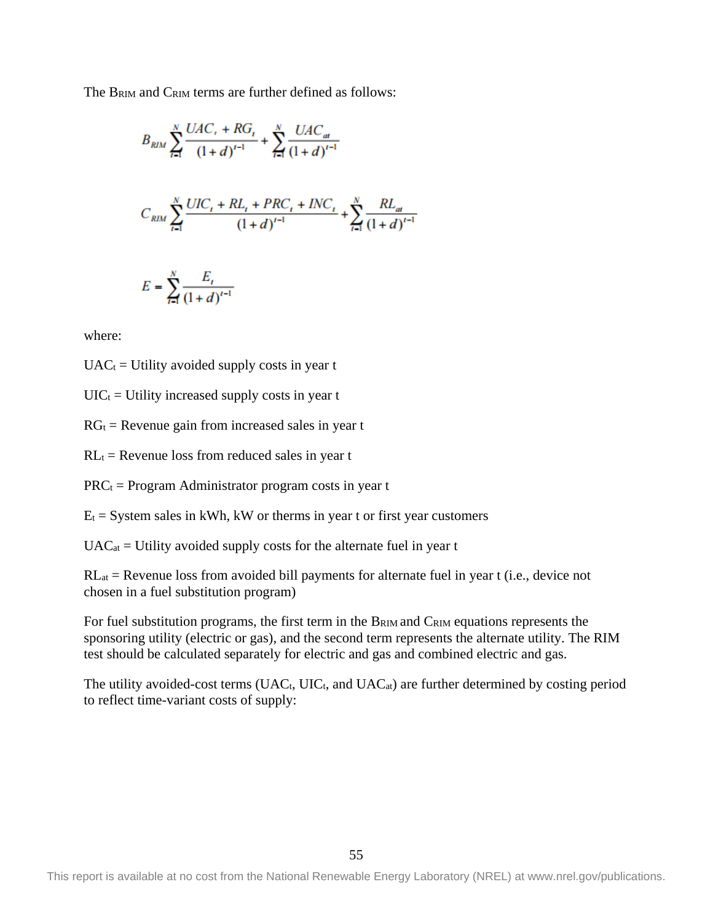The BRIM and CRIM terms are further defined as follows:

$$
B_{RIM} \sum_{t=1}^{N} \frac{UAC_{t} + RG_{t}}{(1+d)^{t-1}} + \sum_{t=1}^{N} \frac{UAC_{at}}{(1+d)^{t-1}}
$$
  

$$
C_{RIM} \sum_{t=1}^{N} \frac{UIC_{t} + RL_{t} + PRC_{t} + INC_{t}}{(1+d)^{t-1}} + \sum_{t=1}^{N} \frac{RL_{at}}{(1+d)^{t-1}}
$$
  

$$
E = \sum_{t=1}^{N} \frac{E_{t}}{(1+d)^{t-1}}
$$

where:

 $UAC<sub>t</sub> = Utility$  avoided supply costs in year t

 $UIC_t = Utility$  increased supply costs in year t

 $RG_t$  = Revenue gain from increased sales in year t

 $RL<sub>t</sub>$  = Revenue loss from reduced sales in year t

 $PRC_t = Program$  Administrator program costs in year t

 $E_t$  = System sales in kWh, kW or therms in year t or first year customers

 $UAC_{at}$  = Utility avoided supply costs for the alternate fuel in year t

RLat = Revenue loss from avoided bill payments for alternate fuel in year t (i.e., device not chosen in a fuel substitution program)

For fuel substitution programs, the first term in the B<sub>RIM</sub> and C<sub>RIM</sub> equations represents the sponsoring utility (electric or gas), and the second term represents the alternate utility. The RIM test should be calculated separately for electric and gas and combined electric and gas.

The utility avoided-cost terms (UAC<sub>t</sub>, UIC<sub>t</sub>, and UAC<sub>at</sub>) are further determined by costing period to reflect time-variant costs of supply: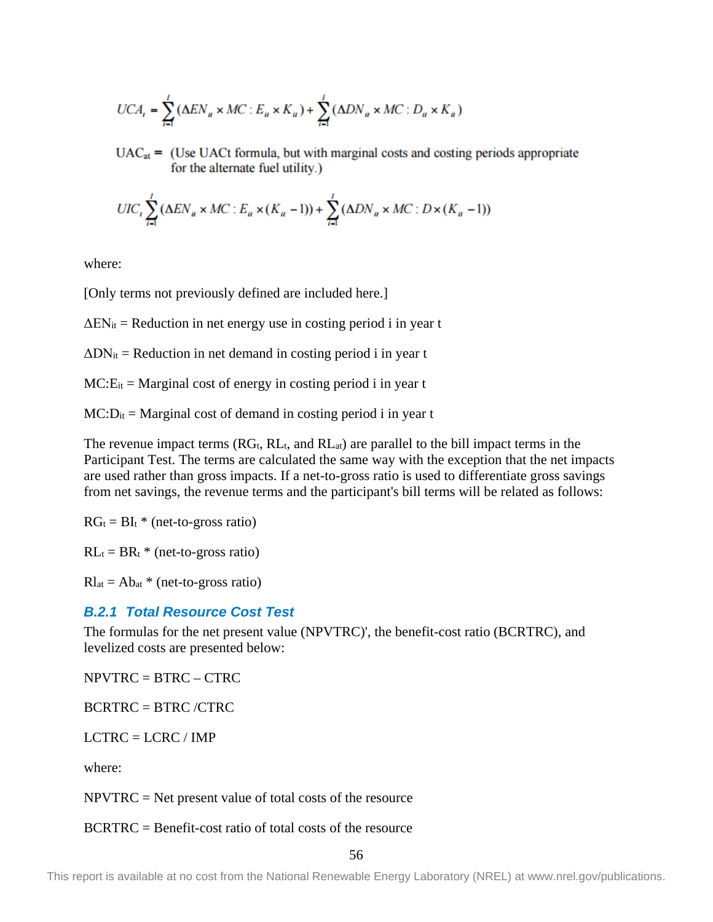$$
UCA_t = \sum_{i=1}^{l} (\Delta EN_u \times MC : E_u \times K_u) + \sum_{i=1}^{l} (\Delta DN_u \times MC : D_u \times K_u)
$$

 $UAC_{at}$  = (Use UACt formula, but with marginal costs and costing periods appropriate for the alternate fuel utility.)

$$
UIC_t \sum_{i=1}^{l} (\Delta EN_u \times MC : E_u \times (K_u - 1)) + \sum_{i=1}^{l} (\Delta DN_u \times MC : D \times (K_u - 1))
$$

where:

[Only terms not previously defined are included here.]

 $\Delta EN_{it}$  = Reduction in net energy use in costing period i in year t

 $\Delta$ DN<sub>it</sub> = Reduction in net demand in costing period i in year t

 $MC: E_{it} = Marginal cost of energy in costing period i in year t$ 

 $MC:Di = Marginal cost of demand in costing period i in year t$ 

The revenue impact terms  $(RG_t, RL_t, and RL_{at})$  are parallel to the bill impact terms in the Participant Test. The terms are calculated the same way with the exception that the net impacts are used rather than gross impacts. If a net-to-gross ratio is used to differentiate gross savings from net savings, the revenue terms and the participant's bill terms will be related as follows:

 $RG_t = BI_t * (net-to-gross ratio)$ 

 $RL_t = BR_t * (net-to-gross ratio)$ 

 $Rl_{at} = Ab_{at} * (net-to-gross ratio)$ 

#### *B.2.1 Total Resource Cost Test*

The formulas for the net present value (NPVTRC)', the benefit-cost ratio (BCRTRC), and levelized costs are presented below:

NPVTRC = BTRC – CTRC

 $BCRTRC = BTRC / CTRC$ 

 $LCTRC = LCRC / IMP$ 

where:

 $NPVTRC = Net present value of total costs of the resource$ 

BCRTRC = Benefit-cost ratio of total costs of the resource

56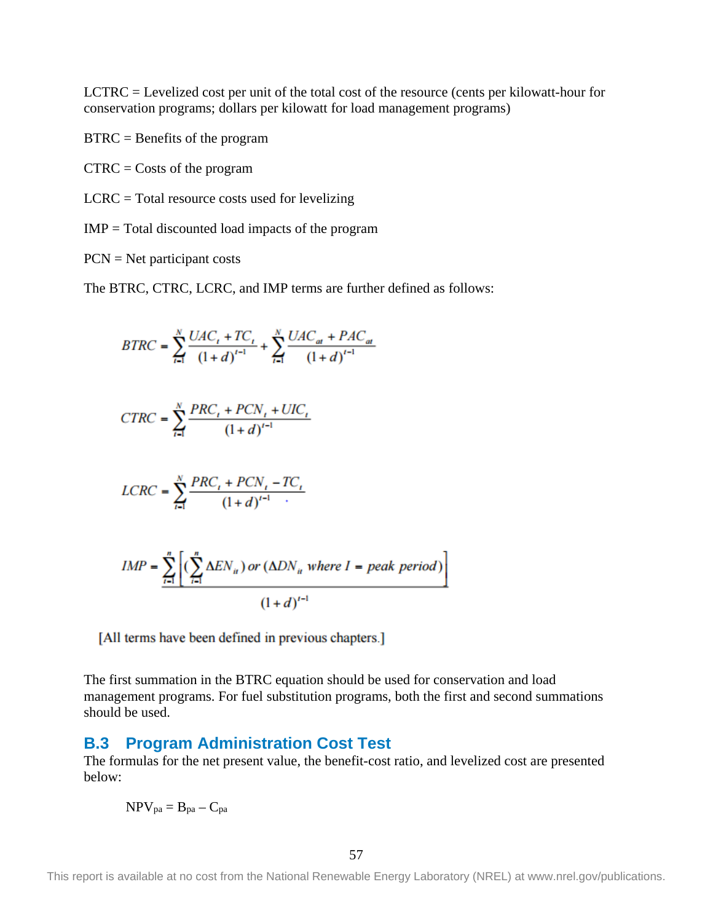LCTRC = Levelized cost per unit of the total cost of the resource (cents per kilowatt-hour for conservation programs; dollars per kilowatt for load management programs)

BTRC = Benefits of the program

 $CTRC = \text{Costs}$  of the program

 $LCRC = Total resource costs used for levelizing$ 

 $IMP = Total discounted load impacts of the program$ 

PCN = Net participant costs

The BTRC, CTRC, LCRC, and IMP terms are further defined as follows:

$$
BTRC = \sum_{i=1}^{N} \frac{UAC_i + TC_i}{(1+d)^{i-1}} + \sum_{i=1}^{N} \frac{UAC_{at} + PAC_{at}}{(1+d)^{i-1}}
$$
  
\n
$$
CTRC = \sum_{i=1}^{N} \frac{PRC_i + PCN_i + UIC_i}{(1+d)^{i-1}}
$$
  
\n
$$
LCRC = \sum_{i=1}^{N} \frac{PRC_i + PCN_i - TC_i}{(1+d)^{i-1}}
$$
  
\n
$$
IMP = \sum_{i=1}^{n} \left[ (\sum_{i=1}^{n} \Delta EN_{it}) or (\Delta DN_{it} where I = peak period) \right]
$$
  
\n
$$
(1+d)^{i-1}
$$

[All terms have been defined in previous chapters.]

The first summation in the BTRC equation should be used for conservation and load management programs. For fuel substitution programs, both the first and second summations should be used.

#### <span id="page-62-0"></span>**B.3 Program Administration Cost Test**

The formulas for the net present value, the benefit-cost ratio, and levelized cost are presented below:

$$
NPV_{pa}=B_{pa}-C_{pa}\,
$$

57